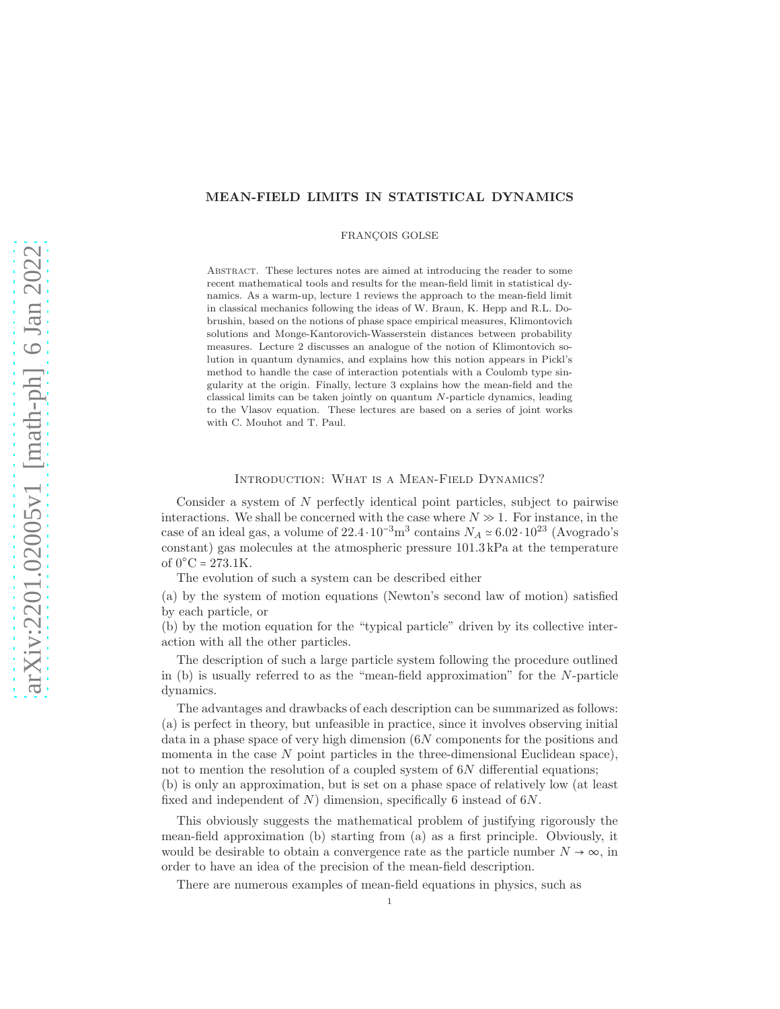## MEAN-FIELD LIMITS IN STATISTICAL DYNAMICS

FRANCOIS GOLSE

ABSTRACT. These lectures notes are aimed at introducing the reader to some recent mathematical tools and results for the mean-field limit in statistical dynamics. As a warm-up, lecture 1 reviews the approach to the mean-field limit in classical mechanics following the ideas of W. Braun, K. Hepp and R.L. Dobrushin, based on the notions of phase space empirical measures, Klimontovich solutions and Monge-Kantorovich-Wasserstein distances between probability measures. Lecture 2 discusses an analogue of the notion of Klimontovich solution in quantum dynamics, and explains how this notion appears in Pickl's method to handle the case of interaction potentials with a Coulomb type singularity at the origin. Finally, lecture 3 explains how the mean-field and the classical limits can be taken jointly on quantum N-particle dynamics, leading to the Vlasov equation. These lectures are based on a series of joint works with C. Mouhot and T. Paul.

### Introduction: What is a Mean-Field Dynamics?

Consider a system of  $N$  perfectly identical point particles, subject to pairwise interactions. We shall be concerned with the case where  $N \gg 1$ . For instance, in the case of an ideal gas, a volume of  $22.4 \cdot 10^{-3}$  m<sup>3</sup> contains  $N_A \approx 6.02 \cdot 10^{23}$  (Avogrado's constant) gas molecules at the atmospheric pressure 101.3 kPa at the temperature of  $0^{\circ}$ C = 273.1K.

The evolution of such a system can be described either

(a) by the system of motion equations (Newton's second law of motion) satisfied by each particle, or

(b) by the motion equation for the "typical particle" driven by its collective interaction with all the other particles.

The description of such a large particle system following the procedure outlined in (b) is usually referred to as the "mean-field approximation" for the N-particle dynamics.

The advantages and drawbacks of each description can be summarized as follows: (a) is perfect in theory, but unfeasible in practice, since it involves observing initial data in a phase space of very high dimension (6N components for the positions and momenta in the case  $N$  point particles in the three-dimensional Euclidean space), not to mention the resolution of a coupled system of  $6N$  differential equations; (b) is only an approximation, but is set on a phase space of relatively low (at least fixed and independent of  $N$ ) dimension, specifically 6 instead of 6N.

This obviously suggests the mathematical problem of justifying rigorously the mean-field approximation (b) starting from (a) as a first principle. Obviously, it would be desirable to obtain a convergence rate as the particle number  $N \to \infty$ , in order to have an idea of the precision of the mean-field description.

There are numerous examples of mean-field equations in physics, such as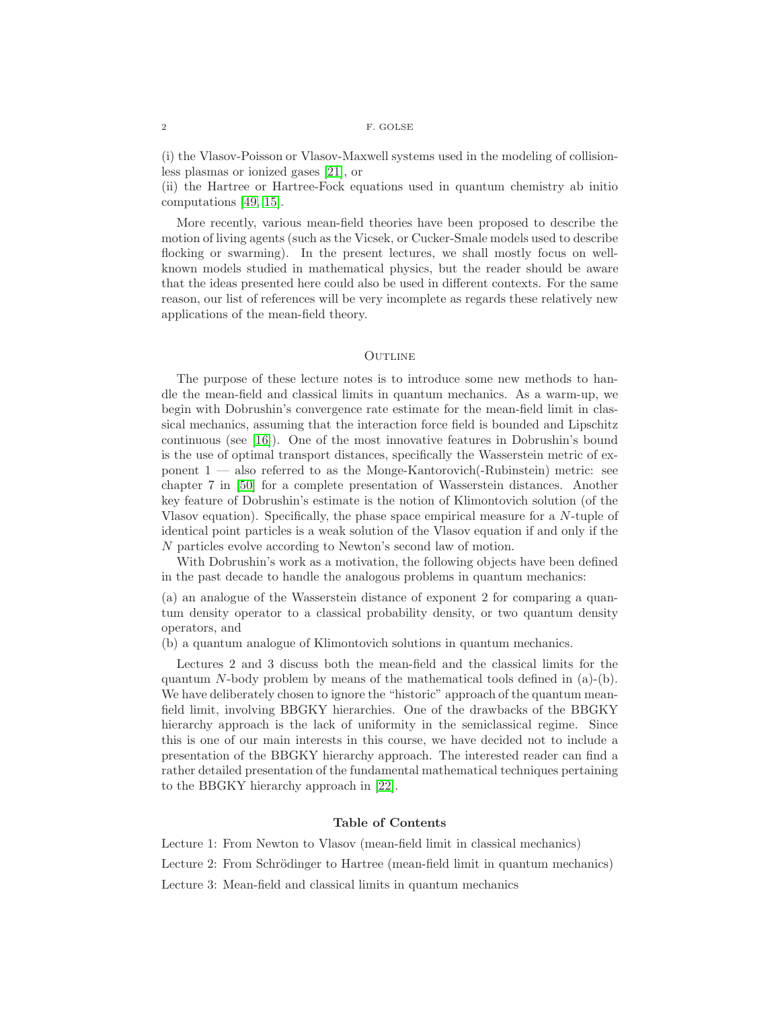(i) the Vlasov-Poisson or Vlasov-Maxwell systems used in the modeling of collisionless plasmas or ionized gases [\[21\]](#page-44-0), or

(ii) the Hartree or Hartree-Fock equations used in quantum chemistry ab initio computations [\[49,](#page-45-0) [15\]](#page-44-1).

More recently, various mean-field theories have been proposed to describe the motion of living agents (such as the Vicsek, or Cucker-Smale models used to describe flocking or swarming). In the present lectures, we shall mostly focus on wellknown models studied in mathematical physics, but the reader should be aware that the ideas presented here could also be used in different contexts. For the same reason, our list of references will be very incomplete as regards these relatively new applications of the mean-field theory.

## **OUTLINE**

The purpose of these lecture notes is to introduce some new methods to handle the mean-field and classical limits in quantum mechanics. As a warm-up, we begin with Dobrushin's convergence rate estimate for the mean-field limit in classical mechanics, assuming that the interaction force field is bounded and Lipschitz continuous (see [\[16\]](#page-44-2)). One of the most innovative features in Dobrushin's bound is the use of optimal transport distances, specifically the Wasserstein metric of exponent 1 — also referred to as the Monge-Kantorovich(-Rubinstein) metric: see chapter 7 in [\[50\]](#page-45-1) for a complete presentation of Wasserstein distances. Another key feature of Dobrushin's estimate is the notion of Klimontovich solution (of the Vlasov equation). Specifically, the phase space empirical measure for a N-tuple of identical point particles is a weak solution of the Vlasov equation if and only if the N particles evolve according to Newton's second law of motion.

With Dobrushin's work as a motivation, the following objects have been defined in the past decade to handle the analogous problems in quantum mechanics:

(a) an analogue of the Wasserstein distance of exponent 2 for comparing a quantum density operator to a classical probability density, or two quantum density operators, and

(b) a quantum analogue of Klimontovich solutions in quantum mechanics.

Lectures 2 and 3 discuss both the mean-field and the classical limits for the quantum N-body problem by means of the mathematical tools defined in  $(a)-(b)$ . We have deliberately chosen to ignore the "historic" approach of the quantum meanfield limit, involving BBGKY hierarchies. One of the drawbacks of the BBGKY hierarchy approach is the lack of uniformity in the semiclassical regime. Since this is one of our main interests in this course, we have decided not to include a presentation of the BBGKY hierarchy approach. The interested reader can find a rather detailed presentation of the fundamental mathematical techniques pertaining to the BBGKY hierarchy approach in [\[22\]](#page-44-3).

### Table of Contents

Lecture 1: From Newton to Vlasov (mean-field limit in classical mechanics)

Lecture 2: From Schrödinger to Hartree (mean-field limit in quantum mechanics)

Lecture 3: Mean-field and classical limits in quantum mechanics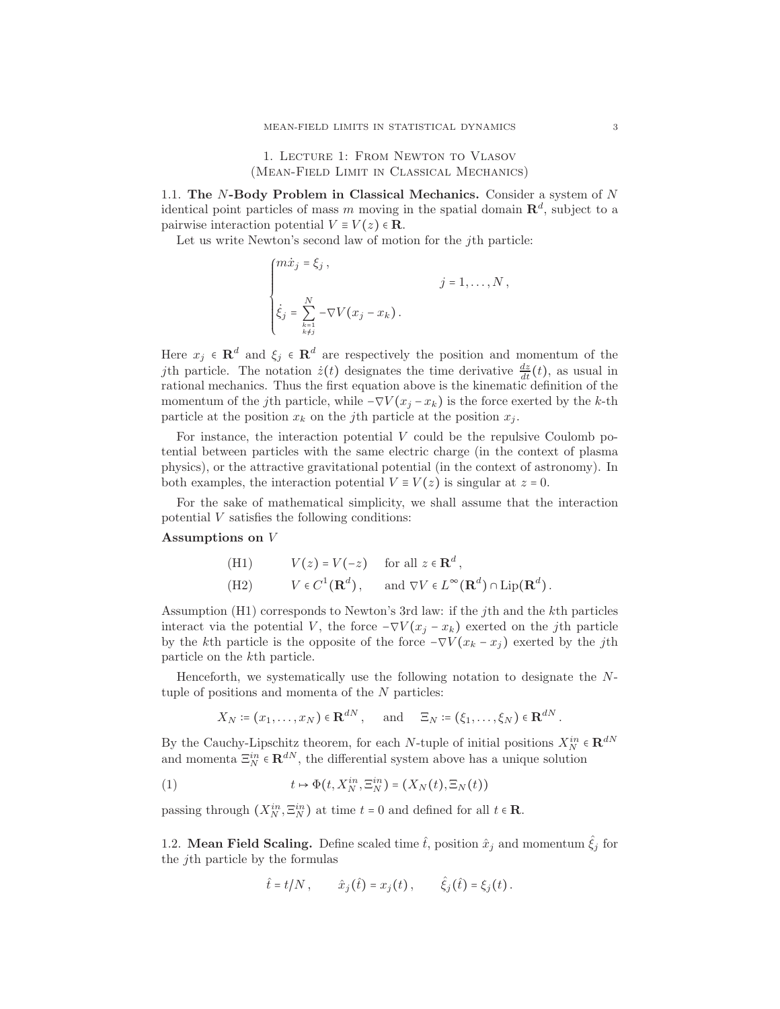1. Lecture 1: From Newton to Vlasov (Mean-Field Limit in Classical Mechanics)

1.1. The N-Body Problem in Classical Mechanics. Consider a system of N identical point particles of mass m moving in the spatial domain  $\mathbb{R}^d$ , subject to a pairwise interaction potential  $V \equiv V(z) \in \mathbf{R}$ .

Let us write Newton's second law of motion for the jth particle:

$$
\begin{cases}\n m\dot{x}_j = \xi_j, & j = 1, \dots, N, \\
 \dot{\xi}_j = \sum_{\substack{k=1 \\ k \neq j}}^N -\nabla V(x_j - x_k).\n\end{cases}
$$

Here  $x_j \in \mathbf{R}^d$  and  $\xi_j \in \mathbf{R}^d$  are respectively the position and momentum of the jth particle. The notation  $\dot{z}(t)$  designates the time derivative  $\frac{dz}{dt}(t)$ , as usual in rational mechanics. Thus the first equation above is the kinematic definition of the momentum of the jth particle, while  $-\nabla V(x_j - x_k)$  is the force exerted by the k-th particle at the position  $x_k$  on the jth particle at the position  $x_i$ .

For instance, the interaction potential  $V$  could be the repulsive Coulomb potential between particles with the same electric charge (in the context of plasma physics), or the attractive gravitational potential (in the context of astronomy). In both examples, the interaction potential  $V \equiv V(z)$  is singular at  $z = 0$ .

For the sake of mathematical simplicity, we shall assume that the interaction potential V satisfies the following conditions:

### Assumptions on V

(H1) 
$$
V(z) = V(-z)
$$
 for all  $z \in \mathbb{R}^d$ ,  
\n(H2)  $V \in C^1(\mathbb{R}^d)$ , and  $\nabla V \in L^{\infty}(\mathbb{R}^d) \cap \text{Lip}(\mathbb{R}^d)$ .

Assumption (H1) corresponds to Newton's 3rd law: if the jth and the kth particles interact via the potential V, the force  $-\nabla V(x_j - x_k)$  exerted on the jth particle by the kth particle is the opposite of the force  $-\nabla V(x_k - x_j)$  exerted by the jth particle on the kth particle.

Henceforth, we systematically use the following notation to designate the Ntuple of positions and momenta of the N particles:

<span id="page-2-0"></span>
$$
X_N \coloneqq (x_1, \ldots, x_N) \in \mathbf{R}^{dN}
$$
, and  $\Xi_N \coloneqq (\xi_1, \ldots, \xi_N) \in \mathbf{R}^{dN}$ .

By the Cauchy-Lipschitz theorem, for each N-tuple of initial positions  $X_N^{in} \in \mathbb{R}^{dN}$ and momenta  $\Xi_N^{in} \in \mathbf{R}^{dN}$ , the differential system above has a unique solution

(1) 
$$
t \mapsto \Phi(t, X_N^{in}, \Xi_N^{in}) = (X_N(t), \Xi_N(t))
$$

passing through  $(X_N^{in}, \Xi_N^{in})$  at time  $t = 0$  and defined for all  $t \in \mathbb{R}$ .

1.2. **Mean Field Scaling.** Define scaled time  $\hat{t}$ , position  $\hat{x}_j$  and momentum  $\hat{\xi}_j$  for the jth particle by the formulas

$$
\hat{t} = t/N
$$
,  $\hat{x}_j(\hat{t}) = x_j(t)$ ,  $\hat{\xi}_j(\hat{t}) = \xi_j(t)$ .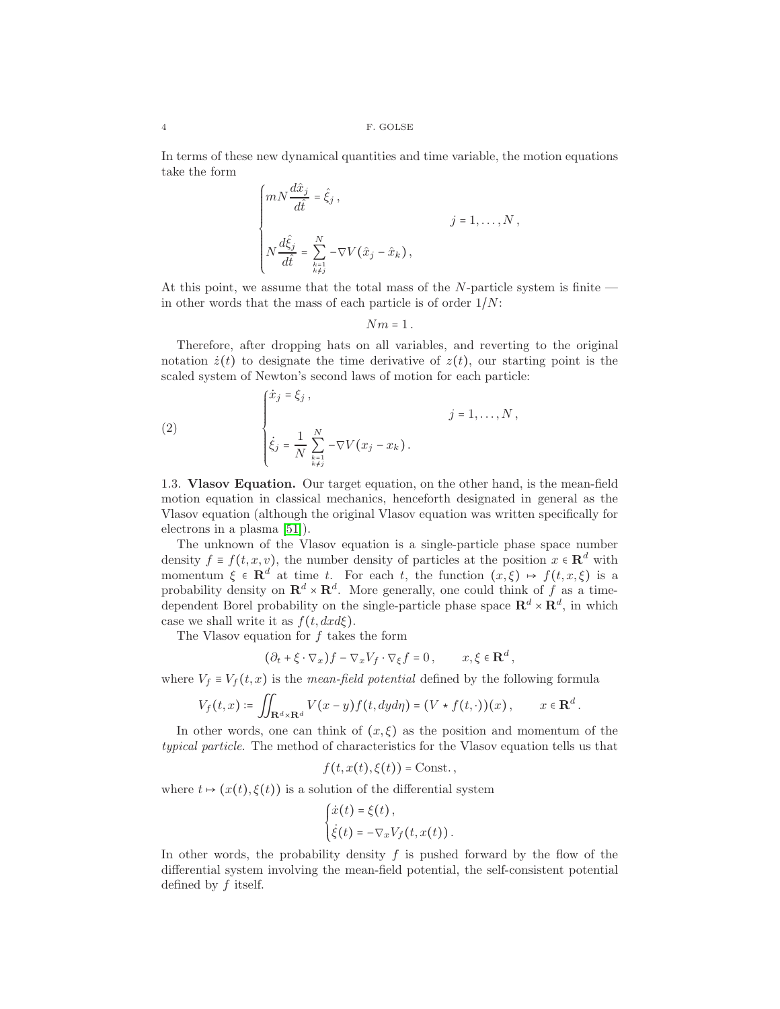In terms of these new dynamical quantities and time variable, the motion equations take the form

$$
\begin{cases} mN\frac{d\hat{x}_j}{d\hat{t}} = \hat{\xi}_j, \\ & j = 1, \dots, N, \\ N\frac{d\hat{\xi}_j}{d\hat{t}} = \sum_{\substack{k=1 \ k \neq j}}^N -\nabla V(\hat{x}_j - \hat{x}_k), \end{cases}
$$

At this point, we assume that the total mass of the  $N$ -particle system is finite in other words that the mass of each particle is of order  $1/N$ :

 $Nm = 1$ .

Therefore, after dropping hats on all variables, and reverting to the original notation  $\dot{z}(t)$  to designate the time derivative of  $z(t)$ , our starting point is the scaled system of Newton's second laws of motion for each particle:

(2) 
$$
\begin{cases} \dot{x}_j = \xi_j, \\ \dot{\xi}_j = \frac{1}{N} \sum_{\substack{k=1 \\ k \neq j}}^N -\nabla V(x_j - x_k). \end{cases} \quad j = 1, ..., N,
$$

1.3. Vlasov Equation. Our target equation, on the other hand, is the mean-field motion equation in classical mechanics, henceforth designated in general as the Vlasov equation (although the original Vlasov equation was written specifically for electrons in a plasma [\[51\]](#page-45-2)).

The unknown of the Vlasov equation is a single-particle phase space number density  $f \equiv f(t, x, v)$ , the number density of particles at the position  $x \in \mathbb{R}^d$  with momentum  $\xi \in \mathbf{R}^d$  at time t. For each t, the function  $(x,\xi) \mapsto f(t,x,\xi)$  is a probability density on  $\mathbf{R}^d \times \mathbf{R}^d$ . More generally, one could think of f as a timedependent Borel probability on the single-particle phase space  $\mathbb{R}^d \times \mathbb{R}^d$ , in which case we shall write it as  $f(t, dx d\xi)$ .

The Vlasov equation for  $f$  takes the form

$$
(\partial_t + \xi \cdot \nabla_x) f - \nabla_x V_f \cdot \nabla_{\xi} f = 0, \qquad x, \xi \in \mathbf{R}^d,
$$

where  $V_f \equiv V_f(t, x)$  is the *mean-field potential* defined by the following formula

$$
V_f(t,x) \coloneqq \iint_{\mathbf{R}^d \times \mathbf{R}^d} V(x-y) f(t, dy) = (V \star f(t, \cdot))(x), \qquad x \in \mathbf{R}^d.
$$

In other words, one can think of  $(x,\xi)$  as the position and momentum of the typical particle. The method of characteristics for the Vlasov equation tells us that

$$
f(t, x(t), \xi(t)) = \text{Const.}\,
$$

where  $t \mapsto (x(t), \xi(t))$  is a solution of the differential system

$$
\begin{cases} \dot{x}(t) = \xi(t), \\ \dot{\xi}(t) = -\nabla_x V_f(t, x(t)). \end{cases}
$$

In other words, the probability density  $f$  is pushed forward by the flow of the differential system involving the mean-field potential, the self-consistent potential defined by  $f$  itself.

$$
_{4}
$$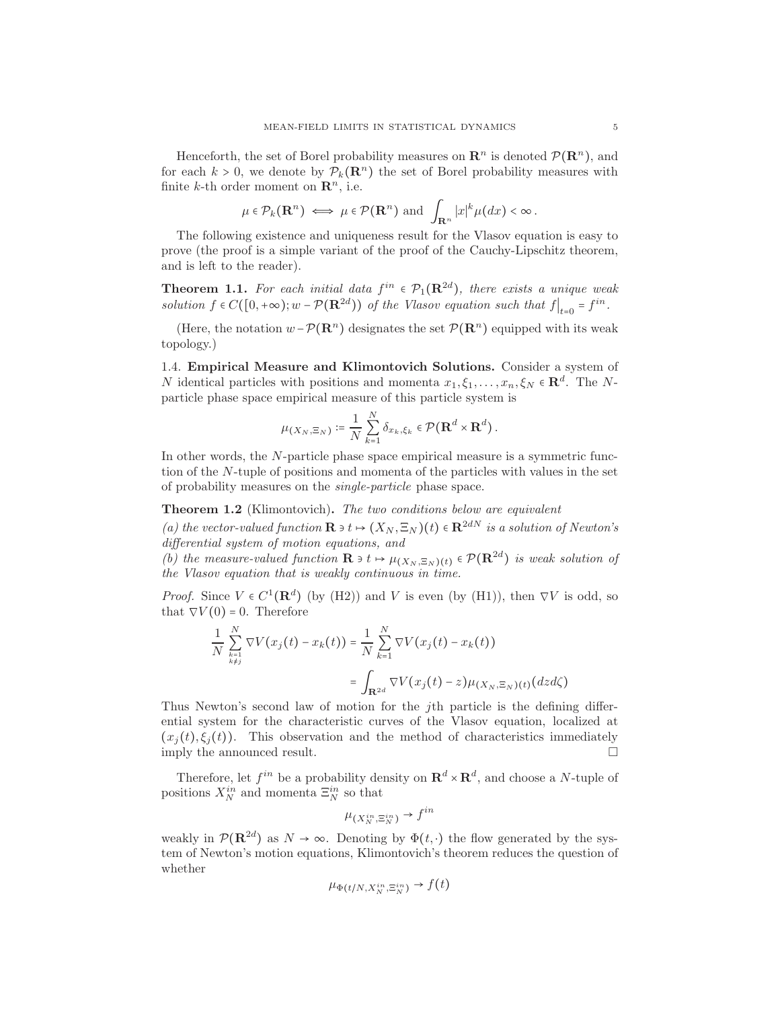Henceforth, the set of Borel probability measures on  $\mathbb{R}^n$  is denoted  $\mathcal{P}(\mathbb{R}^n)$ , and for each  $k > 0$ , we denote by  $P_k(\mathbf{R}^n)$  the set of Borel probability measures with finite k-th order moment on  $\mathbb{R}^n$ , i.e.

$$
\mu \in \mathcal{P}_k(\mathbf{R}^n) \iff \mu \in \mathcal{P}(\mathbf{R}^n) \text{ and } \int_{\mathbf{R}^n} |x|^k \mu(dx) < \infty.
$$

The following existence and uniqueness result for the Vlasov equation is easy to prove (the proof is a simple variant of the proof of the Cauchy-Lipschitz theorem, and is left to the reader).

**Theorem 1.1.** For each initial data  $f^{in} \in \mathcal{P}_1(\mathbf{R}^{2d})$ , there exists a unique weak solution  $f \in C([0, +\infty); w - \mathcal{P}(\mathbf{R}^{2d}))$  of the Vlasov equation such that  $f|_{t=0} = f^{in}$ .

(Here, the notation  $w - P(\mathbf{R}^n)$  designates the set  $P(\mathbf{R}^n)$  equipped with its weak topology.)

1.4. Empirical Measure and Klimontovich Solutions. Consider a system of N identical particles with positions and momenta  $x_1, \xi_1, \ldots, x_n, \xi_N \in \mathbb{R}^d$ . The Nparticle phase space empirical measure of this particle system is

$$
\mu_{(X_N,\Xi_N)} \coloneqq \frac{1}{N} \sum_{k=1}^N \delta_{x_k,\xi_k} \in \mathcal{P}(\mathbf{R}^d \times \mathbf{R}^d).
$$

In other words, the N-particle phase space empirical measure is a symmetric function of the N-tuple of positions and momenta of the particles with values in the set of probability measures on the single-particle phase space.

Theorem 1.2 (Klimontovich). The two conditions below are equivalent

(a) the vector-valued function  $\mathbf{R} \ni t \mapsto (X_N, \Xi_N)(t) \in \mathbf{R}^{2dN}$  is a solution of Newton's differential system of motion equations, and

(b) the measure-valued function  $\mathbf{R} \ni t \mapsto \mu_{(X_N, \Xi_N)(t)} \in \mathcal{P}(\mathbf{R}^{2d})$  is weak solution of the Vlasov equation that is weakly continuous in time.

*Proof.* Since  $V \in C^1(\mathbf{R}^d)$  (by (H2)) and V is even (by (H1)), then  $\nabla V$  is odd, so that  $\nabla V(0) = 0$ . Therefore

$$
\frac{1}{N} \sum_{\substack{k=1 \ k \neq j}}^N \nabla V(x_j(t) - x_k(t)) = \frac{1}{N} \sum_{k=1}^N \nabla V(x_j(t) - x_k(t))
$$
\n
$$
= \int_{\mathbf{R}^{2d}} \nabla V(x_j(t) - z) \mu_{(X_N, \Xi_N)(t)}(dz d\zeta)
$$

Thus Newton's second law of motion for the jth particle is the defining differential system for the characteristic curves of the Vlasov equation, localized at  $(x_j(t), \xi_j(t))$ . This observation and the method of characteristics immediately imply the announced result. imply the announced result.

Therefore, let  $f^{in}$  be a probability density on  $\mathbf{R}^d \times \mathbf{R}^d$ , and choose a N-tuple of positions  $X_N^{in}$  and momenta  $\Xi_N^{in}$  so that

$$
\mu_{(X_N^{in}, \Xi_N^{in})} \to f^{in}
$$

weakly in  $\mathcal{P}(\mathbf{R}^{2d})$  as  $N \to \infty$ . Denoting by  $\Phi(t, \cdot)$  the flow generated by the system of Newton's motion equations, Klimontovich's theorem reduces the question of whether

$$
\mu_{\Phi(t/N,X_N^{in},\Xi_N^{in})} \to f(t)
$$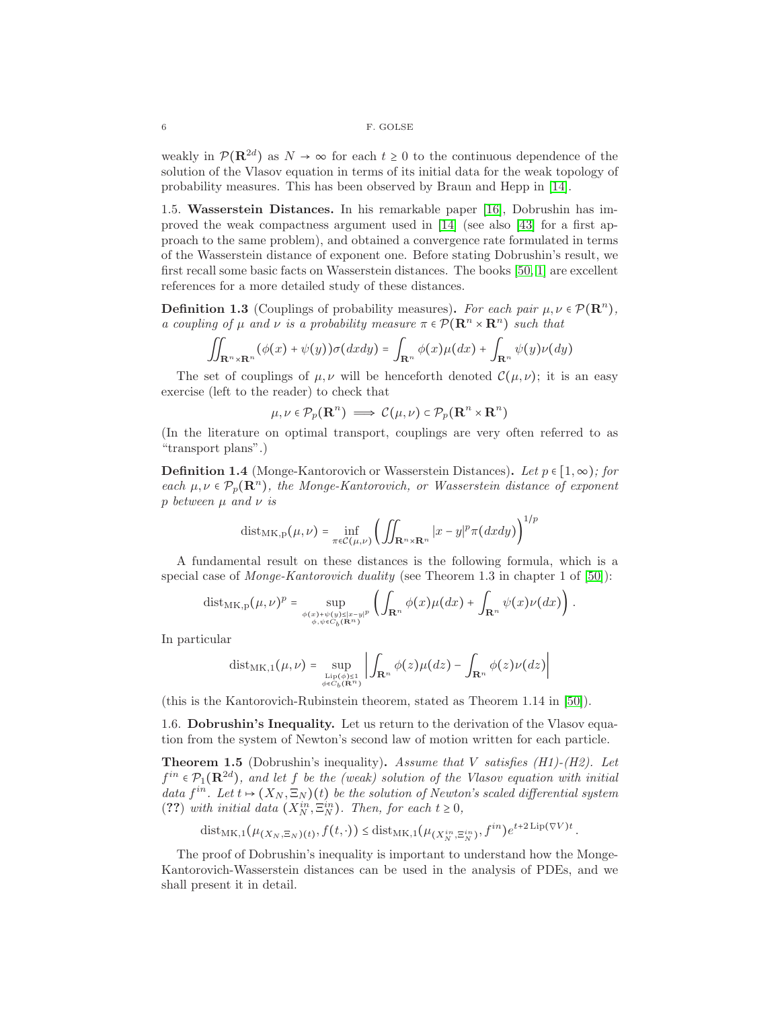weakly in  $\mathcal{P}(\mathbf{R}^{2d})$  as  $N \to \infty$  for each  $t \geq 0$  to the continuous dependence of the solution of the Vlasov equation in terms of its initial data for the weak topology of probability measures. This has been observed by Braun and Hepp in [\[14\]](#page-44-4).

1.5. Wasserstein Distances. In his remarkable paper [\[16\]](#page-44-2), Dobrushin has improved the weak compactness argument used in [\[14\]](#page-44-4) (see also [\[43\]](#page-45-3) for a first approach to the same problem), and obtained a convergence rate formulated in terms of the Wasserstein distance of exponent one. Before stating Dobrushin's result, we first recall some basic facts on Wasserstein distances. The books [\[50,](#page-45-1) [1\]](#page-43-0) are excellent references for a more detailed study of these distances.

**Definition 1.3** (Couplings of probability measures). For each pair  $\mu, \nu \in \mathcal{P}(\mathbf{R}^n)$ , a coupling of  $\mu$  and  $\nu$  is a probability measure  $\pi \in \mathcal{P}(\mathbb{R}^n \times \mathbb{R}^n)$  such that

$$
\iint_{\mathbf{R}^n \times \mathbf{R}^n} (\phi(x) + \psi(y)) \sigma(dx dy) = \int_{\mathbf{R}^n} \phi(x) \mu(dx) + \int_{\mathbf{R}^n} \psi(y) \nu(dy)
$$

The set of couplings of  $\mu, \nu$  will be henceforth denoted  $\mathcal{C}(\mu, \nu)$ ; it is an easy exercise (left to the reader) to check that

$$
\mu, \nu \in \mathcal{P}_p(\mathbf{R}^n) \implies \mathcal{C}(\mu, \nu) \subset \mathcal{P}_p(\mathbf{R}^n \times \mathbf{R}^n)
$$

(In the literature on optimal transport, couplings are very often referred to as "transport plans".)

**Definition 1.4** (Monge-Kantorovich or Wasserstein Distances). Let  $p \in [1, \infty)$ ; for each  $\mu, \nu \in \mathcal{P}_p(\mathbf{R}^n)$ , the Monge-Kantorovich, or Wasserstein distance of exponent p between  $\mu$  and  $\nu$  is

$$
dist_{MK,p}(\mu,\nu) = \inf_{\pi \in C(\mu,\nu)} \left( \iint_{\mathbf{R}^n \times \mathbf{R}^n} |x - y|^p \pi(dxdy) \right)^{1/p}
$$

A fundamental result on these distances is the following formula, which is a special case of *Monge-Kantorovich duality* (see Theorem 1.3 in chapter 1 of  $[50]$ ):

$$
\mathrm{dist}_{\mathrm{MK},p}(\mu,\nu)^p = \sup_{\phi(x)+\psi(y)\leq |x-y|^p\atop \phi,\psi\in C_b(\mathbf{R}^n)} \left( \int_{\mathbf{R}^n} \phi(x)\mu(dx) + \int_{\mathbf{R}^n} \psi(x)\nu(dx) \right).
$$

In particular

$$
dist_{MK,1}(\mu,\nu) = \sup_{\underset{\phi \in C_b(\mathbf{R}^n)}{\text{Lip}(\phi) \leq 1}} \left| \int_{\mathbf{R}^n} \phi(z) \mu(dz) - \int_{\mathbf{R}^n} \phi(z) \nu(dz) \right|
$$

(this is the Kantorovich-Rubinstein theorem, stated as Theorem 1.14 in [\[50\]](#page-45-1)).

1.6. Dobrushin's Inequality. Let us return to the derivation of the Vlasov equation from the system of Newton's second law of motion written for each particle.

**Theorem 1.5** (Dobrushin's inequality). Assume that V satisfies (H1)-(H2). Let  $f^{in} \in \mathcal{P}_1(\mathbf{R}^{2d})$ , and let f be the (weak) solution of the Vlasov equation with initial data  $f^{in}$ . Let  $t \mapsto (X_N, \Xi_N)(t)$  be the solution of Newton's scaled differential system (??) with initial data  $(X_N^{in}, \Xi_N^{in})$ . Then, for each  $t \geq 0$ ,

dist<sub>MK,1</sub>
$$
(\mu_{(X_N,\Xi_N)(t)},f(t,\cdot)) \leq \text{dist}_{MK,1}(\mu_{(X_N^{in},\Xi_N^{in})},f^{in})e^{t+2\text{Lip}(\nabla V)t}
$$
.

The proof of Dobrushin's inequality is important to understand how the Monge-Kantorovich-Wasserstein distances can be used in the analysis of PDEs, and we shall present it in detail.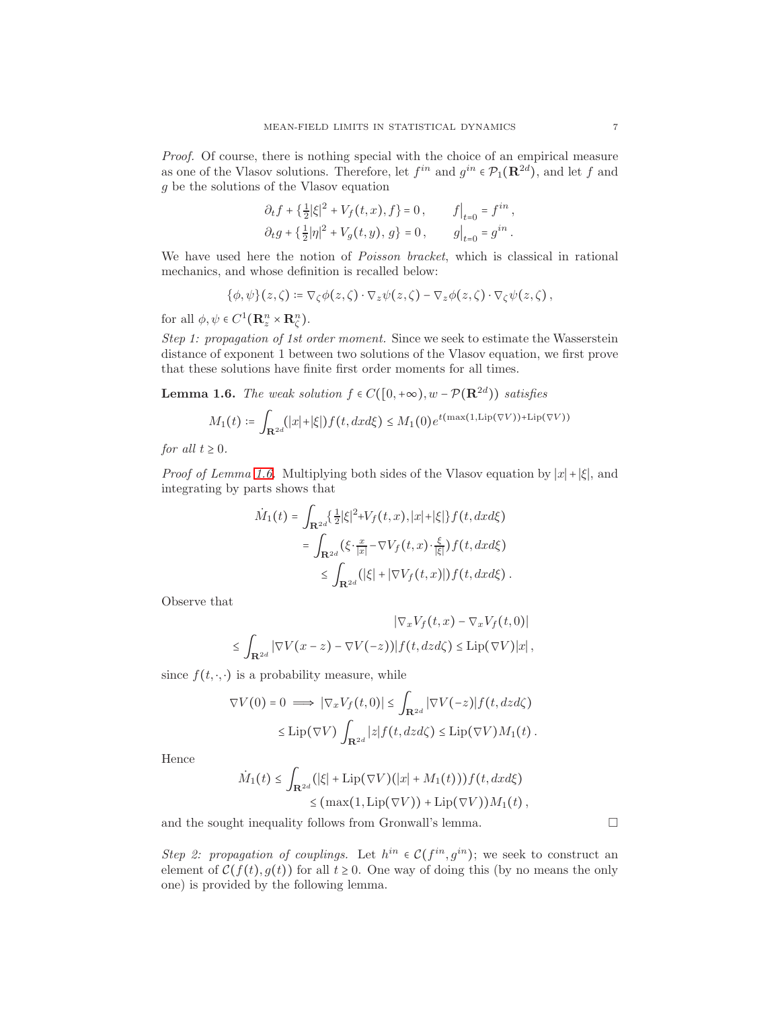Proof. Of course, there is nothing special with the choice of an empirical measure as one of the Vlasov solutions. Therefore, let  $f^{in}$  and  $g^{in} \in \mathcal{P}_1(\mathbf{R}^{2d})$ , and let f and g be the solutions of the Vlasov equation

$$
\partial_t f + \left\{ \frac{1}{2} |\xi|^2 + V_f(t, x), f \right\} = 0, \qquad f \Big|_{t=0} = f^{in},
$$
  

$$
\partial_t g + \left\{ \frac{1}{2} |\eta|^2 + V_g(t, y), g \right\} = 0, \qquad g \Big|_{t=0} = g^{in}.
$$

We have used here the notion of *Poisson bracket*, which is classical in rational mechanics, and whose definition is recalled below:

$$
\{\phi,\psi\}(z,\zeta) \coloneqq \nabla_{\zeta}\phi(z,\zeta) \cdot \nabla_z \psi(z,\zeta) - \nabla_z \phi(z,\zeta) \cdot \nabla_{\zeta} \psi(z,\zeta),
$$

for all  $\phi, \psi \in C^1(\mathbf{R}^n_z \times \mathbf{R}^n_{\zeta}).$ 

Step 1: propagation of 1st order moment. Since we seek to estimate the Wasserstein distance of exponent 1 between two solutions of the Vlasov equation, we first prove that these solutions have finite first order moments for all times.

<span id="page-6-0"></span>**Lemma 1.6.** The weak solution  $f \in C([0, +\infty), w - \mathcal{P}(\mathbb{R}^{2d}))$  satisfies

$$
M_1(t) \coloneqq \int_{\mathbf{R}^{2d}} (|x| + |\xi|) f(t, dx d\xi) \le M_1(0) e^{t(\max(1, \text{Lip}(\nabla V)) + \text{Lip}(\nabla V))}
$$

for all  $t \geq 0$ .

*Proof of Lemma [1.6.](#page-6-0)* Multiplying both sides of the Vlasov equation by  $|x|+|\xi|$ , and integrating by parts shows that

$$
\dot{M}_1(t) = \int_{\mathbf{R}^{2d}} \left\{ \frac{1}{2} |\xi|^2 + V_f(t, x), |x| + |\xi| \right\} f(t, dx d\xi)
$$
  
= 
$$
\int_{\mathbf{R}^{2d}} (\xi \cdot \frac{x}{|x|} - \nabla V_f(t, x) \cdot \frac{\xi}{|\xi|}) f(t, dx d\xi)
$$
  
\$\leq \int\_{\mathbf{R}^{2d}} (|\xi| + |\nabla V\_f(t, x)|) f(t, dx d\xi)\$.

Observe that

$$
\begin{aligned} |\nabla_x V_f(t,x) - \nabla_x V_f(t,0)| \\ \leq \int_{\mathbf{R}^{2d}} |\nabla V(x-z) - \nabla V(-z))| f(t,dz d\zeta) \leq \text{Lip}(\nabla V)|x| \,, \end{aligned}
$$

since  $f(t, \cdot, \cdot)$  is a probability measure, while

$$
\nabla V(0) = 0 \implies |\nabla_x V_f(t,0)| \leq \int_{\mathbf{R}^{2d}} |\nabla V(-z)| f(t, dz) \leq \text{Lip}(\nabla V) \int_{\mathbf{R}^{2d}} |z| f(t, dz) \leq \text{Lip}(\nabla V) M_1(t).
$$

Hence

$$
\dot{M}_1(t) \leq \int_{\mathbf{R}^{2d}} (|\xi| + \mathrm{Lip}(\nabla V)(|x| + M_1(t))) f(t, dx d\xi)
$$
  
\n
$$
\leq (\max(1, \mathrm{Lip}(\nabla V)) + \mathrm{Lip}(\nabla V)) M_1(t),
$$

and the sought inequality follows from Gronwall's lemma.  $\Box$ 

Step 2: propagation of couplings. Let  $h^{in} \in \mathcal{C}(f^{in}, g^{in})$ ; we seek to construct an element of  $C(f(t), g(t))$  for all  $t \geq 0$ . One way of doing this (by no means the only one) is provided by the following lemma.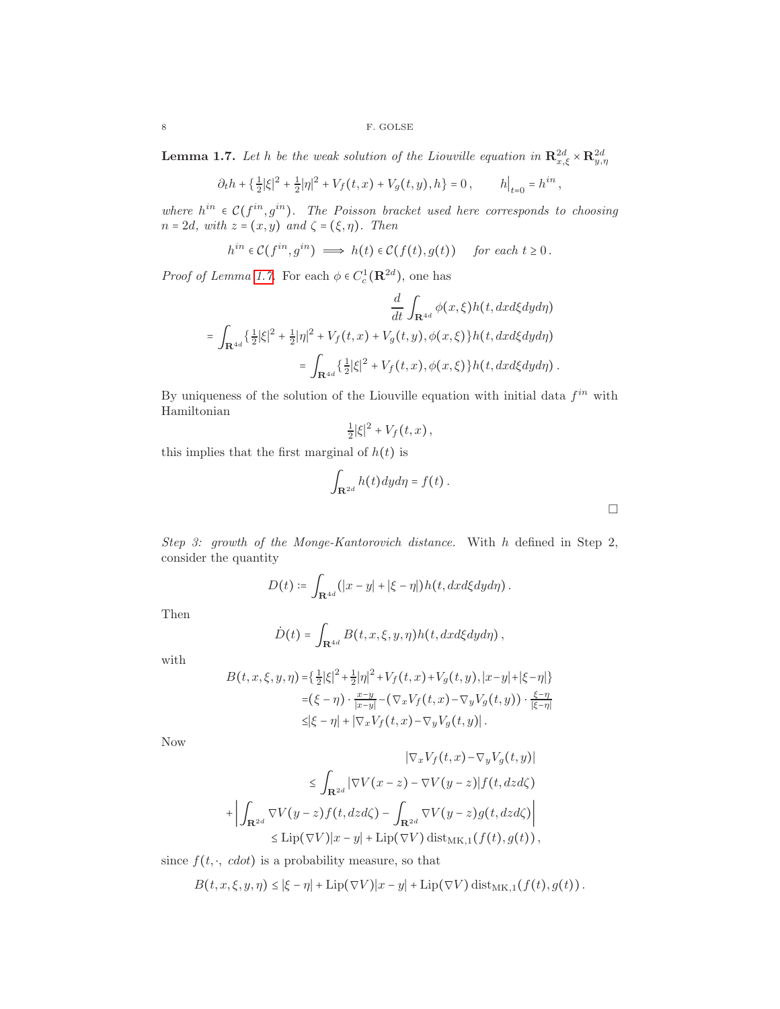<span id="page-7-0"></span>**Lemma 1.7.** Let h be the weak solution of the Liouville equation in  $\mathbb{R}^{2d}_{x,\xi} \times \mathbb{R}^{2d}_{y,\eta}$ 

$$
\partial_t h + \left\{ \frac{1}{2} |\xi|^2 + \frac{1}{2} |\eta|^2 + V_f(t, x) + V_g(t, y), h \right\} = 0, \qquad h\big|_{t=0} = h^{in},
$$

where  $h^{in} \in \mathcal{C}(f^{in}, g^{in})$ . The Poisson bracket used here corresponds to choosing  $n = 2d$ , with  $z = (x, y)$  and  $\zeta = (\xi, \eta)$ . Then

$$
h^{in} \in C(f^{in}, g^{in}) \implies h(t) \in C(f(t), g(t)) \quad \text{ for each } t \ge 0.
$$

*Proof of Lemma [1.7.](#page-7-0)* For each  $\phi \in C_c^1(\mathbf{R}^{2d})$ , one has

$$
\frac{d}{dt} \int_{\mathbf{R}^{4d}} \phi(x,\xi) h(t, dx d\xi dy d\eta)
$$
\n
$$
= \int_{\mathbf{R}^{4d}} \left\{ \frac{1}{2} |\xi|^2 + \frac{1}{2} |\eta|^2 + V_f(t,x) + V_g(t,y), \phi(x,\xi) \right\} h(t, dx d\xi dy d\eta)
$$
\n
$$
= \int_{\mathbf{R}^{4d}} \left\{ \frac{1}{2} |\xi|^2 + V_f(t,x), \phi(x,\xi) \right\} h(t, dx d\xi dy d\eta).
$$

By uniqueness of the solution of the Liouville equation with initial data  $f^{in}$  with Hamiltonian

$$
\frac{1}{2}|\xi|^2 + V_f(t,x),
$$

this implies that the first marginal of  $h(t)$  is

$$
\int_{\mathbf{R}^{2d}} h(t) dy d\eta = f(t) .
$$

Step 3: growth of the Monge-Kantorovich distance. With h defined in Step 2, consider the quantity

$$
D(t) \coloneqq \int_{\mathbf{R}^{4d}} (|x-y|+|\xi-\eta|) h(t, dx d\xi dy d\eta).
$$

Then

$$
\dot{D}(t) = \int_{\mathbf{R}^{4d}} B(t, x, \xi, y, \eta) h(t, dx d\xi dy d\eta),
$$

with

$$
B(t, x, \xi, y, \eta) = \left\{ \frac{1}{2} |\xi|^2 + \frac{1}{2} |\eta|^2 + V_f(t, x) + V_g(t, y), |x - y| + |\xi - \eta| \right\}
$$
  

$$
= (\xi - \eta) \cdot \frac{x - y}{|x - y|} - (\nabla_x V_f(t, x) - \nabla_y V_g(t, y)) \cdot \frac{\xi - \eta}{|\xi - \eta|}
$$
  

$$
\leq |\xi - \eta| + |\nabla_x V_f(t, x) - \nabla_y V_g(t, y)|.
$$

Now

$$
|\nabla_x V_f(t, x) - \nabla_y V_g(t, y)|
$$
  
\n
$$
\leq \int_{\mathbf{R}^{2d}} |\nabla V(x - z) - \nabla V(y - z)| f(t, dz) d\zeta
$$
  
\n
$$
+ \left| \int_{\mathbf{R}^{2d}} \nabla V(y - z) f(t, dz) d\zeta - \int_{\mathbf{R}^{2d}} \nabla V(y - z) g(t, dz) d\zeta \right|
$$
  
\n
$$
\leq \text{Lip}(\nabla V)|x - y| + \text{Lip}(\nabla V) \text{dist}_{\mathbf{M}\mathbf{K},1}(f(t), g(t)),
$$

since  $f(t, \cdot, \text{ edot})$  is a probability measure, so that

$$
B(t, x, \xi, y, \eta) \leq |\xi - \eta| + \text{Lip}(\nabla V)|x - y| + \text{Lip}(\nabla V) \text{dist}_{MK, 1}(f(t), g(t)).
$$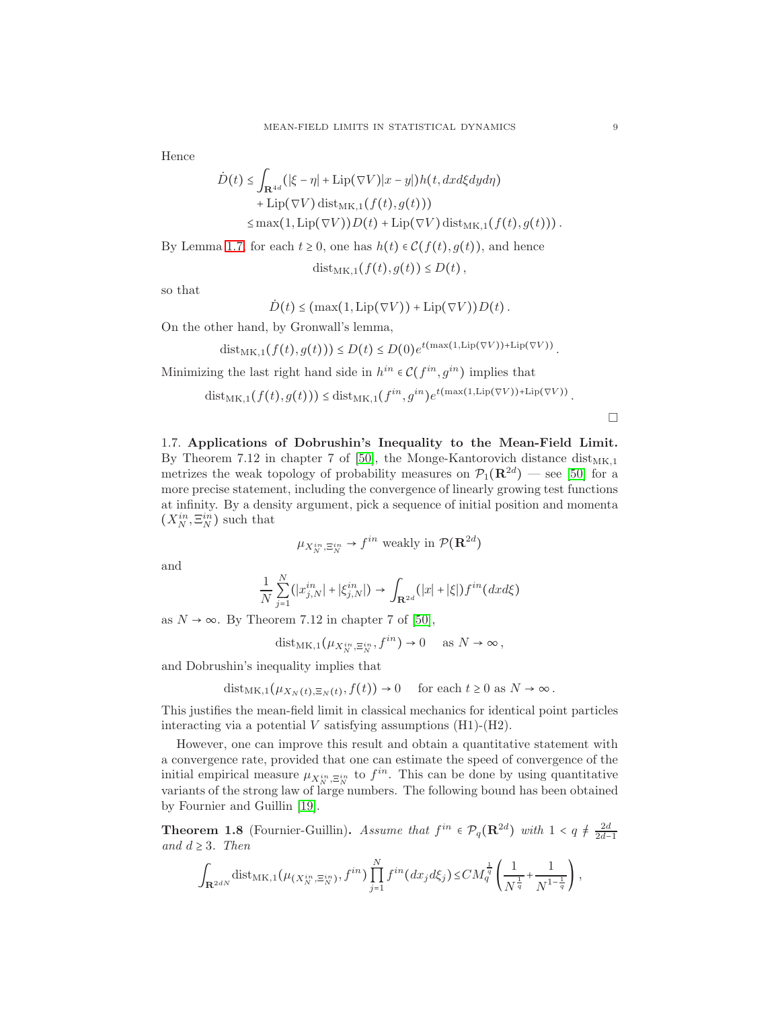Hence

$$
\dot{D}(t) \leq \int_{\mathbf{R}^{4d}} (|\xi - \eta| + \text{Lip}(\nabla V)|x - y|) h(t, dx d\xi dy d\eta) + \text{Lip}(\nabla V) \text{dist}_{MK,1}(f(t), g(t)))
$$
\n
$$
\leq \max(1, \text{Lip}(\nabla V)) D(t) + \text{Lip}(\nabla V) \text{dist}_{MK,1}(f(t), g(t))).
$$

By Lemma [1.7,](#page-7-0) for each  $t \geq 0$ , one has  $h(t) \in \mathcal{C}(f(t), g(t))$ , and hence

 $dist_{MK,1}(f(t), q(t)) \leq D(t)$ ,

so that

$$
\dot{D}(t) \leq (\max(1, \text{Lip}(\nabla V)) + \text{Lip}(\nabla V)) D(t).
$$

On the other hand, by Gronwall's lemma,

dist<sub>MK,1</sub> $(f(t), g(t))) \le D(t) \le D(0)e^{t(\max(1, \text{Lip}(\nabla V)) + \text{Lip}(\nabla V))}$ .

Minimizing the last right hand side in  $h^{in} \in \mathcal{C}(f^{in}, g^{in})$  implies that

 $dist_{MK,1}(f(t),g(t))) \leq dist_{MK,1}(f^{in},g^{in})e^{t(max(1,Lip(\nabla V))+Lip(\nabla V))}.$ 

 $\Box$ 

1.7. Applications of Dobrushin's Inequality to the Mean-Field Limit. By Theorem 7.12 in chapter 7 of [\[50\]](#page-45-1), the Monge-Kantorovich distance  $dist_{MK,1}$ metrizes the weak topology of probability measures on  $\mathcal{P}_1(\mathbf{R}^{2d})$  — see [\[50\]](#page-45-1) for a more precise statement, including the convergence of linearly growing test functions at infinity. By a density argument, pick a sequence of initial position and momenta  $(X_N^{in}, \Xi_N^{in})$  such that

$$
\mu_{X_N^{in}, \Xi_N^{in}} \to f^{in}
$$
 weakly in  $\mathcal{P}(\mathbb{R}^{2d})$ 

and

$$
\frac{1}{N} \sum_{j=1}^{N} (|x_{j,N}^{in}| + |\xi_{j,N}^{in}|) \to \int_{\mathbf{R}^{2d}} (|x| + |\xi|) f^{in} (dx d\xi)
$$

 $\sqrt{2}$ 

as  $N \rightarrow \infty$ . By Theorem 7.12 in chapter 7 of [\[50\]](#page-45-1),

$$
\mathrm{dist}_{\mathrm{MK},1}(\mu_{X_N^{in},\Xi_N^{in}},f^{in})\to 0 \quad \text{ as } N\to\infty\,,
$$

and Dobrushin's inequality implies that

$$
dist_{MK,1}(\mu_{X_N(t),\Xi_N(t)}, f(t)) \to 0 \quad \text{ for each } t \ge 0 \text{ as } N \to \infty.
$$

This justifies the mean-field limit in classical mechanics for identical point particles interacting via a potential  $V$  satisfying assumptions (H1)-(H2).

However, one can improve this result and obtain a quantitative statement with a convergence rate, provided that one can estimate the speed of convergence of the initial empirical measure  $\mu_{X_N^{in}, \Xi_N^{in}}$  to  $f^{in}$ . This can be done by using quantitative variants of the strong law of large numbers. The following bound has been obtained by Fournier and Guillin [\[19\]](#page-44-5).

**Theorem 1.8** (Fournier-Guillin). Assume that  $f^{in} \in \mathcal{P}_q(\mathbf{R}^{2d})$  with  $1 < q \neq \frac{2d}{2d-1}$ and  $d \geq 3$ . Then

$$
\int_{\mathbf{R}^{2dN}} \text{dist}_{MK,1}(\mu_{(X_N^{in}, \Xi_N^{in})}, f^{in}) \prod_{j=1}^N f^{in}(dx_j d\xi_j) \le CM_q^{\frac{1}{q}} \left( \frac{1}{N^{\frac{1}{q}}} + \frac{1}{N^{1-\frac{1}{q}}} \right),
$$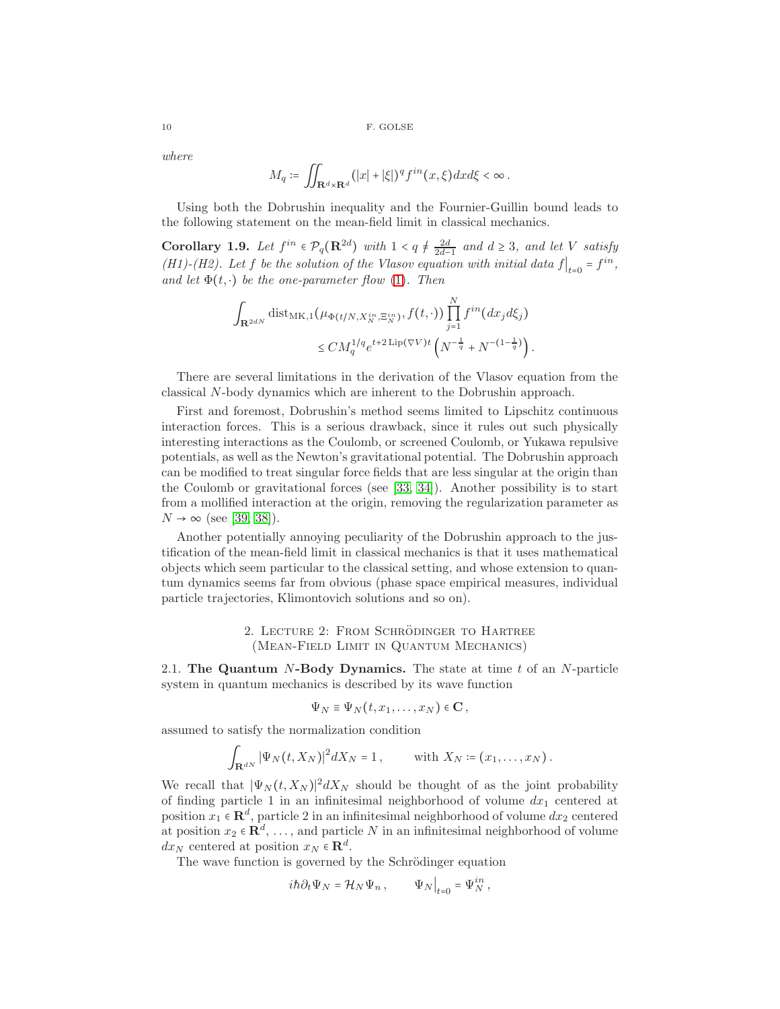where

$$
M_q \coloneqq \iint_{\mathbf{R}^d \times \mathbf{R}^d} (|x| + |\xi|)^q f^{in}(x, \xi) dx d\xi < \infty.
$$

Using both the Dobrushin inequality and the Fournier-Guillin bound leads to the following statement on the mean-field limit in classical mechanics.

**Corollary 1.9.** Let  $f^{in} \in \mathcal{P}_q(\mathbf{R}^{2d})$  with  $1 < q \neq \frac{2d}{2d-1}$  and  $d \geq 3$ , and let V satisfy (H1)-(H2). Let f be the solution of the Vlasov equation with initial data  $f|_{t=0} = f^{in}$ , and let  $\Phi(t, \cdot)$  be the one-parameter flow [\(1\)](#page-2-0). Then

$$
\int_{\mathbf{R}^{2dN}} \text{dist}_{MK,1}(\mu_{\Phi(t/N,X_N^{in},\Xi_N^{in})}, f(t,\cdot)) \prod_{j=1}^N f^{in}(dx_j d\xi_j)
$$
  

$$
\leq CM_q^{1/q} e^{t+2\text{Lip}(\nabla V)t} \left(N^{-\frac{1}{q}} + N^{-(1-\frac{1}{q})}\right).
$$

There are several limitations in the derivation of the Vlasov equation from the classical N-body dynamics which are inherent to the Dobrushin approach.

First and foremost, Dobrushin's method seems limited to Lipschitz continuous interaction forces. This is a serious drawback, since it rules out such physically interesting interactions as the Coulomb, or screened Coulomb, or Yukawa repulsive potentials, as well as the Newton's gravitational potential. The Dobrushin approach can be modified to treat singular force fields that are less singular at the origin than the Coulomb or gravitational forces (see [\[33,](#page-44-6) [34\]](#page-45-4)). Another possibility is to start from a mollified interaction at the origin, removing the regularization parameter as  $N \rightarrow \infty$  (see [\[39,](#page-45-5) [38\]](#page-45-6)).

Another potentially annoying peculiarity of the Dobrushin approach to the justification of the mean-field limit in classical mechanics is that it uses mathematical objects which seem particular to the classical setting, and whose extension to quantum dynamics seems far from obvious (phase space empirical measures, individual particle trajectories, Klimontovich solutions and so on).

# 2. LECTURE 2: FROM SCHRÖDINGER TO HARTREE (Mean-Field Limit in Quantum Mechanics)

2.1. The Quantum  $N$ -Body Dynamics. The state at time  $t$  of an  $N$ -particle system in quantum mechanics is described by its wave function

$$
\Psi_N \equiv \Psi_N(t, x_1, \dots, x_N) \in \mathbf{C},
$$

assumed to satisfy the normalization condition

$$
\int_{\mathbf{R}^{dN}} |\Psi_N(t, X_N)|^2 dX_N = 1, \quad \text{with } X_N \coloneqq (x_1, \dots, x_N) .
$$

We recall that  $|\Psi_N(t, X_N)|^2 dX_N$  should be thought of as the joint probability of finding particle 1 in an infinitesimal neighborhood of volume  $dx_1$  centered at position  $x_1 \in \mathbb{R}^d$ , particle 2 in an infinitesimal neighborhood of volume  $dx_2$  centered at position  $x_2 \in \mathbf{R}^d$ , ..., and particle N in an infinitesimal neighborhood of volume  $dx_N$  centered at position  $x_N \in \mathbf{R}^d$ .

The wave function is governed by the Schrödinger equation

$$
i\hbar \partial_t \Psi_N = \mathcal{H}_N \Psi_n \,, \qquad \Psi_N \big|_{t=0} = \Psi_N^{in} \,,
$$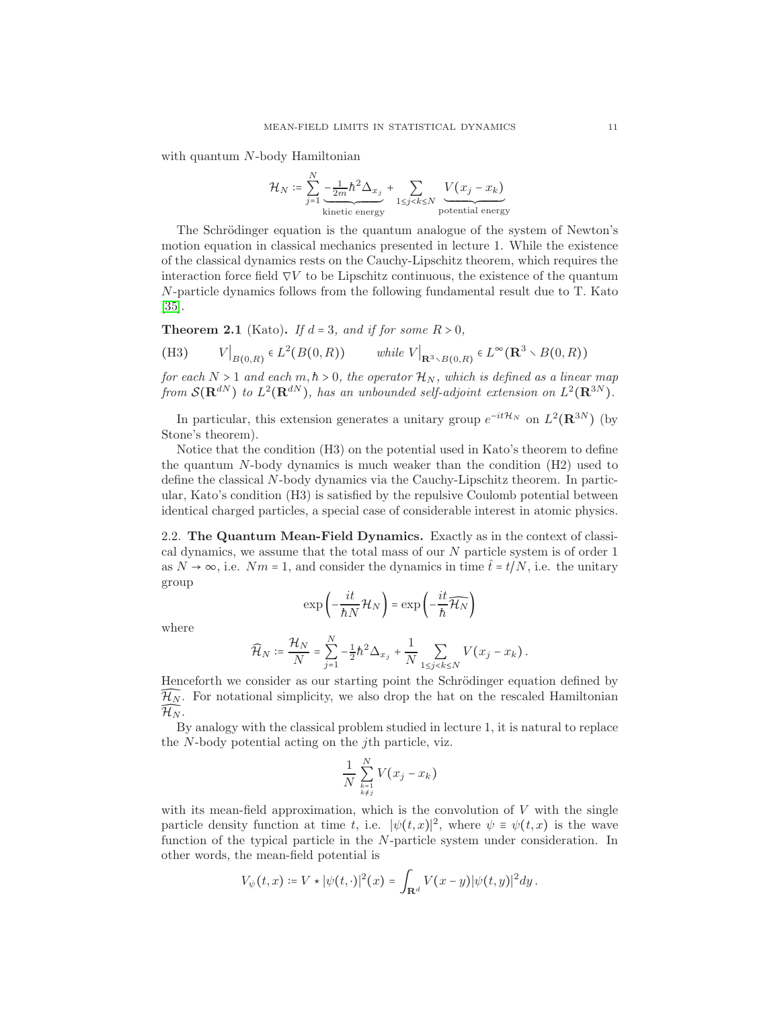with quantum N-body Hamiltonian

$$
\mathcal{H}_N \coloneqq \sum_{j=1}^N \underbrace{-\frac{1}{2m} \hbar^2 \Delta_{x_j}}_{\text{kinetic energy}} + \sum_{1 \le j < k \le N} \underbrace{V(x_j - x_k)}_{\text{potential energy}}
$$

The Schrödinger equation is the quantum analogue of the system of Newton's motion equation in classical mechanics presented in lecture 1. While the existence of the classical dynamics rests on the Cauchy-Lipschitz theorem, which requires the interaction force field  $\nabla V$  to be Lipschitz continuous, the existence of the quantum N-particle dynamics follows from the following fundamental result due to T. Kato [\[35\]](#page-45-7).

**Theorem 2.1** (Kato). If  $d = 3$ , and if for some  $R > 0$ ,

(H3) 
$$
V|_{B(0,R)} \in L^2(B(0,R)) \quad \text{while } V|_{\mathbf{R}^3 \times B(0,R)} \in L^\infty(\mathbf{R}^3 \times B(0,R))
$$

for each  $N > 1$  and each  $m, h > 0$ , the operator  $\mathcal{H}_N$ , which is defined as a linear map from  $\mathcal{S}(\mathbf{R}^{dN})$  to  $L^2(\mathbf{R}^{dN})$ , has an unbounded self-adjoint extension on  $L^2(\mathbf{R}^{3N})$ .

In particular, this extension generates a unitary group  $e^{-it\mathcal{H}_N}$  on  $L^2(\mathbf{R}^{3N})$  (by Stone's theorem).

Notice that the condition (H3) on the potential used in Kato's theorem to define the quantum N-body dynamics is much weaker than the condition (H2) used to define the classical N-body dynamics via the Cauchy-Lipschitz theorem. In particular, Kato's condition (H3) is satisfied by the repulsive Coulomb potential between identical charged particles, a special case of considerable interest in atomic physics.

2.2. The Quantum Mean-Field Dynamics. Exactly as in the context of classical dynamics, we assume that the total mass of our  $N$  particle system is of order 1 as  $N \to \infty$ , i.e.  $Nm = 1$ , and consider the dynamics in time  $\hat{t} = t/N$ , i.e. the unitary group

$$
\exp\left(-\frac{it}{\hbar N}\mathcal{H}_N\right)=\exp\left(-\frac{it}{\hbar}\widehat{\mathcal{H}_N}\right)
$$

where

$$
\widehat{\mathcal{H}}_N := \frac{\mathcal{H}_N}{N} = \sum_{j=1}^N -\frac{1}{2} \hbar^2 \Delta_{x_j} + \frac{1}{N} \sum_{1 \le j < k \le N} V(x_j - x_k) \, .
$$

Henceforth we consider as our starting point the Schrödinger equation defined by  $\widehat{\mathcal{H}_N}$ . For notational simplicity, we also drop the hat on the rescaled Hamiltonian  $\widehat{H_N}$ .

By analogy with the classical problem studied in lecture 1, it is natural to replace the N-body potential acting on the jth particle, viz.

$$
\frac{1}{N}\sum_{\stackrel{k=1}{k\neq j}}^N V(x_j-x_k)
$$

with its mean-field approximation, which is the convolution of  $V$  with the single particle density function at time t, i.e.  $|\psi(t,x)|^2$ , where  $\psi = \psi(t,x)$  is the wave function of the typical particle in the N-particle system under consideration. In other words, the mean-field potential is

$$
V_{\psi}(t,x) \coloneqq V \star |\psi(t,\cdot)|^2(x) = \int_{\mathbf{R}^d} V(x-y) |\psi(t,y)|^2 dy.
$$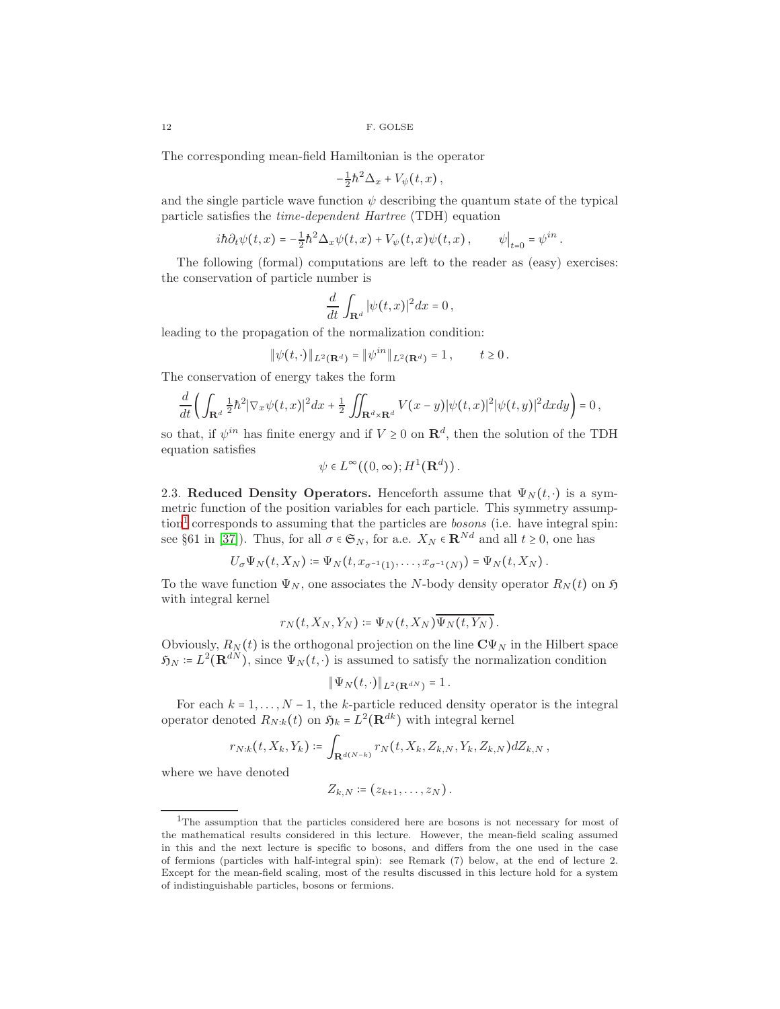The corresponding mean-field Hamiltonian is the operator

$$
-\frac{1}{2}\hbar^2\Delta_x+V_\psi(t,x)\,,
$$

and the single particle wave function  $\psi$  describing the quantum state of the typical particle satisfies the time-dependent Hartree (TDH) equation

$$
i\hbar\partial_t\psi(t,x)=-\frac{1}{2}\hbar^2\Delta_x\psi(t,x)+V_\psi(t,x)\psi(t,x),\qquad \psi\big|_{t=0}=\psi^{in}.
$$

The following (formal) computations are left to the reader as (easy) exercises: the conservation of particle number is

$$
\frac{d}{dt} \int_{\mathbf{R}^d} |\psi(t,x)|^2 dx = 0,
$$

leading to the propagation of the normalization condition:

$$
\|\psi(t,\cdot)\|_{L^2(\mathbf{R}^d)} = \|\psi^{in}\|_{L^2(\mathbf{R}^d)} = 1, \qquad t \ge 0.
$$

The conservation of energy takes the form

$$
\frac{d}{dt}\left(\int_{\mathbf{R}^d}\frac{1}{2}\hbar^2|\nabla_x\psi(t,x)|^2dx+\frac{1}{2}\iint_{\mathbf{R}^d\times\mathbf{R}^d}V(x-y)|\psi(t,x)|^2|\psi(t,y)|^2dxdy\right)=0\,,
$$

so that, if  $\psi^{in}$  has finite energy and if  $V \geq 0$  on  $\mathbb{R}^d$ , then the solution of the TDH equation satisfies

$$
\psi \in L^{\infty}((0,\infty);H^1(\mathbf{R}^d)).
$$

2.3. Reduced Density Operators. Henceforth assume that  $\Psi_N(t, \cdot)$  is a symmetric function of the position variables for each particle. This symmetry assump- $\{\text{tion}^1 \text{ corresponds to assuming that the particles are bosons (i.e. have integral spin:}\}$  $\{\text{tion}^1 \text{ corresponds to assuming that the particles are bosons (i.e. have integral spin:}\}$  $\{\text{tion}^1 \text{ corresponds to assuming that the particles are bosons (i.e. have integral spin:}\}$ see §61 in [\[37\]](#page-45-8)). Thus, for all  $\sigma \in \mathfrak{S}_N$ , for a.e.  $X_N \in \mathbb{R}^{Nd}$  and all  $t \geq 0$ , one has

$$
U_{\sigma}\Psi_N(t,X_N)\coloneqq\Psi_N(t,x_{\sigma^{-1}(1)},\ldots,x_{\sigma^{-1}(N)})=\Psi_N(t,X_N).
$$

To the wave function  $\Psi_N$ , one associates the N-body density operator  $R_N(t)$  on  $\mathfrak{H}$ with integral kernel

$$
r_N(t, X_N, Y_N) \coloneqq \Psi_N(t, X_N) \Psi_N(t, Y_N).
$$

Obviously,  $R_N(t)$  is the orthogonal projection on the line  $C\Psi_N$  in the Hilbert space  $\mathfrak{H}_N = L^2(\mathbf{R}^{dN})$ , since  $\Psi_N(t, \cdot)$  is assumed to satisfy the normalization condition

$$
\|\Psi_N(t,\cdot)\|_{L^2(\mathbf{R}^{dN})}=1.
$$

For each  $k = 1, \ldots, N - 1$ , the k-particle reduced density operator is the integral operator denoted  $R_{N:k}(t)$  on  $\mathfrak{H}_k = L^2(\mathbf{R}^{dk})$  with integral kernel

$$
r_{N:k}(t,X_k,Y_k) \coloneqq \int_{\mathbf{R}^{d(N-k)}} r_N(t,X_k,Z_{k,N},Y_k,Z_{k,N}) dZ_{k,N},
$$

where we have denoted

$$
Z_{k,N}\coloneqq (z_{k+1},\ldots,z_N)\,.
$$

<span id="page-11-0"></span><sup>&</sup>lt;sup>1</sup>The assumption that the particles considered here are bosons is not necessary for most of the mathematical results considered in this lecture. However, the mean-field scaling assumed in this and the next lecture is specific to bosons, and differs from the one used in the case of fermions (particles with half-integral spin): see Remark (7) below, at the end of lecture 2. Except for the mean-field scaling, most of the results discussed in this lecture hold for a system of indistinguishable particles, bosons or fermions.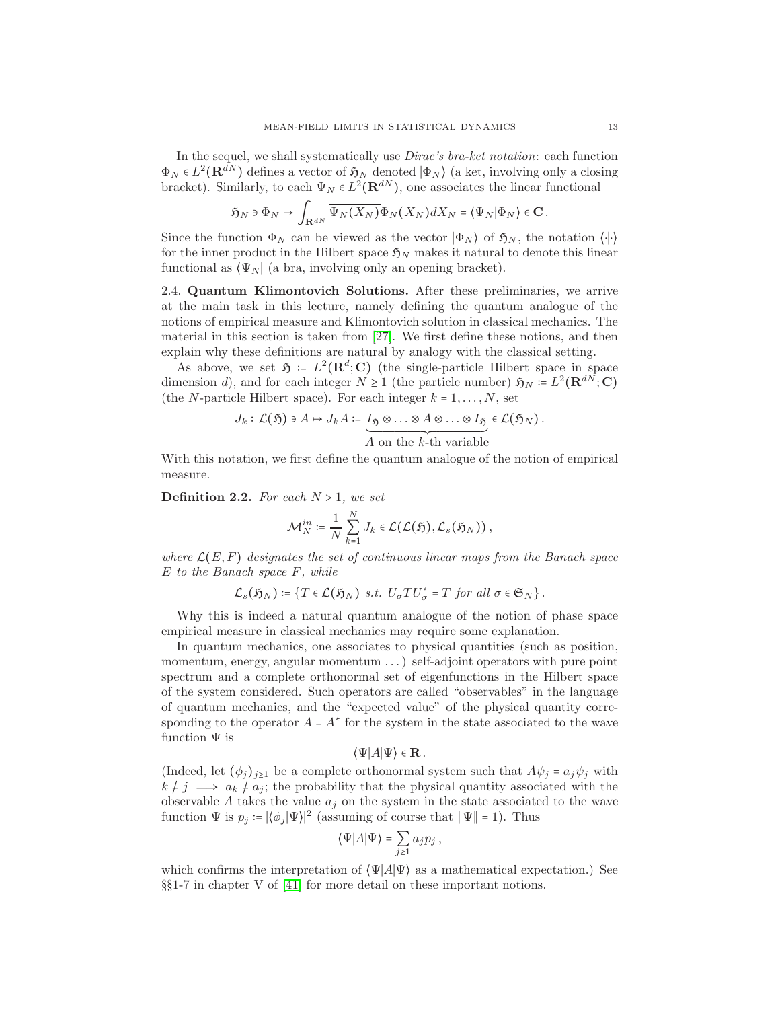In the sequel, we shall systematically use Dirac's bra-ket notation: each function  $\Phi_N \in L^2(\mathbf{R}^{dN})$  defines a vector of  $\mathfrak{H}_N$  denoted  $|\Phi_N\rangle$  (a ket, involving only a closing bracket). Similarly, to each  $\Psi_N \in L^2(\mathbf{R}^{dN})$ , one associates the linear functional

$$
\mathfrak{H}_N \ni \Phi_N \mapsto \int_{\mathbf{R}^{dN}} \overline{\Psi_N(X_N)} \Phi_N\big(X_N\big) dX_N = \big\langle \Psi_N \big| \Phi_N\big\rangle \in \mathbf{C} \, .
$$

Since the function  $\Phi_N$  can be viewed as the vector  $|\Phi_N\rangle$  of  $\mathfrak{H}_N$ , the notation  $\langle\cdot|\cdot\rangle$ for the inner product in the Hilbert space  $\mathfrak{H}_N$  makes it natural to denote this linear functional as  $\langle \Psi_N |$  (a bra, involving only an opening bracket).

2.4. Quantum Klimontovich Solutions. After these preliminaries, we arrive at the main task in this lecture, namely defining the quantum analogue of the notions of empirical measure and Klimontovich solution in classical mechanics. The material in this section is taken from [\[27\]](#page-44-7). We first define these notions, and then explain why these definitions are natural by analogy with the classical setting.

As above, we set  $\mathfrak{H} = L^2(\mathbf{R}^d; \mathbf{C})$  (the single-particle Hilbert space in space dimension d), and for each integer  $N \ge 1$  (the particle number)  $\mathfrak{H}_N = L^2(\mathbf{R}^{dN}; \mathbf{C})$ (the *N*-particle Hilbert space). For each integer  $k = 1, \ldots, N$ , set

$$
J_k: \mathcal{L}(\mathfrak{H}) \ni A \mapsto J_k A \coloneqq \underbrace{I_{\mathfrak{H}} \otimes \ldots \otimes A \otimes \ldots \otimes I_{\mathfrak{H}}}_{A \text{ on the } k\text{-th variable}} \in \mathcal{L}(\mathfrak{H}_N).
$$

With this notation, we first define the quantum analogue of the notion of empirical measure.

**Definition 2.2.** For each  $N > 1$ , we set

$$
\mathcal{M}_N^{in} \coloneqq \frac{1}{N} \sum_{k=1}^N J_k \in \mathcal{L}(\mathcal{L}(\mathfrak{H}), \mathcal{L}_s(\mathfrak{H}_N)),
$$

where  $\mathcal{L}(E, F)$  designates the set of continuous linear maps from the Banach space E to the Banach space F, while

$$
\mathcal{L}_s(\mathfrak{H}_N) \coloneqq \{ T \in \mathcal{L}(\mathfrak{H}_N) \text{ s.t. } U_{\sigma} T U_{\sigma}^* = T \text{ for all } \sigma \in \mathfrak{S}_N \}.
$$

Why this is indeed a natural quantum analogue of the notion of phase space empirical measure in classical mechanics may require some explanation.

In quantum mechanics, one associates to physical quantities (such as position, momentum, energy, angular momentum . . . ) self-adjoint operators with pure point spectrum and a complete orthonormal set of eigenfunctions in the Hilbert space of the system considered. Such operators are called "observables" in the language of quantum mechanics, and the "expected value" of the physical quantity corresponding to the operator  $A = A^*$  for the system in the state associated to the wave function  $\Psi$  is

### $\langle \Psi | A | \Psi \rangle \in \mathbf{R}$ .

(Indeed, let  $(\phi_i)_{i\geq 1}$  be a complete orthonormal system such that  $A\psi_i = a_i\psi_i$  with  $k \neq j \implies a_k \neq a_j$ ; the probability that the physical quantity associated with the observable A takes the value  $a_j$  on the system in the state associated to the wave function  $\Psi$  is  $p_j = |\langle \phi_j | \Psi \rangle|^2$  (assuming of course that  $||\Psi|| = 1$ ). Thus

$$
\langle \Psi | A | \Psi \rangle = \sum_{j \ge 1} a_j p_j \,,
$$

which confirms the interpretation of  $\langle \Psi | A | \Psi \rangle$  as a mathematical expectation.) See §§1-7 in chapter V of [\[41\]](#page-45-9) for more detail on these important notions.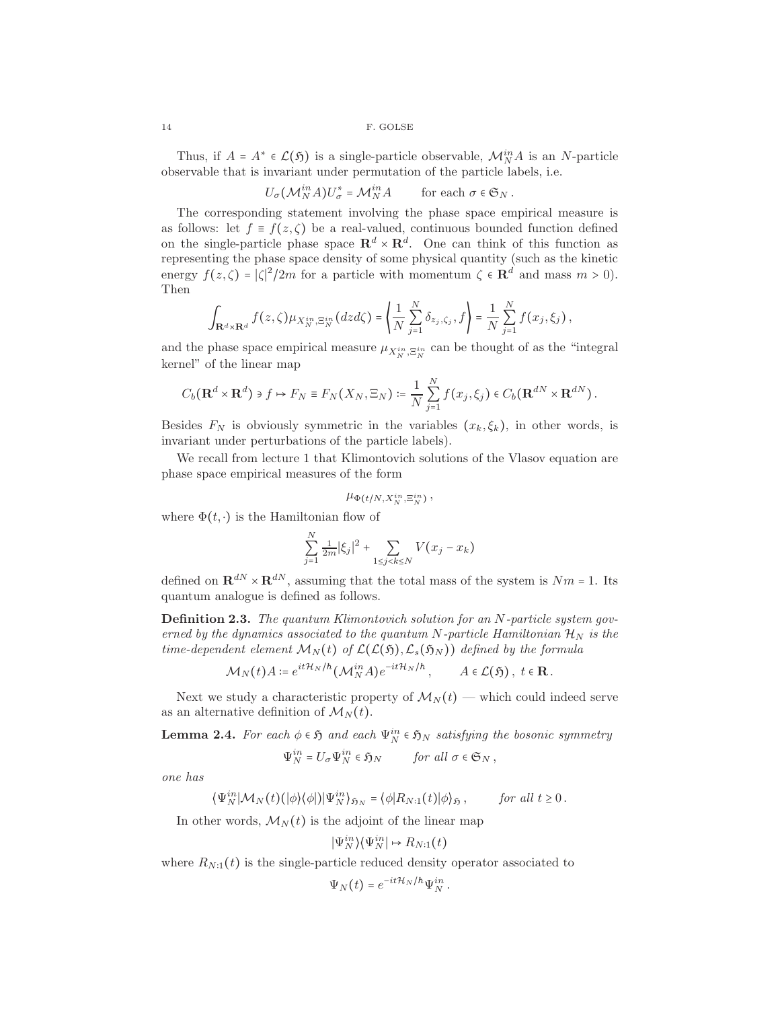Thus, if  $A = A^* \in \mathcal{L}(\mathfrak{H})$  is a single-particle observable,  $\mathcal{M}_N^{in} A$  is an N-particle observable that is invariant under permutation of the particle labels, i.e.

 $U_{\sigma}(\mathcal{M}_{N}^{in}A)U_{\sigma}^{*} = \mathcal{M}_{N}^{in}A$  for each  $\sigma \in \mathfrak{S}_{N}$ .

The corresponding statement involving the phase space empirical measure is as follows: let  $f \equiv f(z, \zeta)$  be a real-valued, continuous bounded function defined on the single-particle phase space  $\mathbb{R}^d \times \mathbb{R}^d$ . One can think of this function as representing the phase space density of some physical quantity (such as the kinetic energy  $f(z,\zeta) = |\zeta|^2/2m$  for a particle with momentum  $\zeta \in \mathbb{R}^d$  and mass  $m > 0$ . Then

$$
\int_{\mathbf{R}^d\times\mathbf{R}^d} f(z,\zeta)\mu_{X_N^{in},\Xi_N^{in}}(dzd\zeta) = \left\langle \frac{1}{N}\sum_{j=1}^N \delta_{z_j,\zeta_j},f\right\rangle = \frac{1}{N}\sum_{j=1}^N f(x_j,\xi_j),
$$

and the phase space empirical measure  $\mu_{X_N^{in}, \Xi_N^{in}}$  can be thought of as the "integral kernel" of the linear map

$$
C_b(\mathbf{R}^d \times \mathbf{R}^d) \ni f \mapsto F_N \equiv F_N(X_N, \Xi_N) \coloneqq \frac{1}{N} \sum_{j=1}^N f(x_j, \xi_j) \in C_b(\mathbf{R}^{dN} \times \mathbf{R}^{dN}).
$$

Besides  $F_N$  is obviously symmetric in the variables  $(x_k, \xi_k)$ , in other words, is invariant under perturbations of the particle labels).

We recall from lecture 1 that Klimontovich solutions of the Vlasov equation are phase space empirical measures of the form

$$
\mu_{\Phi(t/N,X_N^{in},\Xi_N^{in})}\,,
$$

where  $\Phi(t, \cdot)$  is the Hamiltonian flow of

$$
\sum_{j=1}^{N} \frac{1}{2m} |\xi_j|^2 + \sum_{1 \le j < k \le N} V(x_j - x_k)
$$

defined on  $\mathbf{R}^{dN} \times \mathbf{R}^{dN}$ , assuming that the total mass of the system is  $Nm = 1$ . Its quantum analogue is defined as follows.

Definition 2.3. The quantum Klimontovich solution for an N-particle system governed by the dynamics associated to the quantum N-particle Hamiltonian  $\mathcal{H}_N$  is the time-dependent element  $\mathcal{M}_N(t)$  of  $\mathcal{L}(\mathcal{L}(K), \mathcal{L}_s(K_N))$  defined by the formula

$$
\mathcal{M}_N(t)A \coloneqq e^{it\mathcal{H}_N/\hbar}(\mathcal{M}_N^{in}A)e^{-it\mathcal{H}_N/\hbar}, \qquad A \in \mathcal{L}(\mathfrak{H}), \ t \in \mathbb{R}.
$$

Next we study a characteristic property of  $\mathcal{M}_N(t)$  — which could indeed serve as an alternative definition of  $\mathcal{M}_N(t)$ .

<span id="page-13-0"></span>**Lemma 2.4.** For each  $\phi \in \mathfrak{H}$  and each  $\Psi_N^{in} \in \mathfrak{H}_N$  satisfying the bosonic symmetry

$$
\Psi_N^{in} = U_{\sigma} \Psi_N^{in} \in \mathfrak{H}_N \qquad \text{for all } \sigma \in \mathfrak{S}_N ,
$$

one has

$$
\langle \Psi_N^{in} | \mathcal{M}_N(t) (|\phi\rangle \langle \phi|) | \Psi_N^{in} \rangle_{\mathfrak{H}_N} = \langle \phi | R_{N:1}(t) | \phi \rangle_{\mathfrak{H}}, \quad \text{for all } t \ge 0.
$$

In other words,  $\mathcal{M}_N(t)$  is the adjoint of the linear map

$$
|\Psi_N^{in}\rangle\langle\Psi_N^{in}| \mapsto R_{N:1}(t)
$$

where  $R_{N:1}(t)$  is the single-particle reduced density operator associated to

$$
\Psi_N(t) = e^{-it\mathcal{H}_N/\hbar} \Psi_N^{in}.
$$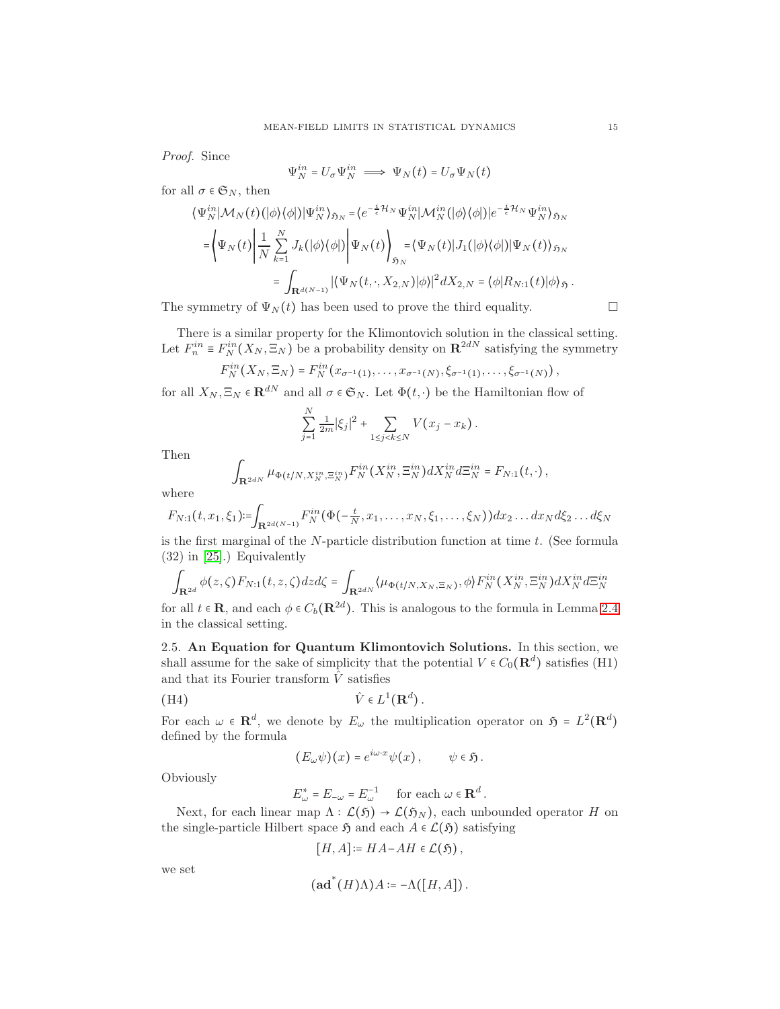Proof. Since

$$
\Psi_N^{in} = U_\sigma \Psi_N^{in} \implies \Psi_N(t) = U_\sigma \Psi_N(t)
$$

for all  $\sigma \in \mathfrak{S}_N$ , then

$$
\langle \Psi_N^{in} | \mathcal{M}_N(t) (|\phi\rangle \langle \phi|) | \Psi_N^{in} \rangle_{\mathfrak{H}_N} = \langle e^{-\frac{i}{\epsilon} \mathcal{H}_N} \Psi_N^{in} | \mathcal{M}_N^{in} (|\phi\rangle \langle \phi|) | e^{-\frac{i}{\epsilon} \mathcal{H}_N} \Psi_N^{in} \rangle_{\mathfrak{H}_N}
$$
  
\n
$$
= \left\langle \Psi_N(t) \left| \frac{1}{N} \sum_{k=1}^N J_k(|\phi\rangle \langle \phi|) \right| \Psi_N(t) \right\rangle_{\mathfrak{H}_N} = \langle \Psi_N(t) | J_1(|\phi\rangle \langle \phi|) | \Psi_N(t) \rangle_{\mathfrak{H}_N}
$$
  
\n
$$
= \int_{\mathbf{R}^{d(N-1)}} |\langle \Psi_N(t, \cdot, X_{2,N}) | \phi \rangle|^2 dX_{2,N} = \langle \phi | R_{N:1}(t) | \phi \rangle_{\mathfrak{H}}.
$$

The symmetry of  $\Psi_N(t)$  has been used to prove the third equality.  $\Box$ 

There is a similar property for the Klimontovich solution in the classical setting. Let  $F_n^{in} \equiv F_N^{in}(X_N, \Xi_N)$  be a probability density on  $\mathbb{R}^{2dN}$  satisfying the symmetry

$$
F_N^{in}(X_N,\Xi_N)=F_N^{in}(x_{\sigma^{-1}(1)},\ldots,x_{\sigma^{-1}(N)},\xi_{\sigma^{-1}(1)},\ldots,\xi_{\sigma^{-1}(N)}),
$$

for all  $X_N, \Xi_N \in \mathbf{R}^{dN}$  and all  $\sigma \in \mathfrak{S}_N$ . Let  $\Phi(t, \cdot)$  be the Hamiltonian flow of

$$
\sum_{j=1}^{N} \frac{1}{2m} |\xi_j|^2 + \sum_{1 \le j < k \le N} V(x_j - x_k) \, .
$$

Then

$$
\int_{\mathbf{R}^{2dN}} \mu_{\Phi(t/N,X_N^{in},\Xi_N^{in})} F_N^{in}(X_N^{in},\Xi_N^{in}) dX_N^{in} d\Xi_N^{in} = F_{N:1}(t,\cdot),
$$

where

$$
F_{N:1}(t, x_1, \xi_1) := \int_{\mathbf{R}^{2d(N-1)}} F_N^{in}(\Phi(-\frac{t}{N}, x_1, \dots, x_N, \xi_1, \dots, \xi_N)) dx_2 \dots dx_N d\xi_2 \dots d\xi_N
$$

is the first marginal of the  $N$ -particle distribution function at time  $t$ . (See formula (32) in [\[25\]](#page-44-8).) Equivalently

$$
\int_{\mathbf{R}^{2d}} \phi(z,\zeta) F_{N:1}(t,z,\zeta) dz d\zeta = \int_{\mathbf{R}^{2dN}} \langle \mu_{\Phi(t/N,X_N,\Xi_N)},\phi \rangle F_N^{in}(X_N^{in},\Xi_N^{in}) dX_N^{in} d\Xi_N^{in}
$$

for all  $t \in \mathbf{R}$ , and each  $\phi \in C_b(\mathbf{R}^{2d})$ . This is analogous to the formula in Lemma [2.4](#page-13-0) in the classical setting.

2.5. An Equation for Quantum Klimontovich Solutions. In this section, we shall assume for the sake of simplicity that the potential  $V \in C_0(\mathbf{R}^d)$  satisfies (H1) and that its Fourier transform  $\hat{V}$  satisfies

(H4) 
$$
\hat{V} \in L^1(\mathbf{R}^d).
$$

For each  $\omega \in \mathbb{R}^d$ , we denote by  $E_{\omega}$  the multiplication operator on  $\mathfrak{H} = L^2(\mathbb{R}^d)$ defined by the formula

$$
(E_{\omega}\psi)(x) = e^{i\omega \cdot x}\psi(x), \qquad \psi \in \mathfrak{H}.
$$

Obviously

$$
E^*_\omega = E_{-\omega} = E_{\omega}^{-1} \quad \text{ for each } \omega \in \mathbf{R}^d \, .
$$

Next, for each linear map  $\Lambda : \mathcal{L}(\mathfrak{H}) \to \mathcal{L}(\mathfrak{H}_N)$ , each unbounded operator H on the single-particle Hilbert space  $\mathfrak{H}$  and each  $A \in \mathcal{L}(\mathfrak{H})$  satisfying

$$
[H, A] \coloneqq HA - AH \in \mathcal{L}(\mathfrak{H}),
$$

we set

$$
(\mathbf{ad}^*(H)\Lambda)A \coloneqq -\Lambda([H, A]).
$$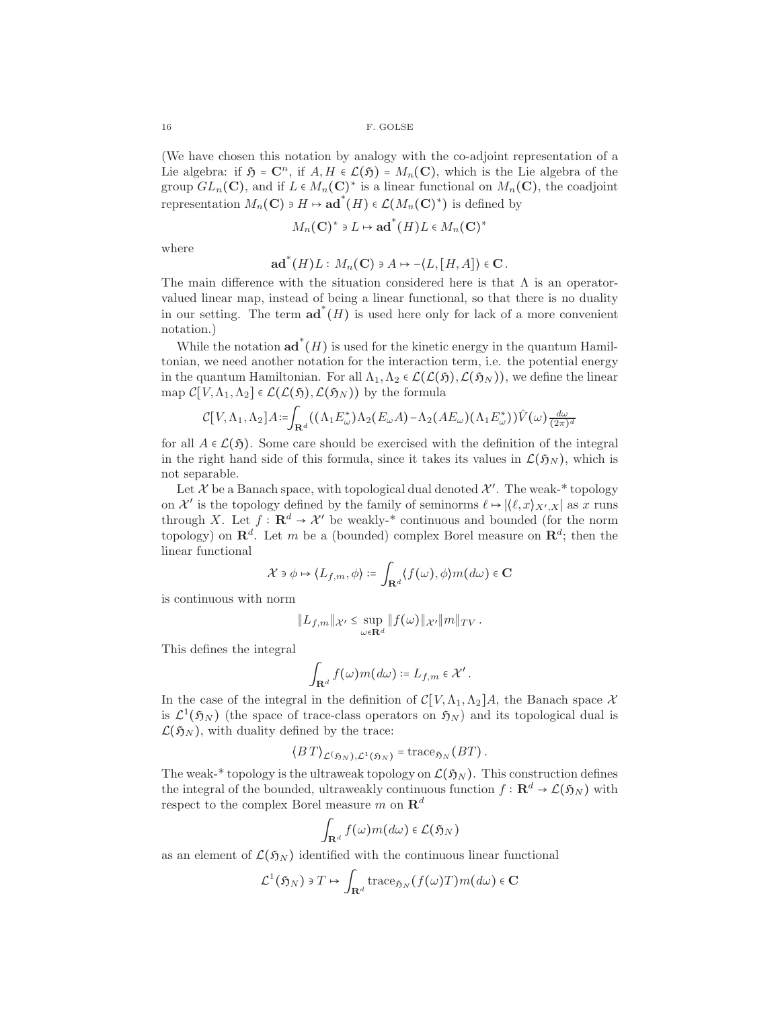(We have chosen this notation by analogy with the co-adjoint representation of a Lie algebra: if  $\mathfrak{H} = \mathbb{C}^n$ , if  $A, H \in \mathcal{L}(\mathfrak{H}) = M_n(\mathbb{C})$ , which is the Lie algebra of the group  $GL_n(\mathbb{C})$ , and if  $L \in M_n(\mathbb{C})^*$  is a linear functional on  $M_n(\mathbb{C})$ , the coadjoint representation  $M_n(\mathbf{C}) \ni H \mapsto \mathbf{ad}^*(H) \in \mathcal{L}(M_n(\mathbf{C})^*)$  is defined by

$$
M_n(\mathbf{C})^* \ni L \mapsto \mathbf{ad}^*(H)L \in M_n(\mathbf{C})^*
$$

where

$$
\mathbf{ad}^*(H)L: M_n(\mathbf{C}) \ni A \mapsto -\langle L, [H, A] \rangle \in \mathbf{C}.
$$

The main difference with the situation considered here is that  $\Lambda$  is an operatorvalued linear map, instead of being a linear functional, so that there is no duality in our setting. The term  $\mathbf{ad}^*(H)$  is used here only for lack of a more convenient notation.)

While the notation  $\mathbf{ad}^*(H)$  is used for the kinetic energy in the quantum Hamiltonian, we need another notation for the interaction term, i.e. the potential energy in the quantum Hamiltonian. For all  $\Lambda_1, \Lambda_2 \in \mathcal{L}(\mathcal{L}(5), \mathcal{L}(5_N))$ , we define the linear map  $\mathcal{C}[V,\Lambda_1,\Lambda_2] \in \mathcal{L}(\mathcal{L}(\mathfrak{H}),\mathcal{L}(\mathfrak{H}_N))$  by the formula

$$
\mathcal{C}[V,\Lambda_1,\Lambda_2]A\!:=\!\!\int_{\mathbf{R}^d}\!\big((\Lambda_1E_{\omega}^*)\Lambda_2(E_{\omega}A)-\Lambda_2(AE_{\omega})(\Lambda_1E_{\omega}^*)\big)\hat{V}(\omega)\tfrac{d\omega}{(2\pi)^d}
$$

for all  $A \in \mathcal{L}(\mathfrak{H})$ . Some care should be exercised with the definition of the integral in the right hand side of this formula, since it takes its values in  $\mathcal{L}(\mathfrak{H}_N)$ , which is not separable.

Let X be a Banach space, with topological dual denoted  $\mathcal{X}'$ . The weak-\* topology on X' is the topology defined by the family of seminorms  $\ell \mapsto |\langle \ell, x \rangle_{X',X}|$  as x runs through X. Let  $f: \mathbf{R}^d \to \mathcal{X}'$  be weakly-\* continuous and bounded (for the norm topology) on  $\mathbb{R}^d$ . Let m be a (bounded) complex Borel measure on  $\mathbb{R}^d$ ; then the linear functional

$$
\mathcal{X}\ni\phi\mapsto\langle L_{f,m},\phi\rangle\coloneqq\int_{\mathbf{R}^d}\langle f(\omega),\phi\rangle m(d\omega)\in\mathbf{C}
$$

is continuous with norm

$$
||L_{f,m}||_{\mathcal{X}'} \leq \sup_{\omega \in \mathbf{R}^d} ||f(\omega)||_{\mathcal{X}'}||m||_{TV}.
$$

This defines the integral

$$
\int_{\mathbf{R}^d} f(\omega) m(d\omega) \coloneqq L_{f,m} \in \mathcal{X}'.
$$

In the case of the integral in the definition of  $\mathcal{C}[V,\Lambda_1,\Lambda_2]A$ , the Banach space X is  $\mathcal{L}^1(\mathfrak{H}_N)$  (the space of trace-class operators on  $\mathfrak{H}_N$ ) and its topological dual is  $\mathcal{L}(\mathfrak{H}_N)$ , with duality defined by the trace:

$$
\langle B\,T\rangle_{\mathcal{L}(\mathfrak{H}_N),\mathcal{L}^1(\mathfrak{H}_N)}=\text{trace}_{\mathfrak{H}_N}(BT).
$$

The weak-\* topology is the ultraweak topology on  $\mathcal{L}(\mathfrak{H}_N)$ . This construction defines the integral of the bounded, ultraweakly continuous function  $f : \mathbf{R}^d \to \mathcal{L}(\mathfrak{H}_N)$  with respect to the complex Borel measure m on  $\mathbb{R}^d$ 

$$
\int_{\mathbf{R}^d} f(\omega) m(d\omega) \in \mathcal{L}(\mathfrak{H}_N)
$$

as an element of  $\mathcal{L}(\mathfrak{H}_N)$  identified with the continuous linear functional

$$
\mathcal{L}^1(\mathfrak{H}_N) \ni T \mapsto \int_{\mathbf{R}^d} \operatorname{trace}_{\mathfrak{H}_N}(f(\omega)T)m(d\omega) \in \mathbf{C}
$$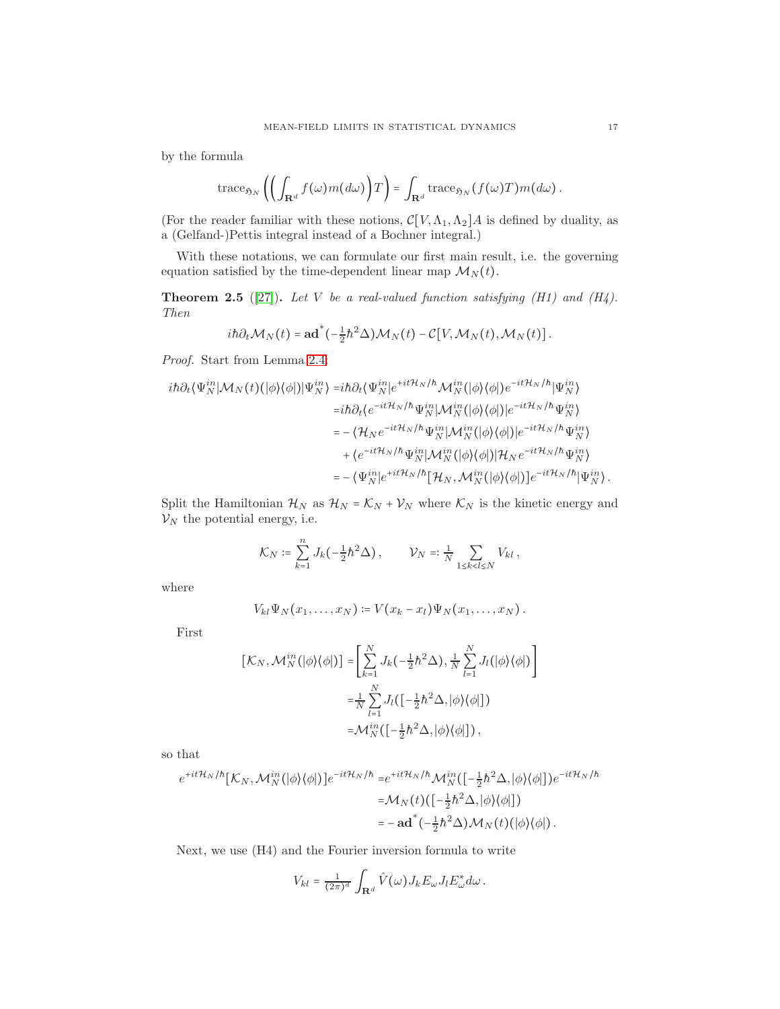by the formula

trace<sub>$$
\mathfrak{H}_N
$$</sub>  $\left( \left( \int_{\mathbf{R}^d} f(\omega) m(d\omega) \right) T \right) = \int_{\mathbf{R}^d} \operatorname{trace}_{\mathfrak{H}_N} (f(\omega) T) m(d\omega).$ 

(For the reader familiar with these notions,  $\mathcal{C}[V,\Lambda_1,\Lambda_2]A$  is defined by duality, as a (Gelfand-)Pettis integral instead of a Bochner integral.)

With these notations, we can formulate our first main result, i.e. the governing equation satisfied by the time-dependent linear map  $\mathcal{M}_N(t)$ .

<span id="page-16-0"></span>**Theorem 2.5** ([\[27\]](#page-44-7)). Let V be a real-valued function satisfying (H1) and (H4). Then

$$
i\hbar\partial_t\mathcal{M}_N(t) = \mathbf{ad}^*(-\tfrac{1}{2}\hbar^2\Delta)\mathcal{M}_N(t) - \mathcal{C}[V,\mathcal{M}_N(t),\mathcal{M}_N(t)].
$$

Proof. Start from Lemma [2.4:](#page-13-0)

$$
\begin{split} i\hbar\partial_t \langle\Psi_N^{in}|\mathcal{M}_N(t)(|\phi\rangle\langle\phi|)|\Psi_N^{in}\rangle =&i\hbar\partial_t \langle\Psi_N^{in}|e^{+it\mathcal{H}_N/\hbar}\mathcal{M}_N^{in}(|\phi\rangle\langle\phi|)e^{-it\mathcal{H}_N/\hbar}|\Psi_N^{in}\rangle\\ =&i\hbar\partial_t \langle e^{-it\mathcal{H}_N/\hbar}\Psi_N^{in}|\mathcal{M}_N^{in}(|\phi\rangle\langle\phi|)|e^{-it\mathcal{H}_N/\hbar}\Psi_N^{in}\rangle\\ =&-\langle\mathcal{H}_N e^{-it\mathcal{H}_N/\hbar}\Psi_N^{in}|\mathcal{M}_N^{in}(|\phi\rangle\langle\phi|)|e^{-it\mathcal{H}_N/\hbar}\Psi_N^{in}\rangle\\ &+\langle e^{-it\mathcal{H}_N/\hbar}\Psi_N^{in}|\mathcal{M}_N^{in}(|\phi\rangle\langle\phi|)|\mathcal{H}_N e^{-it\mathcal{H}_N/\hbar}\Psi_N^{in}\rangle\\ =&-\langle\Psi_N^{in}|e^{+it\mathcal{H}_N/\hbar}[\mathcal{H}_N,\mathcal{M}_N^{in}(|\phi\rangle\langle\phi|)]e^{-it\mathcal{H}_N/\hbar}|\Psi_N^{in}\rangle. \end{split}
$$

Split the Hamiltonian  $\mathcal{H}_N$  as  $\mathcal{H}_N = \mathcal{K}_N + \mathcal{V}_N$  where  $\mathcal{K}_N$  is the kinetic energy and  $\mathcal{V}_N$  the potential energy, i.e.

$$
\mathcal{K}_N \coloneqq \sum_{k=1}^n J_k(-\tfrac{1}{2}\hbar^2\Delta)\,, \qquad \mathcal{V}_N \eqqcolon \tfrac{1}{N} \sum_{1 \le k < l \le N} V_{kl}\,,
$$

where

$$
V_{kl}\Psi_N(x_1,\ldots,x_N)\coloneqq V(x_k-x_l)\Psi_N(x_1,\ldots,x_N).
$$

First

$$
\begin{aligned} [\mathcal{K}_N, \mathcal{M}_N^{in}(|\phi\rangle\langle\phi|)] &= \left[ \sum_{k=1}^N J_k(-\frac{1}{2}\hbar^2 \Delta), \frac{1}{N} \sum_{l=1}^N J_l(|\phi\rangle\langle\phi|) \right] \\ &= \frac{1}{N} \sum_{l=1}^N J_l\big( \big[ -\frac{1}{2}\hbar^2 \Delta, |\phi\rangle\langle\phi| \big] \big) \\ &= \mathcal{M}_N^{in} \big( \big[ -\frac{1}{2}\hbar^2 \Delta, |\phi\rangle\langle\phi| \big] \big) \,, \end{aligned}
$$

so that

$$
e^{+it\mathcal{H}_N/\hbar}[\mathcal{K}_N, \mathcal{M}_N^{in}(|\phi\rangle\langle\phi|)]e^{-it\mathcal{H}_N/\hbar} = e^{+it\mathcal{H}_N/\hbar} \mathcal{M}_N^{in}([-\frac{1}{2}\hbar^2 \Delta, |\phi\rangle\langle\phi|])e^{-it\mathcal{H}_N/\hbar}
$$
  

$$
= \mathcal{M}_N(t)([-\frac{1}{2}\hbar^2 \Delta, |\phi\rangle\langle\phi|])
$$
  

$$
= -ad^*(-\frac{1}{2}\hbar^2 \Delta)\mathcal{M}_N(t)(|\phi\rangle\langle\phi|).
$$

Next, we use (H4) and the Fourier inversion formula to write

$$
V_{kl} = \frac{1}{(2\pi)^d} \int_{\mathbf{R}^d} \hat{V}(\omega) J_k E_{\omega} J_l E_{\omega}^* d\omega.
$$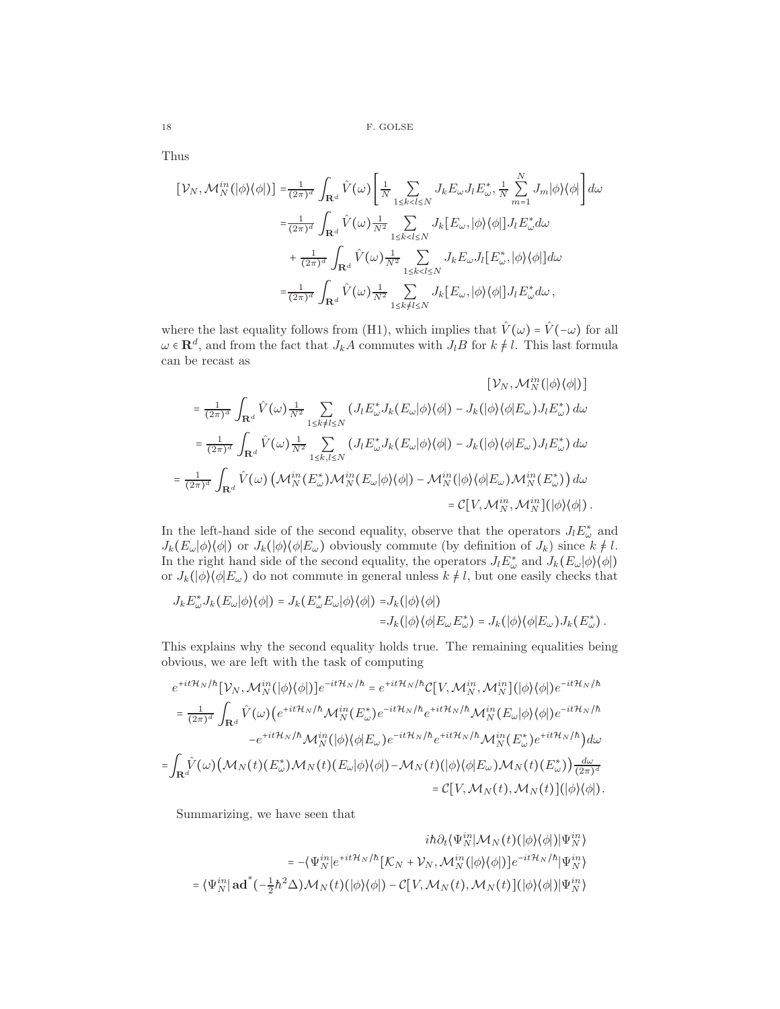Thus

$$
\begin{split} \left[\mathcal{V}_{N},\mathcal{M}_{N}^{in}(|\phi\rangle\langle\phi|)\right] = & \frac{1}{(2\pi)^{d}}\int_{\mathbf{R}^{d}}\hat{V}(\omega)\Bigg[\frac{1}{N}\sum_{1\leq k
$$

where the last equality follows from (H1), which implies that  $\hat{V}(\omega) = \hat{V}(-\omega)$  for all  $\omega \in \mathbf{R}^d$ , and from the fact that  $J_k A$  commutes with  $J_l B$  for  $k \neq l$ . This last formula can be recast as

$$
[V_N, \mathcal{M}_N^{in}(|\phi\rangle\langle\phi|)]
$$
  
\n
$$
= \frac{1}{(2\pi)^d} \int_{\mathbf{R}^d} \hat{V}(\omega) \frac{1}{N^2} \sum_{1 \le k \ne l \le N} (J_l E_{\omega}^* J_k(E_{\omega}|\phi\rangle\langle\phi|) - J_k(|\phi\rangle\langle\phi|E_{\omega}) J_l E_{\omega}^*) d\omega
$$
  
\n
$$
= \frac{1}{(2\pi)^d} \int_{\mathbf{R}^d} \hat{V}(\omega) \frac{1}{N^2} \sum_{1 \le k,l \le N} (J_l E_{\omega}^* J_k(E_{\omega}|\phi\rangle\langle\phi|) - J_k(|\phi\rangle\langle\phi|E_{\omega}) J_l E_{\omega}^*) d\omega
$$
  
\n
$$
= \frac{1}{(2\pi)^d} \int_{\mathbf{R}^d} \hat{V}(\omega) \left( \mathcal{M}_N^{in}(E_{\omega}^*) \mathcal{M}_N^{in}(E_{\omega}|\phi\rangle\langle\phi|) - \mathcal{M}_N^{in}(|\phi\rangle\langle\phi|E_{\omega}) \mathcal{M}_N^{in}(E_{\omega}^*) \right) d\omega
$$
  
\n
$$
= \mathcal{C}[V, \mathcal{M}_N^{in}, \mathcal{M}_N^{in}](\phi\rangle\langle\phi|).
$$

In the left-hand side of the second equality, observe that the operators  $J_l E^*_{\omega}$  and  $J_k(E_\omega|\phi\rangle\langle\phi|)$  or  $J_k(|\phi\rangle\langle\phi|E_\omega)$  obviously commute (by definition of  $J_k$ ) since  $k \neq l$ . In the right hand side of the second equality, the operators  $J_l E^*_{\omega}$  and  $J_k(E_{\omega}|\phi\rangle\langle\phi|)$ or  $J_k(|\phi\rangle\langle\phi|E_\omega)$  do not commute in general unless  $k \neq l$ , but one easily checks that

$$
J_k E_{\omega}^* J_k(E_{\omega}|\phi\rangle\langle\phi|) = J_k(E_{\omega}^* E_{\omega}|\phi\rangle\langle\phi|) = J_k(|\phi\rangle\langle\phi|)
$$
  

$$
= J_k(|\phi\rangle\langle\phi|E_{\omega} E_{\omega}^*) = J_k(|\phi\rangle\langle\phi|E_{\omega} E_{\omega}^*)
$$

This explains why the second equality holds true. The remaining equalities being obvious, we are left with the task of computing

$$
e^{+it\mathcal{H}_N/\hbar}[\mathcal{V}_N, \mathcal{M}_N^{in}(|\phi\rangle\langle\phi|)]e^{-it\mathcal{H}_N/\hbar} = e^{+it\mathcal{H}_N/\hbar} \mathcal{C}[V, \mathcal{M}_N^{in}, \mathcal{M}_N^{in}] (|\phi\rangle\langle\phi|) e^{-it\mathcal{H}_N/\hbar}
$$
  
\n
$$
= \frac{1}{(2\pi)^d} \int_{\mathbf{R}^d} \hat{V}(\omega) \Big( e^{+it\mathcal{H}_N/\hbar} \mathcal{M}_N^{in} (E_{\omega}^*) e^{-it\mathcal{H}_N/\hbar} e^{+it\mathcal{H}_N/\hbar} \mathcal{M}_N^{in} (E_{\omega}|\phi\rangle\langle\phi|) e^{-it\mathcal{H}_N/\hbar}
$$
  
\n
$$
-e^{+it\mathcal{H}_N/\hbar} \mathcal{M}_N^{in} (|\phi\rangle\langle\phi| E_{\omega}) e^{-it\mathcal{H}_N/\hbar} e^{+it\mathcal{H}_N/\hbar} \mathcal{M}_N^{in} (E_{\omega}^*) e^{+it\mathcal{H}_N/\hbar} \Big) d\omega
$$
  
\n
$$
= \int_{\mathbf{R}^d} \hat{V}(\omega) \Big( \mathcal{M}_N(t) (E_{\omega}^*) \mathcal{M}_N(t) (E_{\omega}|\phi\rangle\langle\phi|) - \mathcal{M}_N(t) (|\phi\rangle\langle\phi| E_{\omega}) \mathcal{M}_N(t) (E_{\omega}^*) \Big) \frac{d\omega}{(2\pi)^d}
$$
  
\n
$$
= \mathcal{C}[V, \mathcal{M}_N(t), \mathcal{M}_N(t)] (|\phi\rangle\langle\phi|).
$$

Summarizing, we have seen that

$$
\begin{aligned} i\hbar\partial_t\langle\Psi_N^{in}|\mathcal{M}_N(t)(|\phi\rangle\langle\phi|)|\Psi_N^{in}\rangle\\ =&-\langle\Psi_N^{in}|e^{+it\mathcal{H}_N/\hbar}\big[K_N+\mathcal{V}_N,\mathcal{M}_N^{in}(|\phi\rangle\langle\phi|)\big]e^{-it\mathcal{H}_N/\hbar}\big|\Psi_N^{in}\rangle\\ =&\langle\Psi_N^{in}|\mathbf{ad}^*(-\tfrac{1}{2}\hbar^2\Delta)\mathcal{M}_N(t)(|\phi\rangle\langle\phi|)-\mathcal{C}[V,\mathcal{M}_N(t),\mathcal{M}_N(t)](|\phi\rangle\langle\phi|)\big|\Psi_N^{in}\rangle\end{aligned}
$$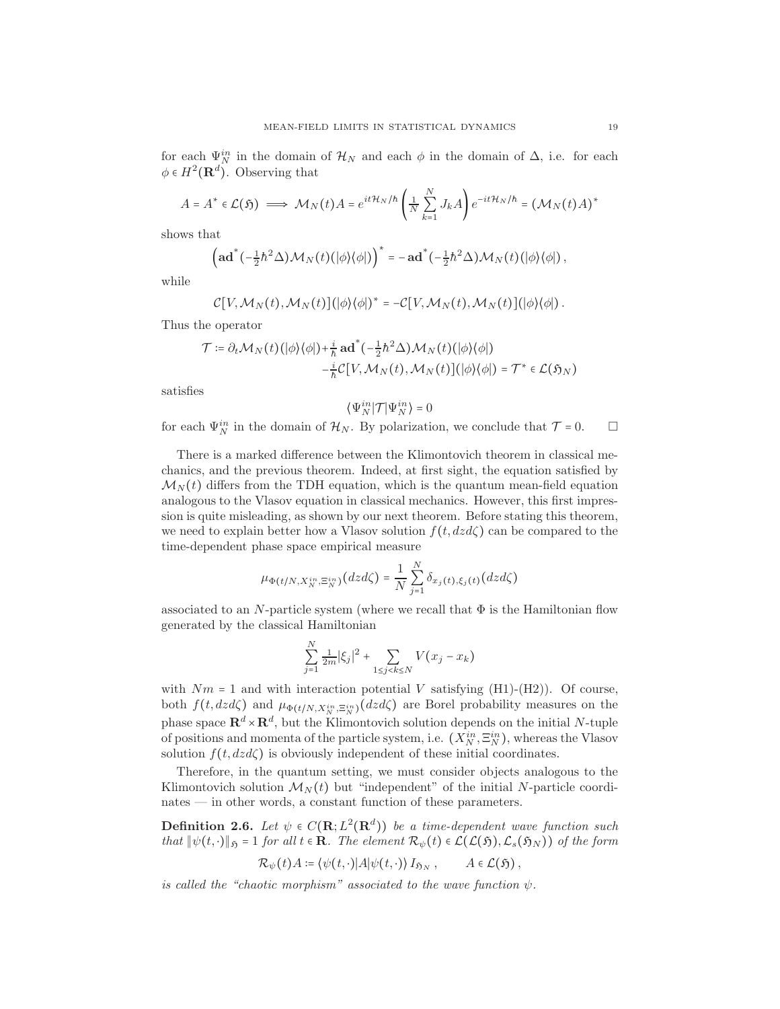for each  $\Psi_N^{in}$  in the domain of  $\mathcal{H}_N$  and each  $\phi$  in the domain of  $\Delta$ , i.e. for each  $\phi \in H^2(\mathbf{R}^d)$ . Observing that

$$
A=A^*\in \mathcal{L}(\mathfrak{H})\implies \mathcal{M}_N(t)A=e^{it\mathcal{H}_N/\hbar}\left(\frac{1}{N}\sum_{k=1}^NJ_kA\right)e^{-it\mathcal{H}_N/\hbar}=(\mathcal{M}_N(t)A)^*
$$

shows that

$$
\left(\mathbf{ad}^*(-\tfrac{1}{2}\hbar^2\Delta)\mathcal{M}_N(t)(\big|\phi\big\rangle\big\langle\phi\big|\big)\right)^*=-\mathbf{ad}^*(-\tfrac{1}{2}\hbar^2\Delta)\mathcal{M}_N(t)(\big|\phi\big\rangle\big\langle\phi\big|\big)\,,
$$

while

$$
C[V, \mathcal{M}_N(t), \mathcal{M}_N(t)](\phi)(\phi)\rangle^* = -C[V, \mathcal{M}_N(t), \mathcal{M}_N(t)](\phi)(\phi)\ .
$$

Thus the operator

$$
\mathcal{T} \coloneqq \partial_t \mathcal{M}_N(t) \left( |\phi\rangle \langle \phi| \right) + \frac{i}{\hbar} \mathbf{a} \mathbf{d}^* \left( -\frac{1}{2} \hbar^2 \Delta \right) \mathcal{M}_N(t) \left( |\phi\rangle \langle \phi| \right) - \frac{i}{\hbar} \mathcal{C} \left[ V, \mathcal{M}_N(t), \mathcal{M}_N(t) \right] \left( |\phi\rangle \langle \phi| \right) = \mathcal{T}^* \in \mathcal{L}(\mathfrak{H}_N)
$$

satisfies

$$
\big\langle \Psi_N^{in} \big| \mathcal{T} \big| \Psi_N^{in} \big\rangle = 0
$$

for each  $\Psi_N^{in}$  in the domain of  $\mathcal{H}_N$ . By polarization, we conclude that  $\mathcal{T} = 0$ .  $\Box$ 

There is a marked difference between the Klimontovich theorem in classical mechanics, and the previous theorem. Indeed, at first sight, the equation satisfied by  $\mathcal{M}_N(t)$  differs from the TDH equation, which is the quantum mean-field equation analogous to the Vlasov equation in classical mechanics. However, this first impression is quite misleading, as shown by our next theorem. Before stating this theorem, we need to explain better how a Vlasov solution  $f(t, dz d\zeta)$  can be compared to the time-dependent phase space empirical measure

$$
\mu_{\Phi(t/N,X_N^{in},\Xi_N^{in})}(dzd\zeta)=\frac{1}{N}\sum_{j=1}^N\delta_{x_j(t),\xi_j(t)}(dzd\zeta)
$$

associated to an N-particle system (where we recall that  $\Phi$  is the Hamiltonian flow generated by the classical Hamiltonian

$$
\sum_{j=1}^{N} \frac{1}{2m} |\xi_j|^2 + \sum_{1 \le j < k \le N} V(x_j - x_k)
$$

with  $Nm = 1$  and with interaction potential V satisfying (H1)-(H2)). Of course, both  $f(t, dz)$  and  $\mu_{\Phi(t/N, X_N^{in}, \Xi_N^{in})}(dz)$  are Borel probability measures on the phase space  $\mathbb{R}^d \times \mathbb{R}^d$ , but the Klimontovich solution depends on the initial N-tuple of positions and momenta of the particle system, i.e.  $(X_N^{in}, \Xi_N^{in})$ , whereas the Vlasov solution  $f(t, d z d \zeta)$  is obviously independent of these initial coordinates.

Therefore, in the quantum setting, we must consider objects analogous to the Klimontovich solution  $\mathcal{M}_N(t)$  but "independent" of the initial N-particle coordinates — in other words, a constant function of these parameters.

<span id="page-18-0"></span>**Definition 2.6.** Let  $\psi \in C(\mathbf{R}; L^2(\mathbf{R}^d))$  be a time-dependent wave function such that  $\|\psi(t, \cdot)\|_{\mathfrak{H}} = 1$  for all  $t \in \mathbb{R}$ . The element  $\mathcal{R}_{\psi}(t) \in \mathcal{L}(\mathcal{L}(\mathfrak{H}), \mathcal{L}_s(\mathfrak{H}_N))$  of the form

$$
\mathcal{R}_{\psi}(t)A \coloneqq \langle \psi(t,\cdot)|A|\psi(t,\cdot)\rangle I_{\mathfrak{H}_N}, \qquad A \in \mathcal{L}(\mathfrak{H}),
$$

is called the "chaotic morphism" associated to the wave function  $\psi$ .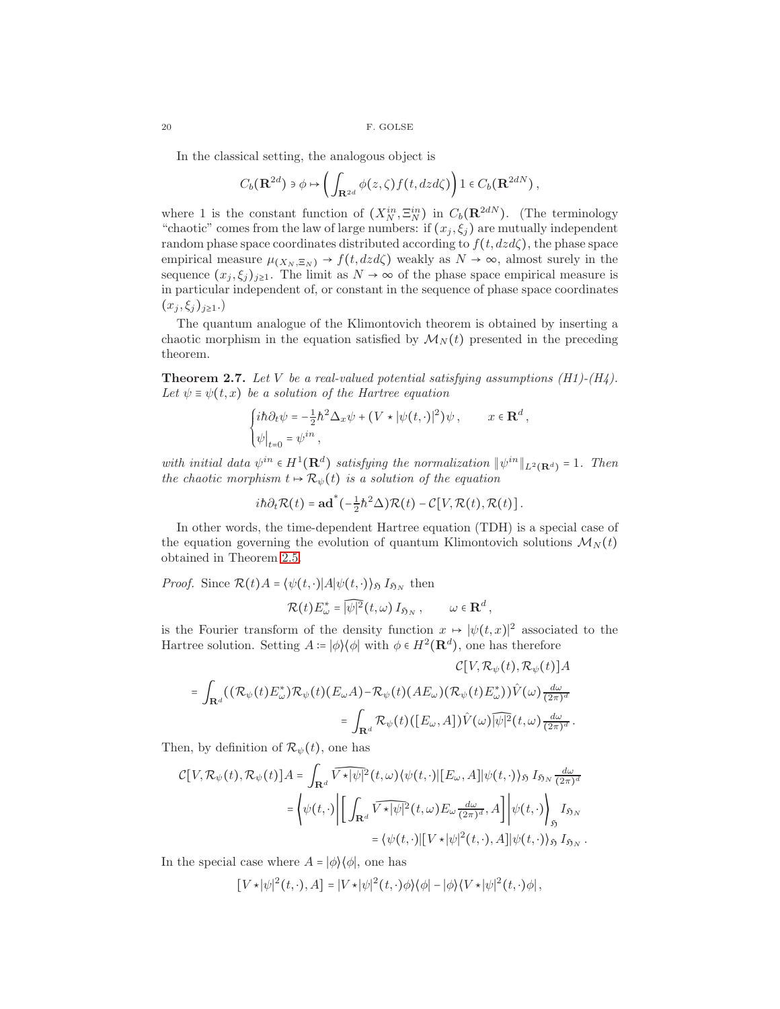In the classical setting, the analogous object is

$$
C_b(\mathbf{R}^{2d})\ni\phi\mapsto\left(\int_{\mathbf{R}^{2d}}\phi(z,\zeta)f(t,dzd\zeta)\right)1\in C_b(\mathbf{R}^{2dN}),
$$

where 1 is the constant function of  $(X_N^{in}, \Xi_N^{in})$  in  $C_b(\mathbf{R}^{2dN})$ . (The terminology "chaotic" comes from the law of large numbers: if  $(x_j, \xi_j)$  are mutually independent random phase space coordinates distributed according to  $f(t, dz d\zeta)$ , the phase space empirical measure  $\mu_{(X_N, \Xi_N)} \to f(t, dz d\zeta)$  weakly as  $N \to \infty$ , almost surely in the sequence  $(x_j, \xi_j)_{j\geq 1}$ . The limit as  $N \to \infty$  of the phase space empirical measure is in particular independent of, or constant in the sequence of phase space coordinates  $(x_j, \xi_j)_{j\geq 1}$ .)

The quantum analogue of the Klimontovich theorem is obtained by inserting a chaotic morphism in the equation satisfied by  $\mathcal{M}_N(t)$  presented in the preceding theorem.

<span id="page-19-0"></span>**Theorem 2.7.** Let V be a real-valued potential satisfying assumptions  $(H1)-(H4)$ . Let  $\psi \equiv \psi(t, x)$  be a solution of the Hartree equation

$$
\begin{cases} i\hbar \partial_t \psi = -\frac{1}{2} \hbar^2 \Delta_x \psi + (V \star |\psi(t, \cdot)|^2) \psi, & x \in \mathbf{R}^d, \\ \psi|_{t=0} = \psi^{in}, \end{cases}
$$

with initial data  $\psi^{in} \in H^1(\mathbf{R}^d)$  satisfying the normalization  $\|\psi^{in}\|_{L^2(\mathbf{R}^d)} = 1$ . Then the chaotic morphism  $t \mapsto \mathcal{R}_{\psi}(t)$  is a solution of the equation

$$
i\hbar\partial_t \mathcal{R}(t) = \mathbf{ad}^*(-\tfrac{1}{2}\hbar^2 \Delta) \mathcal{R}(t) - \mathcal{C}[V, \mathcal{R}(t), \mathcal{R}(t)].
$$

In other words, the time-dependent Hartree equation (TDH) is a special case of the equation governing the evolution of quantum Klimontovich solutions  $\mathcal{M}_N(t)$ obtained in Theorem [2.5.](#page-16-0)

*Proof.* Since  $\mathcal{R}(t)A = \langle \psi(t, \cdot) | A | \psi(t, \cdot) \rangle_{\mathfrak{H}} I_{\mathfrak{H}_N}$  then

$$
\mathcal{R}(t) E_{\omega}^* = \widehat{|\psi|^2}(t,\omega) I_{\mathfrak{H}_N}, \qquad \omega \in \mathbf{R}^d,
$$

is the Fourier transform of the density function  $x \mapsto |\psi(t,x)|^2$  associated to the Hartree solution. Setting  $A = |\phi\rangle\langle\phi|$  with  $\phi \in H^2(\mathbf{R}^d)$ , one has therefore

$$
\mathcal{C}[V, \mathcal{R}_{\psi}(t), \mathcal{R}_{\psi}(t)]A
$$
  
= 
$$
\int_{\mathbf{R}^d} ((\mathcal{R}_{\psi}(t)E_{\omega}^*)\mathcal{R}_{\psi}(t)(E_{\omega}A) - \mathcal{R}_{\psi}(t)(AE_{\omega})(\mathcal{R}_{\psi}(t)E_{\omega}^*))\hat{V}(\omega)\frac{d\omega}{(2\pi)^d}
$$
  
= 
$$
\int_{\mathbf{R}^d} \mathcal{R}_{\psi}(t)([E_{\omega}, A])\hat{V}(\omega)\overline{[\psi]^2}(t, \omega)\frac{d\omega}{(2\pi)^d}.
$$

Then, by definition of  $\mathcal{R}_{\psi}(t)$ , one has

$$
\mathcal{C}[V, \mathcal{R}_{\psi}(t), \mathcal{R}_{\psi}(t)]A = \int_{\mathbf{R}^d} \widehat{V \star |\psi|^2} (t, \omega) \langle \psi(t, \cdot) | [E_{\omega}, A] | \psi(t, \cdot) \rangle_{\mathfrak{H}} I_{\mathfrak{H}_N} \frac{d\omega}{(2\pi)^d}
$$

$$
= \left\langle \psi(t, \cdot) \Big| \left[ \int_{\mathbf{R}^d} \widehat{V \star |\psi|^2} (t, \omega) E_{\omega} \frac{d\omega}{(2\pi)^d}, A \right] \Big| \psi(t, \cdot) \right\rangle_{\mathfrak{H}} I_{\mathfrak{H}_N}
$$

$$
= \left\langle \psi(t, \cdot) | [V \star |\psi|^2(t, \cdot), A] | \psi(t, \cdot) \right\rangle_{\mathfrak{H}} I_{\mathfrak{H}_N}.
$$

In the special case where  $A = |\phi\rangle\langle\phi|$ , one has

$$
[V \star |\psi|^2(t,\cdot),A] = |V \star |\psi|^2(t,\cdot)\phi\rangle\langle\phi| - |\phi\rangle\langle V \star |\psi|^2(t,\cdot)\phi|,
$$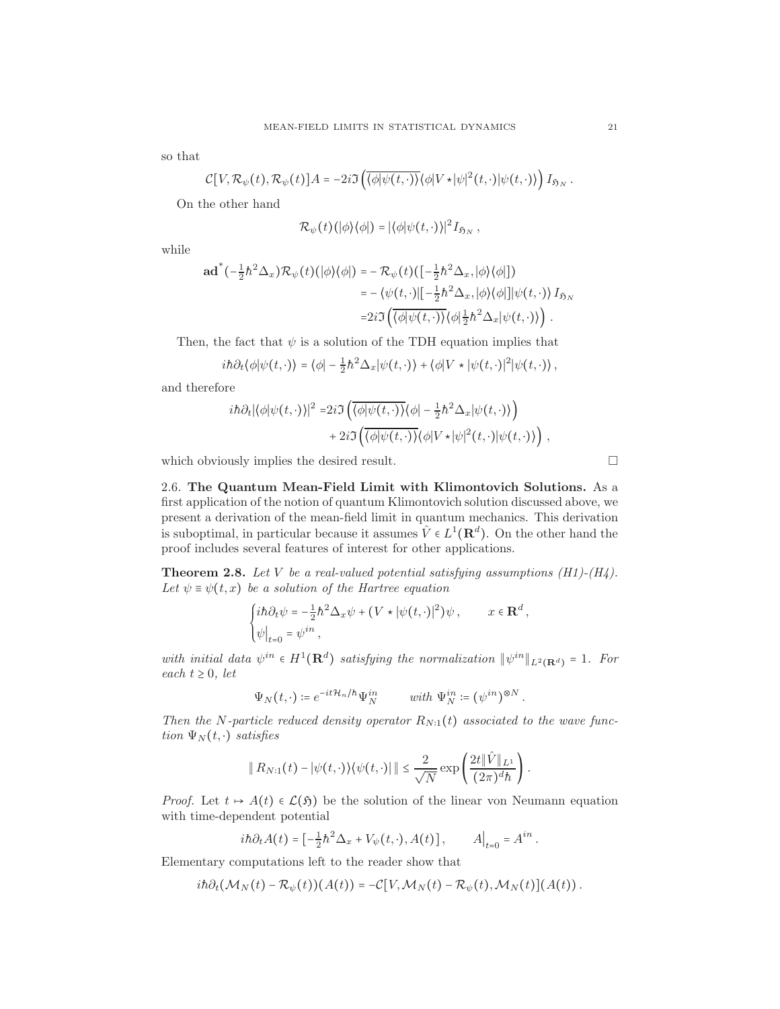so that

$$
\mathcal{C}[V,\mathcal{R}_{\psi}(t),\mathcal{R}_{\psi}(t)]A=-2i\Im\left(\overline{\langle\phi|\psi(t,\cdot)\rangle}\langle\phi|V\star|\psi|^2(t,\cdot)|\psi(t,\cdot)\rangle\right)I_{\mathfrak{H}_N}.
$$

On the other hand

$$
\mathcal{R}_{\psi}(t)(|\phi\rangle\langle\phi|) = |\langle\phi|\psi(t,\cdot)\rangle|^2 I_{\mathfrak{H}_N},
$$

while

$$
\mathbf{ad}^* (-\frac{1}{2}h^2 \Delta_x) \mathcal{R}_{\psi}(t)(|\phi\rangle\langle\phi|) = -\mathcal{R}_{\psi}(t)(\left[-\frac{1}{2}h^2 \Delta_x, |\phi\rangle\langle\phi|\right])
$$
  

$$
= -\langle\psi(t, \cdot)|\left[-\frac{1}{2}h^2 \Delta_x, |\phi\rangle\langle\phi|\right]|\psi(t, \cdot)\rangle I_{\mathfrak{H}_N}
$$
  

$$
= 2i\Im\left(\overline{\langle\phi|\psi(t, \cdot)\rangle}\langle\phi|\frac{1}{2}h^2 \Delta_x|\psi(t, \cdot)\rangle\right).
$$

Then, the fact that  $\psi$  is a solution of the TDH equation implies that

$$
i\hbar\partial_t\langle\phi|\psi(t,\cdot)\rangle=\langle\phi|-\frac{1}{2}\hbar^2\Delta_x|\psi(t,\cdot)\rangle+\langle\phi|V\star|\psi(t,\cdot)|^2|\psi(t,\cdot)\rangle,
$$

and therefore

$$
i\hbar \partial_t |\langle \phi | \psi(t, \cdot) \rangle|^2 = 2i \Im \left( \overline{\langle \phi | \psi(t, \cdot) \rangle} \langle \phi | - \frac{1}{2} \hbar^2 \Delta_x | \psi(t, \cdot) \rangle \right) + 2i \Im \left( \overline{\langle \phi | \psi(t, \cdot) \rangle} \langle \phi | V \star | \psi |^2(t, \cdot) | \psi(t, \cdot) \rangle \right),
$$

which obviously implies the desired result.

2.6. The Quantum Mean-Field Limit with Klimontovich Solutions. As a first application of the notion of quantum Klimontovich solution discussed above, we present a derivation of the mean-field limit in quantum mechanics. This derivation is suboptimal, in particular because it assumes  $\hat{V} \in L^1(\mathbf{R}^d)$ . On the other hand the proof includes several features of interest for other applications.

**Theorem 2.8.** Let V be a real-valued potential satisfying assumptions  $(H1)-(H4)$ . Let  $\psi \equiv \psi(t, x)$  be a solution of the Hartree equation

$$
\begin{cases} i\hbar \partial_t \psi = -\frac{1}{2} \hbar^2 \Delta_x \psi + (V \star |\psi(t, \cdot)|^2) \psi \,, & x \in \mathbf{R}^d \,, \\ \psi \big|_{t=0} = \psi^{in} \,, & \end{cases}
$$

with initial data  $\psi^{in} \in H^1(\mathbf{R}^d)$  satisfying the normalization  $\|\psi^{in}\|_{L^2(\mathbf{R}^d)} = 1$ . For each  $t \geq 0$ , let

$$
\Psi_N(t,\cdot) \coloneqq e^{-it\mathcal{H}_n/\hbar}\Psi_N^{in} \qquad \text{ with } \Psi_N^{in} \coloneqq (\psi^{in})^{\otimes N}\,.
$$

Then the N-particle reduced density operator  $R_{N:1}(t)$  associated to the wave function  $\Psi_N(t, \cdot)$  satisfies

$$
\|R_{N:1}(t)-|\psi(t,\cdot)\rangle\langle\psi(t,\cdot)|\|\leq\frac{2}{\sqrt{N}}\exp\left(\frac{2t\|\hat{V}\|_{L^1}}{(2\pi)^d\hbar}\right).
$$

*Proof.* Let  $t \mapsto A(t) \in \mathcal{L}(\mathfrak{H})$  be the solution of the linear von Neumann equation with time-dependent potential

$$
i\hbar\partial_t A(t) = \left[ -\frac{1}{2}\hbar^2 \Delta_x + V_\psi(t,\cdot), A(t) \right], \qquad A\big|_{t=0} = A^{in}.
$$

Elementary computations left to the reader show that

$$
i\hbar\partial_t(\mathcal{M}_N(t)-\mathcal{R}_{\psi}(t))(A(t))=-\mathcal{C}[V,\mathcal{M}_N(t)-\mathcal{R}_{\psi}(t),\mathcal{M}_N(t)](A(t)).
$$

$$
\Box
$$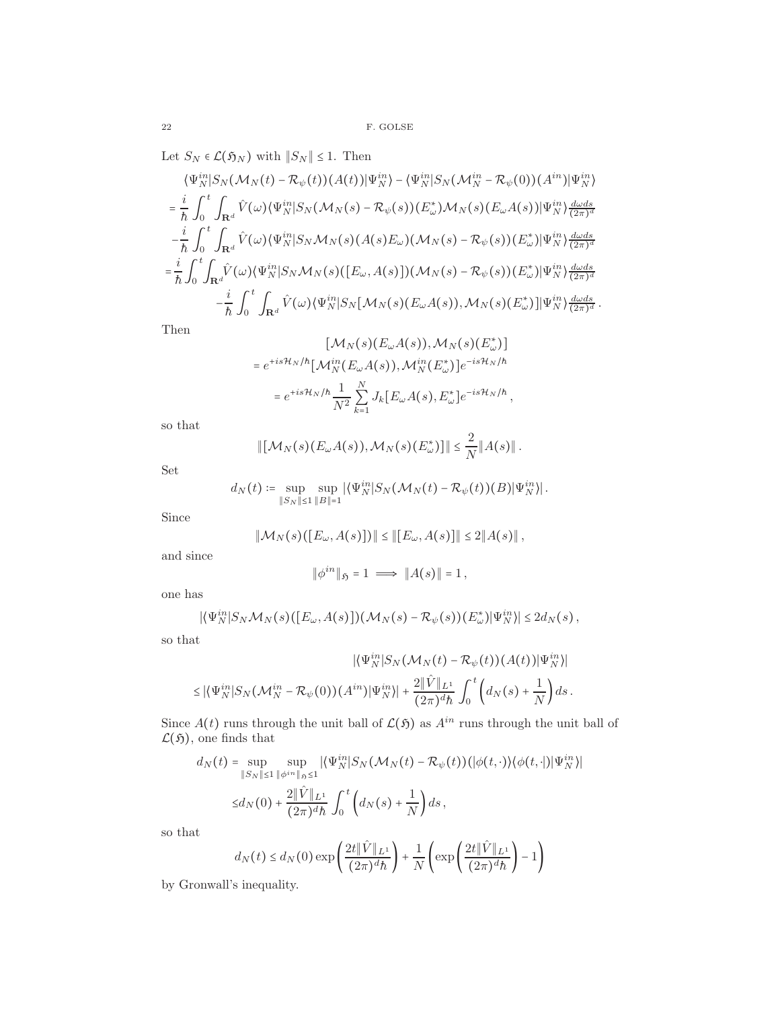Let  $S_N \in \mathcal{L}(\mathfrak{H}_N)$  with  $\|S_N\| \leq 1.$  Then

 $=$ 

$$
\langle\Psi_N^{in}|S_N(\mathcal{M}_N(t)-\mathcal{R}_{\psi}(t))(A(t))|\Psi_N^{in}\rangle - \langle\Psi_N^{in}|S_N(\mathcal{M}_N^{in}-\mathcal{R}_{\psi}(0))(A^{in})|\Psi_N^{in}\rangle \n= \frac{i}{\hbar}\int_0^t\int_{\mathbf{R}^d}\hat{V}(\omega)\langle\Psi_N^{in}|S_N(\mathcal{M}_N(s)-\mathcal{R}_{\psi}(s))(E_{\omega}^*)\mathcal{M}_N(s)(E_{\omega}A(s))|\Psi_N^{in}\rangle \frac{d\omega ds}{(2\pi)^d} \n- \frac{i}{\hbar}\int_0^t\int_{\mathbf{R}^d}\hat{V}(\omega)\langle\Psi_N^{in}|S_N\mathcal{M}_N(s)(A(s)E_{\omega})(\mathcal{M}_N(s)-\mathcal{R}_{\psi}(s))(E_{\omega}^*)|\Psi_N^{in}\rangle \frac{d\omega ds}{(2\pi)^d} \n= \frac{i}{\hbar}\int_0^t\int_{\mathbf{R}^d}\hat{V}(\omega)\langle\Psi_N^{in}|S_N\mathcal{M}_N(s)([E_{\omega},A(s)])(\mathcal{M}_N(s)-\mathcal{R}_{\psi}(s))(E_{\omega}^*)|\Psi_N^{in}\rangle \frac{d\omega ds}{(2\pi)^d} \n- \frac{i}{\hbar}\int_0^t\int_{\mathbf{R}^d}\hat{V}(\omega)\langle\Psi_N^{in}|S_N[\mathcal{M}_N(s)(E_{\omega}A(s)),\mathcal{M}_N(s)(E_{\omega}^*)]|\Psi_N^{in}\rangle \frac{d\omega ds}{(2\pi)^d}.
$$

Then

$$
[\mathcal{M}_N(s)(E_\omega A(s)), \mathcal{M}_N(s)(E_\omega^*)]
$$
  

$$
e^{+is\mathcal{H}_N/\hbar}[\mathcal{M}_N^{in}(E_\omega A(s)), \mathcal{M}_N^{in}(E_\omega^*)]e^{-is\mathcal{H}_N/\hbar}
$$
  

$$
=e^{+is\mathcal{H}_N/\hbar}\frac{1}{N^2}\sum_{k=1}^N J_k[E_\omega A(s), E_\omega^*]e^{-is\mathcal{H}_N/\hbar},
$$

so that

$$
\|[\mathcal{M}_N(s)(E_\omega A(s)), \mathcal{M}_N(s)(E_\omega^*)]\| \leq \frac{2}{N} \|A(s)\|.
$$

Set

$$
d_N(t)\coloneqq \sup_{\|S_N\|\leq 1}\sup_{\|B\|=1}|\langle \Psi_N^{in}|S_N(\mathcal{M}_N(t)-\mathcal{R}_{\psi}(t))(B)|\Psi_N^{in}\rangle|.
$$

Since

$$
\|\mathcal{M}_N(s)\big([E_\omega,A(s)]\big)\| \le \|[E_\omega,A(s)]\| \le 2\|A(s)\|,
$$

and since

$$
\|\phi^{in}\|_{\mathfrak{H}}=1\implies\|A(s)\|=1\,,
$$

one has

$$
|\langle \Psi_N^{in}|S_N\mathcal{M}_N(s)\big(\big[E_\omega,A(s)\big]\big)\big(\mathcal{M}_N(s)-\mathcal{R}_\psi(s)\big)\big(E_\omega^*\big)|\Psi_N^{in}\big\rangle|\leq 2d_N(s)\,,
$$

so that

$$
|\langle \Psi_N^{in}|S_N(\mathcal{M}_N(t)-\mathcal{R}_{\psi}(t))(A(t))|\Psi_N^{in}|
$$
  

$$
\leq |\langle \Psi_N^{in}|S_N(\mathcal{M}_N^{in}-\mathcal{R}_{\psi}(0))(A^{in})|\Psi_N^{in}\rangle|+\frac{2\|\hat{V}\|_{L^1}}{(2\pi)^d\hbar}\int_0^t \left(d_N(s)+\frac{1}{N}\right)ds.
$$

Since  $A(t)$  runs through the unit ball of  $\mathcal{L}(\mathfrak{H})$  as  $A^{in}$  runs through the unit ball of  $\mathcal{L}(\mathfrak{H})$ , one finds that

$$
d_N(t) = \sup_{\|S_N\| \le 1} \sup_{\|\phi^{in}\|_{\mathfrak{H}} \le 1} |\langle \Psi_N^{in} | S_N(\mathcal{M}_N(t) - \mathcal{R}_{\psi}(t)) (|\phi(t, \cdot) \rangle \langle \phi(t, \cdot) | \Psi_N^{in} \rangle|
$$
  

$$
\le d_N(0) + \frac{2 \|\hat{V}\|_{L^1}}{(2\pi)^d \hbar} \int_0^t \left( d_N(s) + \frac{1}{N} \right) ds,
$$

so that

$$
d_N(t) \le d_N(0) \exp\left(\frac{2t\|\hat{V}\|_{L^1}}{(2\pi)^d h}\right) + \frac{1}{N} \left(\exp\left(\frac{2t\|\hat{V}\|_{L^1}}{(2\pi)^d h}\right) - 1\right)
$$

by Gronwall's inequality.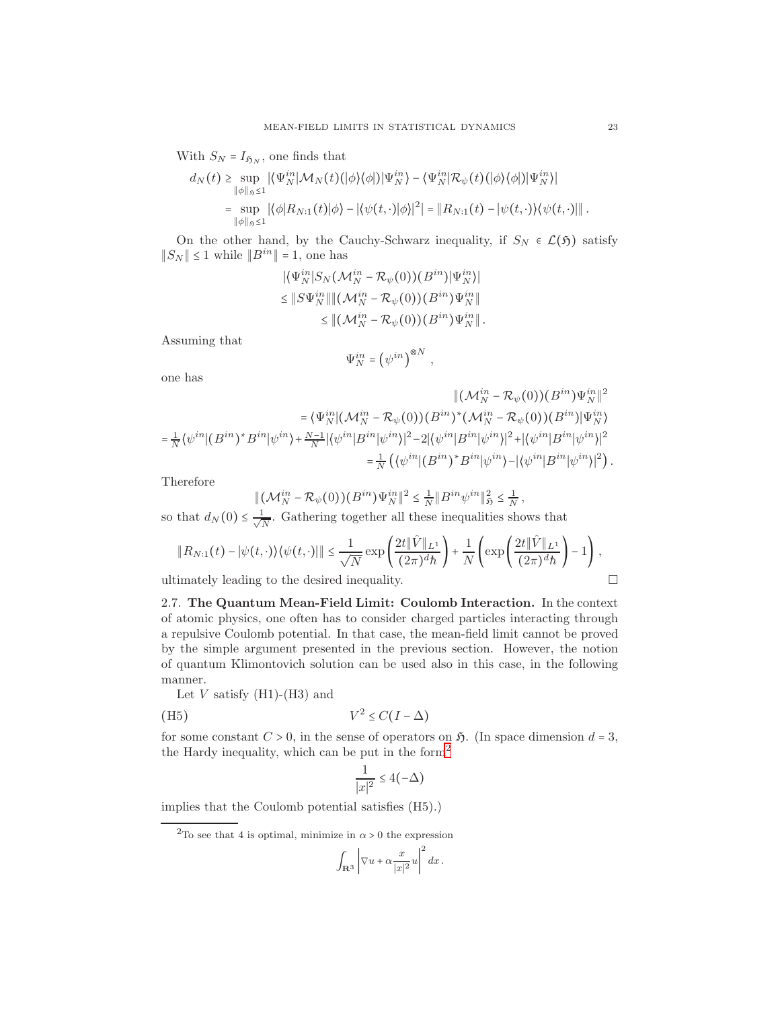With  $S_N = I_{\mathfrak{H}_N}$ , one finds that

$$
d_N(t) \geq \sup_{\|\phi\|_p \leq 1} |\langle \Psi_N^{in} | \mathcal{M}_N(t) (\phi \rangle \langle \phi |) | \Psi_N^{in} \rangle - \langle \Psi_N^{in} | \mathcal{R}_{\psi}(t) (\phi \rangle \langle \phi |) | \Psi_N^{in} \rangle|
$$
  
= 
$$
\sup_{\|\phi\|_p \leq 1} |\langle \phi | R_{N:1}(t) | \phi \rangle - |\langle \psi(t, \cdot) | \phi \rangle|^2| = \| R_{N:1}(t) - \langle \psi(t, \cdot) \rangle \langle \psi(t, \cdot) | \|.
$$

On the other hand, by the Cauchy-Schwarz inequality, if  $S_N \in \mathcal{L}(\mathfrak{H})$  satisfy  $||S_N|| \leq 1$  while  $||B^{in}|| = 1$ , one has

$$
\begin{aligned} \|\langle \Psi_N^{in}|S_N(\mathcal{M}_N^{in}-\mathcal{R}_{\psi}(0))(B^{in})|\Psi_N^{in}\rangle|\\ \leq \|S\Psi_N^{in}\| \|(\mathcal{M}_N^{in}-\mathcal{R}_{\psi}(0))(B^{in})\Psi_N^{in}\|\\ \leq \|(\mathcal{M}_N^{in}-\mathcal{R}_{\psi}(0))(B^{in})\Psi_N^{in}\|.\end{aligned}
$$

Assuming that

$$
\Psi_N^{in} = \left(\psi^{in}\right)^{\otimes N}
$$

,

one has

$$
\|(\mathcal{M}_{N}^{in} - \mathcal{R}_{\psi}(0))(B^{in})\Psi_{N}^{in}\|^{2}
$$
  
\n
$$
= \langle \Psi_{N}^{in}|(\mathcal{M}_{N}^{in} - \mathcal{R}_{\psi}(0))(B^{in})^{*}(\mathcal{M}_{N}^{in} - \mathcal{R}_{\psi}(0))(B^{in})|\Psi_{N}^{in}|^{2}
$$
  
\n
$$
= \frac{1}{N}\langle \psi^{in}|(B^{in})^{*}B^{in}|\psi^{in}\rangle + \frac{N-1}{N}|\langle \psi^{in}|B^{in}|\psi^{in}\rangle|^{2} - 2|\langle \psi^{in}|B^{in}|\psi^{in}\rangle|^{2} + |\langle \psi^{in}|B^{in}|\psi^{in}\rangle|^{2}
$$
  
\n
$$
= \frac{1}{N}\langle \langle \psi^{in}|(B^{in})^{*}B^{in}|\psi^{in}\rangle - |\langle \psi^{in}|B^{in}|\psi^{in}\rangle|^{2}\rangle.
$$

Therefore

$$
\|(\mathcal{M}_N^{in}-\mathcal{R}_{\psi}(0))(B^{in})\Psi_N^{in}\|^2 \leq \frac{1}{N} \|B^{in}\psi^{in}\|_{\mathfrak{H}}^2 \leq \frac{1}{N},
$$

so that  $d_N(0) \leq \frac{1}{\sqrt{l}}$  $\frac{1}{N}$ . Gathering together all these inequalities shows that

$$
||R_{N:1}(t)-|\psi(t,\cdot)\rangle\langle\psi(t,\cdot)|| \leq \frac{1}{\sqrt{N}}\exp\left(\frac{2t\|\hat{V}\|_{L^1}}{(2\pi)^d\hbar}\right) + \frac{1}{N}\left(\exp\left(\frac{2t\|\hat{V}\|_{L^1}}{(2\pi)^d\hbar}\right)-1\right),
$$

ultimately leading to the desired inequality.

2.7. The Quantum Mean-Field Limit: Coulomb Interaction. In the context of atomic physics, one often has to consider charged particles interacting through a repulsive Coulomb potential. In that case, the mean-field limit cannot be proved by the simple argument presented in the previous section. However, the notion of quantum Klimontovich solution can be used also in this case, in the following manner.

Let  $V$  satisfy  $(H1)-(H3)$  and

(H5) 
$$
V^2 \leq C(I - \Delta)
$$

for some constant  $C > 0$ , in the sense of operators on  $\mathfrak{H}$ . (In space dimension  $d = 3$ , the Hardy inequality, which can be put in the form<sup>[2](#page-22-0)</sup>

$$
\frac{1}{|x|^2} \le 4(-\Delta)
$$

implies that the Coulomb potential satisfies (H5).)

<span id="page-22-0"></span> $^2\!{\rm To}$  see that 4 is optimal, minimize in  $\alpha>0$  the expression

$$
\int_{\mathbf{R}^3} \left|\nabla u + \alpha \frac{x}{|x|^2} u\right|^2 dx\,.
$$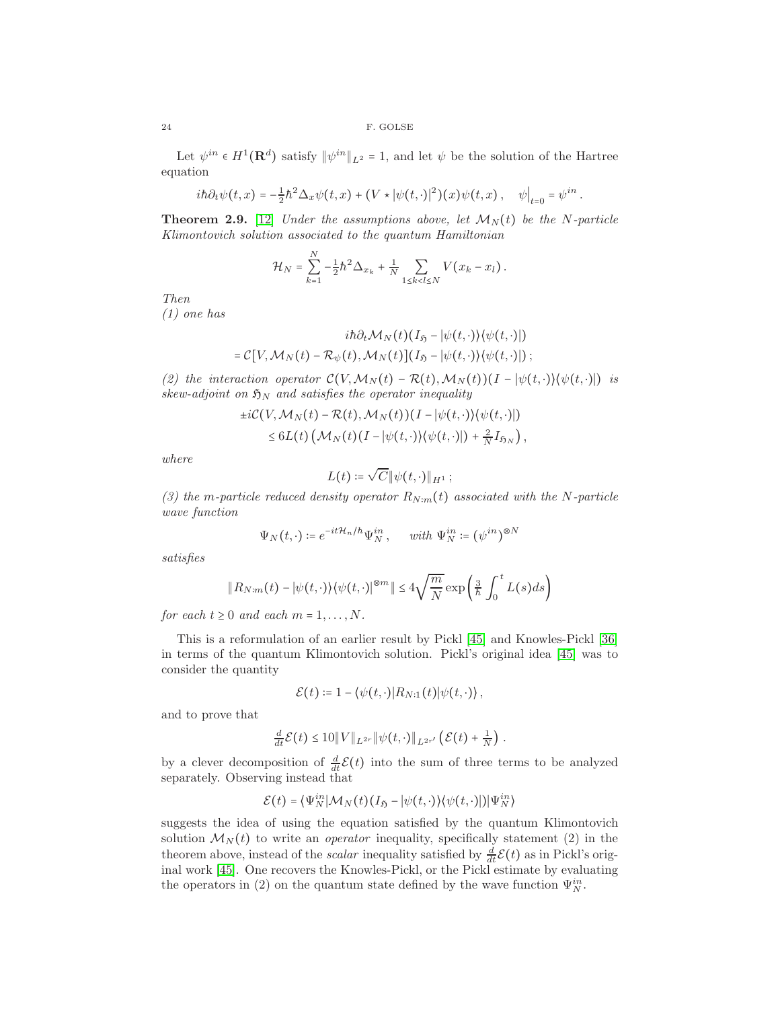Let  $\psi^{in} \in H^1(\mathbf{R}^d)$  satisfy  $\|\psi^{in}\|_{L^2} = 1$ , and let  $\psi$  be the solution of the Hartree equation

$$
i\hbar\partial_t\psi(t,x) = -\frac{1}{2}\hbar^2\Delta_x\psi(t,x) + (V \star |\psi(t,\cdot)|^2)(x)\psi(t,x), \quad \psi\big|_{t=0} = \psi^{in}
$$

.

<span id="page-23-0"></span>**Theorem 2.9.** [\[12\]](#page-44-9) Under the assumptions above, let  $\mathcal{M}_N(t)$  be the N-particle Klimontovich solution associated to the quantum Hamiltonian

$$
\mathcal{H}_N = \sum_{k=1}^N -\frac{1}{2} \hbar^2 \Delta_{x_k} + \frac{1}{N} \sum_{1 \le k < l \le N} V(x_k - x_l) \, .
$$

Then

(1) one has

$$
i\hbar \partial_t \mathcal{M}_N(t) (I_{\mathfrak{H}} - |\psi(t, \cdot)\rangle \langle \psi(t, \cdot)|)
$$
  
=  $\mathcal{C}[V, \mathcal{M}_N(t) - \mathcal{R}_{\psi}(t), \mathcal{M}_N(t)] (I_{\mathfrak{H}} - |\psi(t, \cdot)\rangle \langle \psi(t, \cdot)|);$ 

(2) the interaction operator  $\mathcal{C}(V,\mathcal{M}_N(t) - \mathcal{R}(t),\mathcal{M}_N(t))(I - |\psi(t,\cdot)|\langle\psi(t,\cdot)|)$  is skew-adjoint on  $\mathfrak{H}_N$  and satisfies the operator inequality

$$
\pm i\mathcal{C}(V, \mathcal{M}_N(t) - \mathcal{R}(t), \mathcal{M}_N(t))(I - |\psi(t, \cdot)\rangle\langle\psi(t, \cdot)|)\leq 6L(t)\left(\mathcal{M}_N(t)(I - |\psi(t, \cdot)\rangle\langle\psi(t, \cdot)|) + \frac{2}{N}I_{\mathfrak{H}_N}\right),
$$

where

$$
L(t) \coloneqq \sqrt{C} \|\psi(t,\cdot)\|_{H^1} \,;
$$

(3) the m-particle reduced density operator  $R_{N:m}(t)$  associated with the N-particle wave function

$$
\Psi_N(t,\cdot) \coloneqq e^{-it\mathcal{H}_n/\hbar} \Psi_N^{in}, \quad \text{ with } \Psi_N^{in} \coloneqq (\psi^{in})^{\otimes N}
$$

satisfies

$$
||R_{N:m}(t)-|\psi(t,\cdot)\rangle\langle\psi(t,\cdot)|^{\otimes m}||\leq 4\sqrt{\frac{m}{N}}\exp\left(\frac{3}{h}\int_0^t L(s)ds\right)
$$

for each  $t \geq 0$  and each  $m = 1, \ldots, N$ .

This is a reformulation of an earlier result by Pickl [\[45\]](#page-45-10) and Knowles-Pickl [\[36\]](#page-45-11) in terms of the quantum Klimontovich solution. Pickl's original idea [\[45\]](#page-45-10) was to consider the quantity

$$
\mathcal{E}(t) \coloneqq 1 - \langle \psi(t, \cdot) | R_{N:1}(t) | \psi(t, \cdot) \rangle,
$$

and to prove that

$$
\frac{d}{dt}\mathcal{E}(t) \leq 10\|V\|_{L^{2r}}\|\psi(t,\cdot)\|_{L^{2r'}}\left(\mathcal{E}(t)+\frac{1}{N}\right).
$$

by a clever decomposition of  $\frac{d}{dt}\mathcal{E}(t)$  into the sum of three terms to be analyzed separately. Observing instead that

$$
\mathcal{E}(t) = \langle \Psi_N^{in} | \mathcal{M}_N(t) (I_{\mathfrak{H}} - |\psi(t, \cdot) \rangle \langle \psi(t, \cdot) | \rangle | \Psi_N^{in} \rangle
$$

suggests the idea of using the equation satisfied by the quantum Klimontovich solution  $\mathcal{M}_N(t)$  to write an *operator* inequality, specifically statement (2) in the theorem above, instead of the *scalar* inequality satisfied by  $\frac{d}{dt}\mathcal{E}(t)$  as in Pickl's original work [\[45\]](#page-45-10). One recovers the Knowles-Pickl, or the Pickl estimate by evaluating the operators in (2) on the quantum state defined by the wave function  $\Psi_N^{in}$ .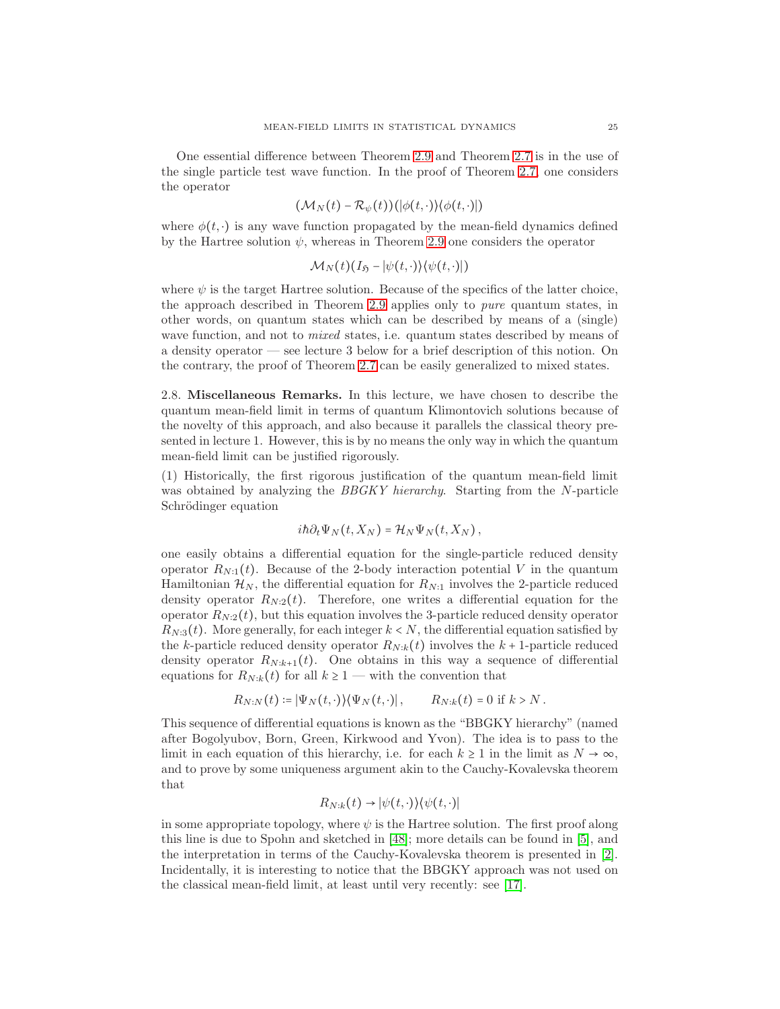One essential difference between Theorem [2.9](#page-23-0) and Theorem [2.7](#page-19-0) is in the use of the single particle test wave function. In the proof of Theorem [2.7,](#page-19-0) one considers the operator

$$
(\mathcal{M}_N(t)-\mathcal{R}_{\psi}(t))(|\phi(t,\cdot)\rangle\langle\phi(t,\cdot)|)
$$

where  $\phi(t, \cdot)$  is any wave function propagated by the mean-field dynamics defined by the Hartree solution  $\psi$ , whereas in Theorem [2.9](#page-23-0) one considers the operator

$$
\mathcal{M}_N(t)(I_{\mathfrak{H}} - |\psi(t,\cdot)\rangle\langle\psi(t,\cdot)|)
$$

where  $\psi$  is the target Hartree solution. Because of the specifics of the latter choice, the approach described in Theorem [2.9](#page-23-0) applies only to pure quantum states, in other words, on quantum states which can be described by means of a (single) wave function, and not to *mixed* states, i.e. quantum states described by means of a density operator — see lecture 3 below for a brief description of this notion. On the contrary, the proof of Theorem [2.7](#page-19-0) can be easily generalized to mixed states.

2.8. Miscellaneous Remarks. In this lecture, we have chosen to describe the quantum mean-field limit in terms of quantum Klimontovich solutions because of the novelty of this approach, and also because it parallels the classical theory presented in lecture 1. However, this is by no means the only way in which the quantum mean-field limit can be justified rigorously.

(1) Historically, the first rigorous justification of the quantum mean-field limit was obtained by analyzing the BBGKY hierarchy. Starting from the N-particle Schrödinger equation

$$
i\hbar\partial_t\Psi_N(t,X_N)=\mathcal{H}_N\Psi_N(t,X_N)\,,
$$

one easily obtains a differential equation for the single-particle reduced density operator  $R_{N:1}(t)$ . Because of the 2-body interaction potential V in the quantum Hamiltonian  $\mathcal{H}_N$ , the differential equation for  $R_{N:1}$  involves the 2-particle reduced density operator  $R_{N:2}(t)$ . Therefore, one writes a differential equation for the operator  $R_{N:2}(t)$ , but this equation involves the 3-particle reduced density operator  $R_{N:3}(t)$ . More generally, for each integer  $k < N$ , the differential equation satisfied by the k-particle reduced density operator  $R_{N:k}(t)$  involves the k + 1-particle reduced density operator  $R_{N:k+1}(t)$ . One obtains in this way a sequence of differential equations for  $R_{N:k}(t)$  for all  $k \geq 1$  — with the convention that

$$
R_{N:N}(t) \coloneqq |\Psi_N(t,\cdot)\rangle\langle\Psi_N(t,\cdot)|, \qquad R_{N:k}(t) = 0 \text{ if } k > N.
$$

This sequence of differential equations is known as the "BBGKY hierarchy" (named after Bogolyubov, Born, Green, Kirkwood and Yvon). The idea is to pass to the limit in each equation of this hierarchy, i.e. for each  $k \ge 1$  in the limit as  $N \to \infty$ , and to prove by some uniqueness argument akin to the Cauchy-Kovalevska theorem that

$$
R_{N:k}(t) \to |\psi(t,\cdot)\rangle\langle\psi(t,\cdot)|
$$

in some appropriate topology, where  $\psi$  is the Hartree solution. The first proof along this line is due to Spohn and sketched in [\[48\]](#page-45-12); more details can be found in [\[5\]](#page-44-10), and the interpretation in terms of the Cauchy-Kovalevska theorem is presented in [\[2\]](#page-43-1). Incidentally, it is interesting to notice that the BBGKY approach was not used on the classical mean-field limit, at least until very recently: see [\[17\]](#page-44-11).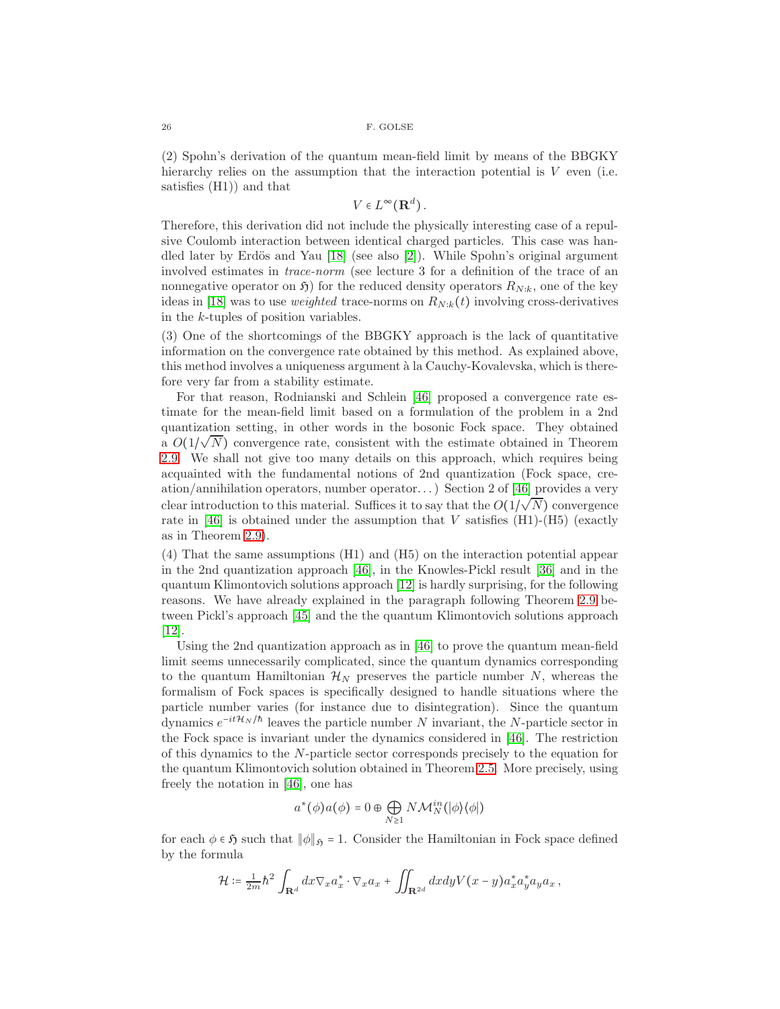(2) Spohn's derivation of the quantum mean-field limit by means of the BBGKY hierarchy relies on the assumption that the interaction potential is  $V$  even (i.e. satisfies (H1)) and that

$$
V\in L^{\infty}(\mathbf{R}^d).
$$

Therefore, this derivation did not include the physically interesting case of a repulsive Coulomb interaction between identical charged particles. This case was handled later by Erdös and Yau  $[18]$  (see also  $[2]$ ). While Spohn's original argument involved estimates in trace-norm (see lecture 3 for a definition of the trace of an nonnegative operator on  $\mathfrak{H}$ ) for the reduced density operators  $R_{N:k}$ , one of the key ideas in [\[18\]](#page-44-12) was to use *weighted* trace-norms on  $R_{N:k}(t)$  involving cross-derivatives in the k-tuples of position variables.

(3) One of the shortcomings of the BBGKY approach is the lack of quantitative information on the convergence rate obtained by this method. As explained above, this method involves a uniqueness argument à la Cauchy-Kovalevska, which is therefore very far from a stability estimate.

For that reason, Rodnianski and Schlein [\[46\]](#page-45-13) proposed a convergence rate estimate for the mean-field limit based on a formulation of the problem in a 2nd quantization setting, in other words in the bosonic Fock space. They obtained a  $O(1/\sqrt{N})$  convergence rate, consistent with the estimate obtained in Theorem [2.9.](#page-23-0) We shall not give too many details on this approach, which requires being acquainted with the fundamental notions of 2nd quantization (Fock space, creation/annihilation operators, number operator. . . ) Section 2 of [\[46\]](#page-45-13) provides a very clear introduction to this material. Suffices it to say that the  $O(1/\sqrt{N})$  convergence rate in [\[46\]](#page-45-13) is obtained under the assumption that V satisfies  $(H1)-(H5)$  (exactly as in Theorem [2.9\)](#page-23-0).

(4) That the same assumptions (H1) and (H5) on the interaction potential appear in the 2nd quantization approach [\[46\]](#page-45-13), in the Knowles-Pickl result [\[36\]](#page-45-11) and in the quantum Klimontovich solutions approach [\[12\]](#page-44-9) is hardly surprising, for the following reasons. We have already explained in the paragraph following Theorem [2.9](#page-23-0) between Pickl's approach [\[45\]](#page-45-10) and the the quantum Klimontovich solutions approach [\[12\]](#page-44-9).

Using the 2nd quantization approach as in [\[46\]](#page-45-13) to prove the quantum mean-field limit seems unnecessarily complicated, since the quantum dynamics corresponding to the quantum Hamiltonian  $\mathcal{H}_N$  preserves the particle number N, whereas the formalism of Fock spaces is specifically designed to handle situations where the particle number varies (for instance due to disintegration). Since the quantum dynamics  $e^{-it\mathcal{H}_N/\hbar}$  leaves the particle number N invariant, the N-particle sector in the Fock space is invariant under the dynamics considered in [\[46\]](#page-45-13). The restriction of this dynamics to the N-particle sector corresponds precisely to the equation for the quantum Klimontovich solution obtained in Theorem [2.5.](#page-16-0) More precisely, using freely the notation in [\[46\]](#page-45-13), one has

$$
a^*(\phi)a(\phi) = 0 \oplus \bigoplus_{N \ge 1} N\mathcal{M}_N^{in}(|\phi\rangle\langle\phi|)
$$

for each  $\phi \in \mathfrak{H}$  such that  $\|\phi\|_{\mathfrak{H}} = 1.$  Consider the Hamiltonian in Fock space defined by the formula

$$
\mathcal{H} \coloneqq \frac{1}{2m} \hbar^2 \int_{\mathbf{R}^d} dx \nabla_x a_x^* \cdot \nabla_x a_x + \iint_{\mathbf{R}^{2d}} dx dy V(x-y) a_x^* a_y^* a_y a_x,
$$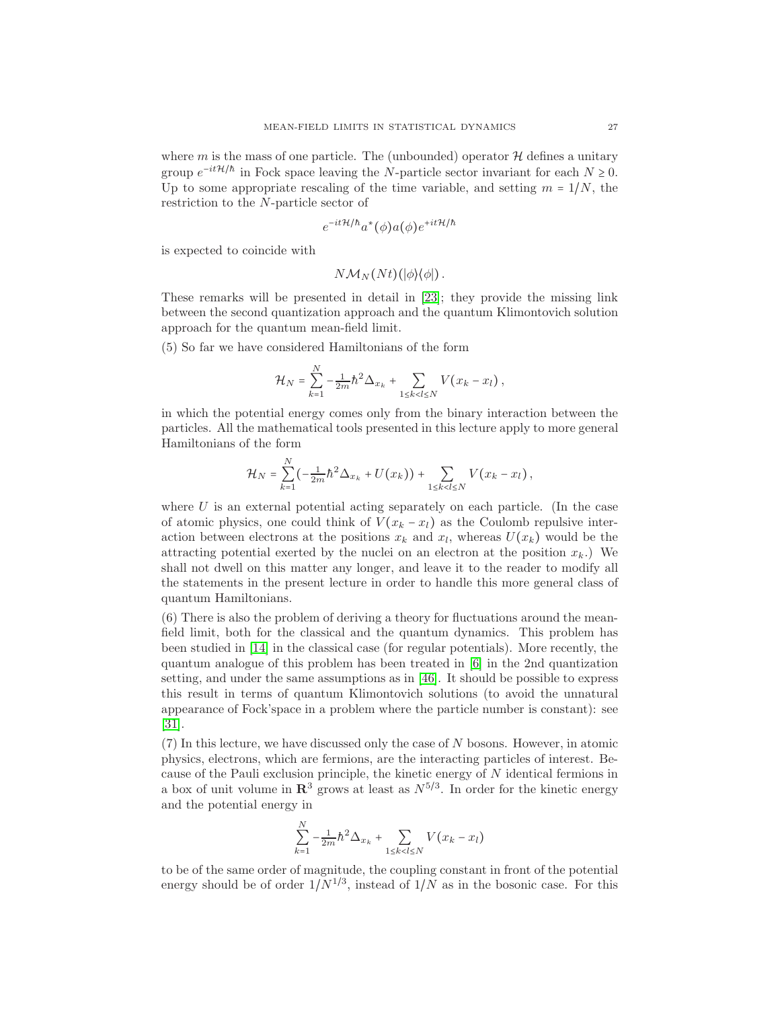where m is the mass of one particle. The (unbounded) operator  $\mathcal{H}$  defines a unitary group  $e^{-it\mathcal{H}/\hbar}$  in Fock space leaving the N-particle sector invariant for each  $N \geq 0$ . Up to some appropriate rescaling of the time variable, and setting  $m = 1/N$ , the restriction to the N-particle sector of

$$
e^{-it\mathcal{H}/\hbar}a^*(\phi)a(\phi)e^{+it\mathcal{H}/\hbar}
$$

is expected to coincide with

$$
N\mathcal{M}_N(Nt)(|\phi\rangle\langle\phi|)\,.
$$

These remarks will be presented in detail in [\[23\]](#page-44-13); they provide the missing link between the second quantization approach and the quantum Klimontovich solution approach for the quantum mean-field limit.

(5) So far we have considered Hamiltonians of the form

$$
\mathcal{H}_N = \sum_{k=1}^N -\frac{1}{2m} \hbar^2 \Delta_{x_k} + \sum_{1 \le k < l \le N} V(x_k - x_l) \,,
$$

in which the potential energy comes only from the binary interaction between the particles. All the mathematical tools presented in this lecture apply to more general Hamiltonians of the form

$$
\mathcal{H}_N = \sum_{k=1}^N \left( -\frac{1}{2m} \hbar^2 \Delta_{x_k} + U(x_k) \right) + \sum_{1 \le k < l \le N} V(x_k - x_l) \,,
$$

where  $U$  is an external potential acting separately on each particle. (In the case of atomic physics, one could think of  $V(x_k - x_l)$  as the Coulomb repulsive interaction between electrons at the positions  $x_k$  and  $x_l$ , whereas  $U(x_k)$  would be the attracting potential exerted by the nuclei on an electron at the position  $x_k$ .) We shall not dwell on this matter any longer, and leave it to the reader to modify all the statements in the present lecture in order to handle this more general class of quantum Hamiltonians.

(6) There is also the problem of deriving a theory for fluctuations around the meanfield limit, both for the classical and the quantum dynamics. This problem has been studied in [\[14\]](#page-44-4) in the classical case (for regular potentials). More recently, the quantum analogue of this problem has been treated in [\[6\]](#page-44-14) in the 2nd quantization setting, and under the same assumptions as in [\[46\]](#page-45-13). It should be possible to express this result in terms of quantum Klimontovich solutions (to avoid the unnatural appearance of Fock'space in a problem where the particle number is constant): see [\[31\]](#page-44-15).

(7) In this lecture, we have discussed only the case of N bosons. However, in atomic physics, electrons, which are fermions, are the interacting particles of interest. Because of the Pauli exclusion principle, the kinetic energy of N identical fermions in a box of unit volume in  $\mathbb{R}^3$  grows at least as  $N^{5/3}$ . In order for the kinetic energy and the potential energy in

$$
\sum_{k=1}^{N} -\frac{1}{2m} \hbar^2 \Delta_{x_k} + \sum_{1 \le k < l \le N} V(x_k - x_l)
$$

to be of the same order of magnitude, the coupling constant in front of the potential energy should be of order  $1/N^{1/3}$ , instead of  $1/N$  as in the bosonic case. For this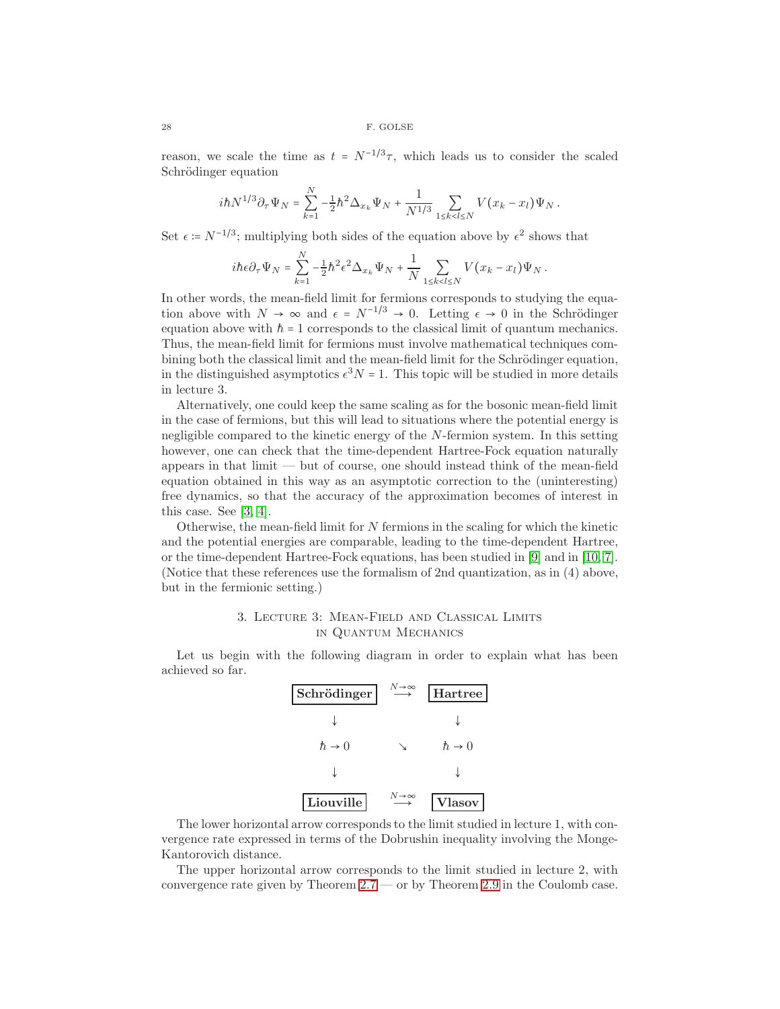reason, we scale the time as  $t = N^{-1/3}\tau$ , which leads us to consider the scaled Schrödinger equation

$$
i\hbar N^{1/3}\partial_{\tau}\Psi_N = \sum_{k=1}^N -\frac{1}{2}\hbar^2\Delta_{x_k}\Psi_N + \frac{1}{N^{1/3}}\sum_{1\leq k
$$

Set  $\epsilon = N^{-1/3}$ ; multiplying both sides of the equation above by  $\epsilon^2$  shows that

$$
i\hbar \epsilon \partial_\tau \Psi_N = \sum_{k=1}^N -\frac{1}{2} \hbar^2 \epsilon^2 \Delta_{x_k} \Psi_N + \frac{1}{N} \sum_{1 \le k < l \le N} V(x_k - x_l) \Psi_N \, .
$$

In other words, the mean-field limit for fermions corresponds to studying the equation above with  $N \to \infty$  and  $\epsilon = N^{-1/3} \to 0$ . Letting  $\epsilon \to 0$  in the Schrödinger equation above with  $\hbar = 1$  corresponds to the classical limit of quantum mechanics. Thus, the mean-field limit for fermions must involve mathematical techniques combining both the classical limit and the mean-field limit for the Schrödinger equation, in the distinguished asymptotics  $\epsilon^3 N = 1$ . This topic will be studied in more details in lecture 3.

Alternatively, one could keep the same scaling as for the bosonic mean-field limit in the case of fermions, but this will lead to situations where the potential energy is negligible compared to the kinetic energy of the N-fermion system. In this setting however, one can check that the time-dependent Hartree-Fock equation naturally appears in that limit — but of course, one should instead think of the mean-field equation obtained in this way as an asymptotic correction to the (uninteresting) free dynamics, so that the accuracy of the approximation becomes of interest in this case. See [\[3,](#page-44-16) [4\]](#page-44-17).

Otherwise, the mean-field limit for  $N$  fermions in the scaling for which the kinetic and the potential energies are comparable, leading to the time-dependent Hartree, or the time-dependent Hartree-Fock equations, has been studied in [\[9\]](#page-44-18) and in [\[10,](#page-44-19) [7\]](#page-44-20). (Notice that these references use the formalism of 2nd quantization, as in (4) above, but in the fermionic setting.)

# 3. Lecture 3: Mean-Field and Classical Limits in Quantum Mechanics

Let us begin with the following diagram in order to explain what has been achieved so far.

| Schrödinger           | $\stackrel{N\to\infty}{\longrightarrow}$     | <b>Hartree</b>        |
|-----------------------|----------------------------------------------|-----------------------|
|                       |                                              |                       |
| $\hbar \rightarrow 0$ |                                              | $\hbar \rightarrow 0$ |
|                       |                                              |                       |
| Liouville             | $\frac{N\rightarrow\infty}{\longrightarrow}$ | Vlasov                |

The lower horizontal arrow corresponds to the limit studied in lecture 1, with convergence rate expressed in terms of the Dobrushin inequality involving the Monge-Kantorovich distance.

The upper horizontal arrow corresponds to the limit studied in lecture 2, with convergence rate given by Theorem  $2.7 \text{ or by Theorem 2.9}$  $2.7 \text{ or by Theorem 2.9}$  $2.7 \text{ or by Theorem 2.9}$  in the Coulomb case.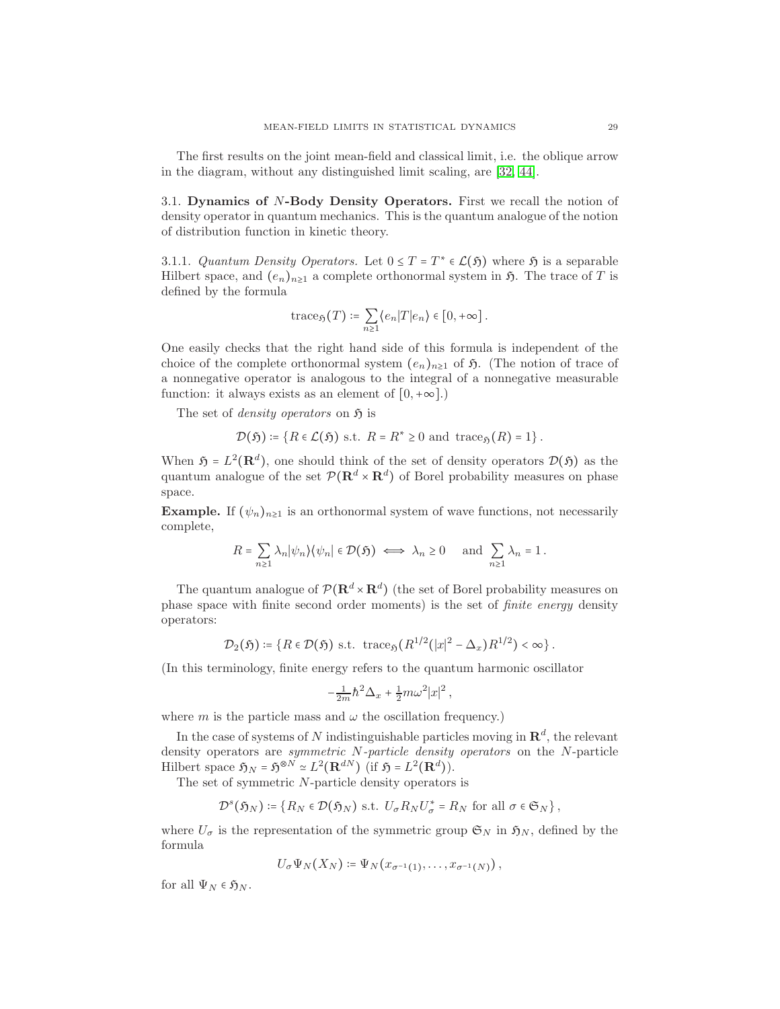The first results on the joint mean-field and classical limit, i.e. the oblique arrow in the diagram, without any distinguished limit scaling, are [\[32,](#page-44-21) [44\]](#page-45-14).

3.1. Dynamics of N-Body Density Operators. First we recall the notion of density operator in quantum mechanics. This is the quantum analogue of the notion of distribution function in kinetic theory.

3.1.1. Quantum Density Operators. Let  $0 \leq T = T^* \in \mathcal{L}(\mathfrak{H})$  where  $\mathfrak{H}$  is a separable Hilbert space, and  $(e_n)_{n\geq 1}$  a complete orthonormal system in  $\mathfrak{H}$ . The trace of T is defined by the formula

$$
\mathrm{trace}_{\mathfrak{H}}(T)\coloneqq \sum_{n\geq 1}\langle e_n|T|e_n\rangle \in [0,+\infty]\,.
$$

One easily checks that the right hand side of this formula is independent of the choice of the complete orthonormal system  $(e_n)_{n\geq 1}$  of  $\mathfrak{H}$ . (The notion of trace of a nonnegative operator is analogous to the integral of a nonnegative measurable function: it always exists as an element of  $[0, +\infty]$ .

The set of *density operators* on  $\mathfrak{H}$  is

$$
\mathcal{D}(\mathfrak{H}) \coloneqq \{ R \in \mathcal{L}(\mathfrak{H}) \text{ s.t. } R = R^* \geq 0 \text{ and } \text{trace}_{\mathfrak{H}}(R) = 1 \}.
$$

When  $\mathfrak{H} = L^2(\mathbf{R}^d)$ , one should think of the set of density operators  $\mathcal{D}(\mathfrak{H})$  as the quantum analogue of the set  $\mathcal{P}(\mathbf{R}^d \times \mathbf{R}^d)$  of Borel probability measures on phase space.

**Example.** If  $(\psi_n)_{n\geq 1}$  is an orthonormal system of wave functions, not necessarily complete,

$$
R = \sum_{n\geq 1} \lambda_n |\psi_n\rangle \langle \psi_n| \in \mathcal{D}(\mathfrak{H}) \iff \lambda_n \geq 0 \quad \text{and } \sum_{n\geq 1} \lambda_n = 1.
$$

The quantum analogue of  $\mathcal{P}(\mathbf{R}^d \times \mathbf{R}^d)$  (the set of Borel probability measures on phase space with finite second order moments) is the set of finite energy density operators:

$$
\mathcal{D}_2(\mathfrak{H}) \coloneqq \{ R \in \mathcal{D}(\mathfrak{H}) \text{ s.t. } \text{trace}_{\mathfrak{H}}(R^{1/2}(|x|^2 - \Delta_x)R^{1/2}) < \infty \}.
$$

(In this terminology, finite energy refers to the quantum harmonic oscillator

$$
-\frac{1}{2m}\hbar^2\Delta_x + \frac{1}{2}m\omega^2|x|^2,
$$

where m is the particle mass and  $\omega$  the oscillation frequency.)

In the case of systems of N indistinguishable particles moving in  $\mathbb{R}^d$ , the relevant density operators are symmetric N-particle density operators on the N-particle Hilbert space  $\mathfrak{H}_N = \mathfrak{H}^{\otimes N} \simeq L^2(\mathbf{R}^{dN})$  (if  $\mathfrak{H} = L^2(\mathbf{R}^d)$ ).

The set of symmetric N-particle density operators is

$$
\mathcal{D}^s(\mathfrak{H}_N) \coloneqq \{ R_N \in \mathcal{D}(\mathfrak{H}_N) \text{ s.t. } U_{\sigma} R_N U_{\sigma}^* = R_N \text{ for all } \sigma \in \mathfrak{S}_N \},
$$

where  $U_{\sigma}$  is the representation of the symmetric group  $\mathfrak{S}_N$  in  $\mathfrak{H}_N$ , defined by the formula

$$
U_{\sigma}\Psi_N(X_N) \coloneqq \Psi_N(x_{\sigma^{-1}(1)},\ldots,x_{\sigma^{-1}(N)}),
$$

for all  $\Psi_N \in \mathfrak{H}_N$ .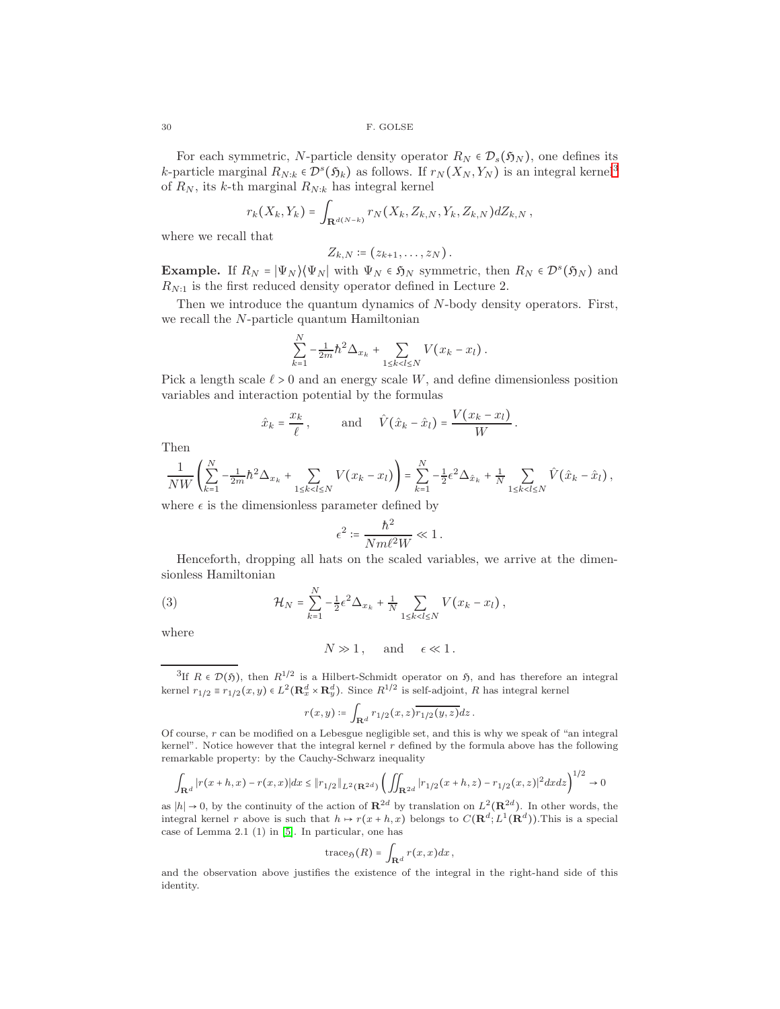For each symmetric, N-particle density operator  $R_N \in \mathcal{D}_s(\mathfrak{H}_N)$ , one defines its k-particle marginal  $R_{N:k} \in \mathcal{D}^s(\mathfrak{H}_k)$  as follows. If  $r_N(X_N, Y_N)$  is an integral kernel<sup>[3](#page-29-0)</sup> of  $R_N$ , its k-th marginal  $R_{N:k}$  has integral kernel

$$
r_k(X_k,Y_k)=\int_{\mathbf{R}^{d(N-k)}}r_N(X_k,Z_{k,N},Y_k,Z_{k,N})dZ_{k,N},
$$

where we recall that

$$
Z_{k,N}\coloneqq (z_{k+1},\ldots,z_N)\,.
$$

**Example.** If  $R_N = |\Psi_N\rangle \langle \Psi_N|$  with  $\Psi_N \in \mathfrak{H}_N$  symmetric, then  $R_N \in \mathcal{D}^s(\mathfrak{H}_N)$  and  $R_{N:1}$  is the first reduced density operator defined in Lecture 2.

Then we introduce the quantum dynamics of N-body density operators. First, we recall the N-particle quantum Hamiltonian

$$
\sum_{k=1}^{N} -\frac{1}{2m} \hbar^2 \Delta_{x_k} + \sum_{1 \le k < l \le N} V(x_k - x_l) \, .
$$

Pick a length scale  $\ell > 0$  and an energy scale W, and define dimensionless position variables and interaction potential by the formulas

$$
\hat{x}_k = \frac{x_k}{\ell}, \quad \text{and} \quad \hat{V}(\hat{x}_k - \hat{x}_l) = \frac{V(x_k - x_l)}{W}.
$$

Then

$$
\frac{1}{NW}\left(\sum_{k=1}^N -\frac{1}{2m}\hbar^2\Delta_{x_k} + \sum_{1\le k
$$

where  $\epsilon$  is the dimensionless parameter defined by

$$
\epsilon^2 \coloneqq \frac{\hbar^2}{Nm\ell^2 W} \ll 1 \,.
$$

Henceforth, dropping all hats on the scaled variables, we arrive at the dimensionless Hamiltonian

(3) 
$$
\mathcal{H}_N = \sum_{k=1}^N -\frac{1}{2} \epsilon^2 \Delta_{x_k} + \frac{1}{N} \sum_{1 \le k < l \le N} V(x_k - x_l),
$$

where

<span id="page-29-1"></span>
$$
N \gg 1, \quad \text{and} \quad \epsilon \ll 1.
$$

<span id="page-29-0"></span><sup>3</sup>If  $R \in \mathcal{D}(\mathfrak{H})$ , then  $R^{1/2}$  is a Hilbert-Schmidt operator on  $\mathfrak{H}$ , and has therefore an integral kernel  $r_{1/2} \equiv r_{1/2}(x, y) \in L^2(\mathbf{R}_x^d \times \mathbf{R}_y^d)$ . Since  $R^{1/2}$  is self-adjoint, R has integral kernel

$$
r(x,y) \coloneqq \int_{\mathbf{R}^d} r_{1/2}(x,z) \overline{r_{1/2}(y,z)} dz.
$$

Of course, r can be modified on a Lebesgue negligible set, and this is why we speak of "an integral kernel". Notice however that the integral kernel  $r$  defined by the formula above has the following remarkable property: by the Cauchy-Schwarz inequality

$$
\int_{\mathbf{R}^d} |r(x+h,x) - r(x,x)| dx \le ||r_{1/2}||_{L^2(\mathbf{R}^{2d})} \left( \iint_{\mathbf{R}^{2d}} |r_{1/2}(x+h,z) - r_{1/2}(x,z)|^2 dx dz \right)^{1/2} \to 0
$$

as  $|h| \to 0$ , by the continuity of the action of  $\mathbb{R}^{2d}$  by translation on  $L^2(\mathbb{R}^{2d})$ . In other words, the integral kernel r above is such that  $h \mapsto r(x+h,x)$  belongs to  $C(\mathbf{R}^d; L^1(\mathbf{R}^d))$ . This is a special case of Lemma 2.1 (1) in [\[5\]](#page-44-10). In particular, one has

$$
trace_{\mathfrak{H}}(R)=\int_{\mathbf{R}^d}r(x,x)dx,
$$

and the observation above justifies the existence of the integral in the right-hand side of this identity.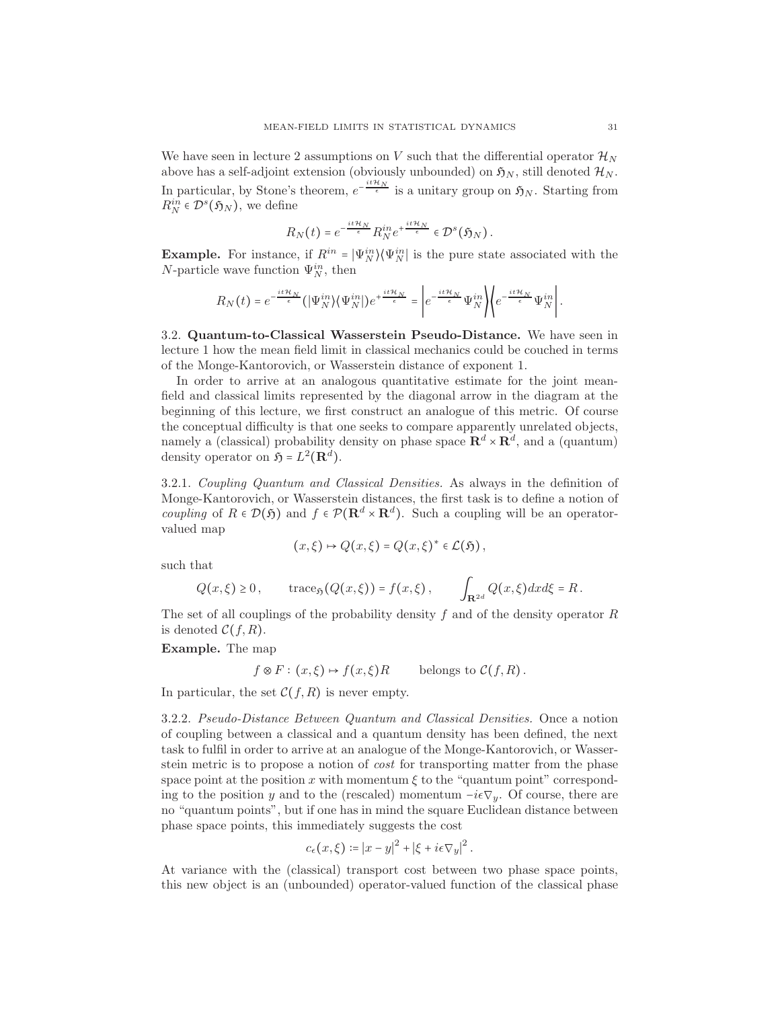We have seen in lecture 2 assumptions on V such that the differential operator  $\mathcal{H}_N$ above has a self-adjoint extension (obviously unbounded) on  $\mathfrak{H}_N$ , still denoted  $\mathcal{H}_N$ . In particular, by Stone's theorem,  $e^{-\frac{it\mathcal{H}_N}{\epsilon}}$  is a unitary group on  $\mathfrak{H}_N$ . Starting from  $R_N^{in} \in \mathcal{D}^s(\mathfrak{H}_N)$ , we define

$$
R_N(t) = e^{-\frac{it\mathcal{H}_N}{\epsilon}} R_N^{in} e^{+\frac{it\mathcal{H}_N}{\epsilon}} \in \mathcal{D}^s(\mathfrak{H}_N).
$$

**Example.** For instance, if  $R^{in} = |\Psi_N^{in}\rangle \langle \Psi_N^{in}|$  is the pure state associated with the N-particle wave function  $\Psi_N^{in}$ , then

$$
R_N(t) = e^{-\frac{it\mathcal{H}_N}{\epsilon}}(|\Psi_N^{in}\rangle \langle \Psi_N^{in}|)e^{+\frac{it\mathcal{H}_N}{\epsilon}} = \left|e^{-\frac{it\mathcal{H}_N}{\epsilon}}\Psi_N^{in}\right| \left\langle e^{-\frac{it\mathcal{H}_N}{\epsilon}}\Psi_N^{in}\right|.
$$

3.2. Quantum-to-Classical Wasserstein Pseudo-Distance. We have seen in lecture 1 how the mean field limit in classical mechanics could be couched in terms of the Monge-Kantorovich, or Wasserstein distance of exponent 1.

In order to arrive at an analogous quantitative estimate for the joint meanfield and classical limits represented by the diagonal arrow in the diagram at the beginning of this lecture, we first construct an analogue of this metric. Of course the conceptual difficulty is that one seeks to compare apparently unrelated objects, namely a (classical) probability density on phase space  $\mathbb{R}^d \times \mathbb{R}^d$ , and a (quantum) density operator on  $\mathfrak{H} = L^2(\mathbf{R}^d)$ .

3.2.1. Coupling Quantum and Classical Densities. As always in the definition of Monge-Kantorovich, or Wasserstein distances, the first task is to define a notion of *coupling* of  $R \in \mathcal{D}(\mathfrak{H})$  and  $f \in \mathcal{P}(\mathbf{R}^d \times \mathbf{R}^d)$ . Such a coupling will be an operatorvalued map

$$
(x,\xi)\mapsto Q(x,\xi)=Q(x,\xi)^*\in\mathcal{L}(\mathfrak{H}),
$$

such that

$$
Q(x,\xi) \ge 0
$$
,  $\operatorname{trace}_{\mathfrak{H}}(Q(x,\xi)) = f(x,\xi)$ ,  $\int_{\mathbf{R}^{2d}} Q(x,\xi) dx d\xi = R$ .

The set of all couplings of the probability density f and of the density operator  $R$ is denoted  $\mathcal{C}(f,R)$ .

Example. The map

$$
f \otimes F : (x, \xi) \mapsto f(x, \xi)R
$$
 belongs to  $C(f, R)$ .

In particular, the set  $\mathcal{C}(f,R)$  is never empty.

3.2.2. Pseudo-Distance Between Quantum and Classical Densities. Once a notion of coupling between a classical and a quantum density has been defined, the next task to fulfil in order to arrive at an analogue of the Monge-Kantorovich, or Wasserstein metric is to propose a notion of cost for transporting matter from the phase space point at the position x with momentum  $\xi$  to the "quantum point" corresponding to the position y and to the (rescaled) momentum  $-i\epsilon \nabla_y$ . Of course, there are no "quantum points", but if one has in mind the square Euclidean distance between phase space points, this immediately suggests the cost

$$
c_{\epsilon}(x,\xi) \coloneqq |x-y|^2 + |\xi + i\epsilon \nabla_y|^2.
$$

At variance with the (classical) transport cost between two phase space points, this new object is an (unbounded) operator-valued function of the classical phase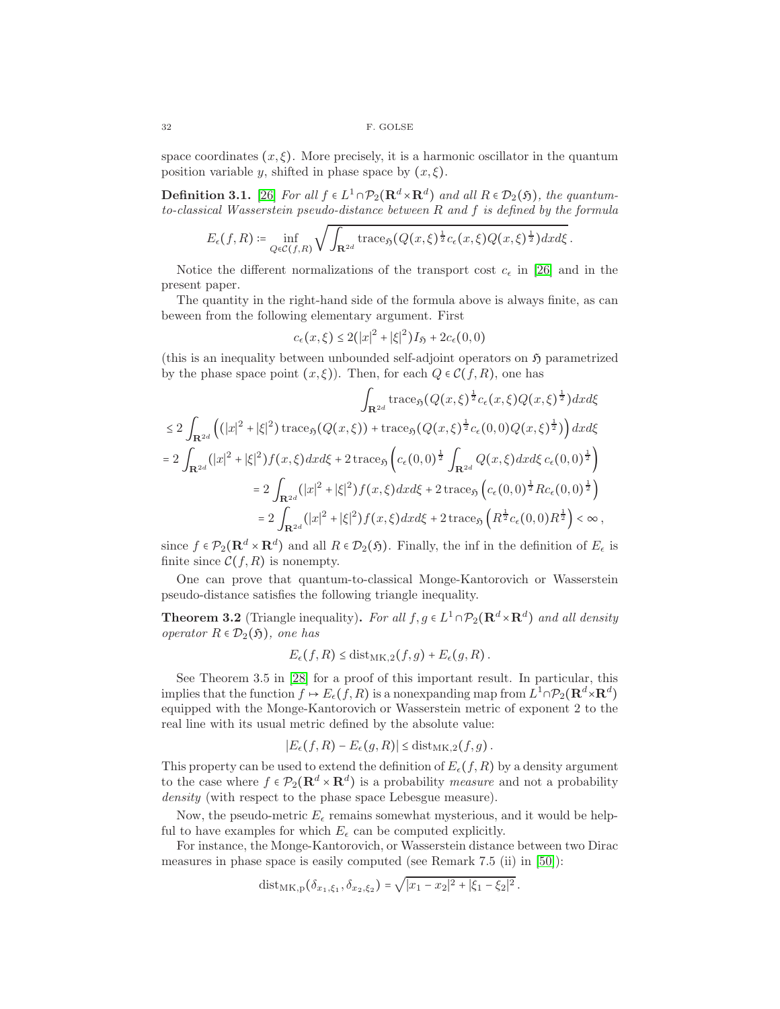space coordinates  $(x, \xi)$ . More precisely, it is a harmonic oscillator in the quantum position variable y, shifted in phase space by  $(x,\xi)$ .

**Definition 3.1.** [\[26\]](#page-44-22) For all  $f \in L^1 \cap \mathcal{P}_2(\mathbf{R}^d \times \mathbf{R}^d)$  and all  $R \in \mathcal{D}_2(\mathfrak{H})$ , the quantumto-classical Wasserstein pseudo-distance between R and f is defined by the formula

$$
E_\epsilon(f,R)\coloneqq\inf_{Q\in\mathcal{C}(f,R)}\sqrt{\int_{\mathbf{R}^{2d}}\text{trace}_{\mathfrak{H}}(Q(x,\xi)^{\frac{1}{2}}c_\epsilon(x,\xi)Q(x,\xi)^{\frac{1}{2}})dxd\xi}\,.
$$

Notice the different normalizations of the transport cost  $c_{\epsilon}$  in [\[26\]](#page-44-22) and in the present paper.

The quantity in the right-hand side of the formula above is always finite, as can beween from the following elementary argument. First

$$
c_{\epsilon}(x,\xi) \le 2(|x|^2 + |\xi|^2)I_{\mathfrak{H}} + 2c_{\epsilon}(0,0)
$$

(this is an inequality between unbounded self-adjoint operators on  $\mathfrak{H}$  parametrized by the phase space point  $(x,\xi)$ ). Then, for each  $Q \in \mathcal{C}(f,R)$ , one has

$$
\int_{\mathbf{R}^{2d}} \text{trace}_{\mathfrak{H}}(Q(x,\xi)^{\frac{1}{2}} c_{\epsilon}(x,\xi) Q(x,\xi)^{\frac{1}{2}}) dxd\xi
$$
  
\n
$$
\leq 2 \int_{\mathbf{R}^{2d}} \left( (|x|^2 + |\xi|^2) \operatorname{trace}_{\mathfrak{H}}(Q(x,\xi)) + \operatorname{trace}_{\mathfrak{H}}(Q(x,\xi)^{\frac{1}{2}} c_{\epsilon}(0,0) Q(x,\xi)^{\frac{1}{2}}) \right) dxd\xi
$$
  
\n
$$
= 2 \int_{\mathbf{R}^{2d}} (|x|^2 + |\xi|^2) f(x,\xi) dxd\xi + 2 \operatorname{trace}_{\mathfrak{H}} \left( c_{\epsilon}(0,0)^{\frac{1}{2}} \int_{\mathbf{R}^{2d}} Q(x,\xi) dxd\xi c_{\epsilon}(0,0)^{\frac{1}{2}} \right)
$$
  
\n
$$
= 2 \int_{\mathbf{R}^{2d}} (|x|^2 + |\xi|^2) f(x,\xi) dxd\xi + 2 \operatorname{trace}_{\mathfrak{H}} \left( c_{\epsilon}(0,0)^{\frac{1}{2}} R c_{\epsilon}(0,0)^{\frac{1}{2}} \right)
$$
  
\n
$$
= 2 \int_{\mathbf{R}^{2d}} (|x|^2 + |\xi|^2) f(x,\xi) dxd\xi + 2 \operatorname{trace}_{\mathfrak{H}} \left( R^{\frac{1}{2}} c_{\epsilon}(0,0) R^{\frac{1}{2}} \right) < \infty ,
$$

since  $f \in \mathcal{P}_2(\mathbf{R}^d \times \mathbf{R}^d)$  and all  $R \in \mathcal{D}_2(\mathfrak{H})$ . Finally, the inf in the definition of  $E_{\epsilon}$  is finite since  $\mathcal{C}(f,R)$  is nonempty.

One can prove that quantum-to-classical Monge-Kantorovich or Wasserstein pseudo-distance satisfies the following triangle inequality.

**Theorem 3.2** (Triangle inequality). For all  $f, g \in L^1 \cap \mathcal{P}_2(\mathbf{R}^d \times \mathbf{R}^d)$  and all density operator  $R \in \mathcal{D}_2(\mathfrak{H})$ , one has

$$
E_{\epsilon}(f,R) \leq \mathrm{dist}_{\mathrm{MK},2}(f,g) + E_{\epsilon}(g,R).
$$

See Theorem 3.5 in [\[28\]](#page-44-23) for a proof of this important result. In particular, this implies that the function  $f \mapsto E_{\epsilon}(f, R)$  is a nonexpanding map from  $L^1 \cap \mathcal{P}_2(\mathbf{R}^d \times \mathbf{R}^d)$ equipped with the Monge-Kantorovich or Wasserstein metric of exponent 2 to the real line with its usual metric defined by the absolute value:

$$
|E_{\epsilon}(f,R)-E_{\epsilon}(g,R)|\leq \text{dist}_{\text{MK},2}(f,g).
$$

This property can be used to extend the definition of  $E_{\epsilon}(f, R)$  by a density argument to the case where  $f \in \mathcal{P}_2(\mathbf{R}^d \times \mathbf{R}^d)$  is a probability *measure* and not a probability density (with respect to the phase space Lebesgue measure).

Now, the pseudo-metric  $E_{\epsilon}$  remains somewhat mysterious, and it would be helpful to have examples for which  $E_{\epsilon}$  can be computed explicitly.

For instance, the Monge-Kantorovich, or Wasserstein distance between two Dirac measures in phase space is easily computed (see Remark 7.5 (ii) in [\[50\]](#page-45-1)):

dist<sub>MK,p</sub>
$$
(\delta_{x_1,\xi_1}, \delta_{x_2,\xi_2}) = \sqrt{|x_1 - x_2|^2 + |\xi_1 - \xi_2|^2}
$$
.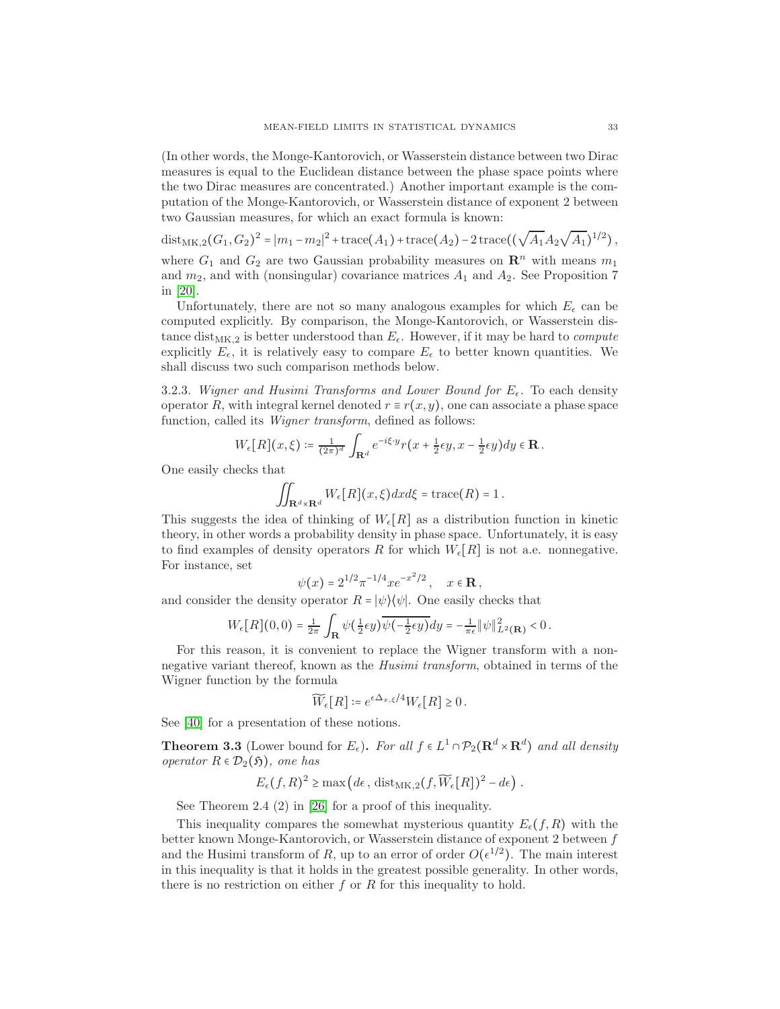(In other words, the Monge-Kantorovich, or Wasserstein distance between two Dirac measures is equal to the Euclidean distance between the phase space points where the two Dirac measures are concentrated.) Another important example is the computation of the Monge-Kantorovich, or Wasserstein distance of exponent 2 between two Gaussian measures, for which an exact formula is known:

dist<sub>MK,2</sub>(G<sub>1</sub>, G<sub>2</sub>)<sup>2</sup> =  $|m_1 - m_2|^2$  + trace(A<sub>1</sub>) + trace(A<sub>2</sub>) – 2 trace(( $\sqrt{A_1} A_2 \sqrt{A_1}$ )<sup>1/2</sup>), where  $G_1$  and  $G_2$  are two Gaussian probability measures on  $\mathbb{R}^n$  with means  $m_1$ 

and  $m_2$ , and with (nonsingular) covariance matrices  $A_1$  and  $A_2$ . See Proposition 7 in [\[20\]](#page-44-24).

Unfortunately, there are not so many analogous examples for which  $E_{\epsilon}$  can be computed explicitly. By comparison, the Monge-Kantorovich, or Wasserstein distance dist<sub>MK,2</sub> is better understood than  $E_{\epsilon}$ . However, if it may be hard to *compute* explicitly  $E_{\epsilon}$ , it is relatively easy to compare  $E_{\epsilon}$  to better known quantities. We shall discuss two such comparison methods below.

3.2.3. Wigner and Husimi Transforms and Lower Bound for  $E_{\epsilon}$ . To each density operator R, with integral kernel denoted  $r \equiv r(x, y)$ , one can associate a phase space function, called its Wigner transform, defined as follows:

$$
W_{\epsilon}[R](x,\xi) \coloneqq \tfrac{1}{(2\pi)^d} \int_{\mathbf{R}^d} e^{-i\xi \cdot y} r\big(x + \tfrac{1}{2}\epsilon y, x - \tfrac{1}{2}\epsilon y\big) dy \in \mathbf{R}.
$$

One easily checks that

$$
\iint_{\mathbf{R}^d\times\mathbf{R}^d} W_{\epsilon}[R](x,\xi)dx d\xi = \text{trace}(R) = 1.
$$

This suggests the idea of thinking of  $W_{\epsilon}[R]$  as a distribution function in kinetic theory, in other words a probability density in phase space. Unfortunately, it is easy to find examples of density operators R for which  $W_{\epsilon}[R]$  is not a.e. nonnegative. For instance, set

$$
\psi(x) = 2^{1/2} \pi^{-1/4} x e^{-x^2/2}, \quad x \in \mathbf{R},
$$

and consider the density operator  $R = |\psi\rangle\langle\psi|$ . One easily checks that

$$
W_{\epsilon}[R](0,0)=\frac{1}{2\pi}\int_{\mathbf{R}}\psi(\tfrac{1}{2}\epsilon y)\overline{\psi(-\tfrac{1}{2}\epsilon y)}dy=-\frac{1}{\pi\epsilon}\|\psi\|_{L^2(\mathbf{R})}^2<0.
$$

For this reason, it is convenient to replace the Wigner transform with a nonnegative variant thereof, known as the Husimi transform, obtained in terms of the Wigner function by the formula

$$
\widetilde{W}_{\epsilon}[R] \coloneqq e^{\epsilon \Delta_{x,\xi}/4} W_{\epsilon}[R] \ge 0.
$$

See [\[40\]](#page-45-15) for a presentation of these notions.

<span id="page-32-0"></span>**Theorem 3.3** (Lower bound for  $E_{\epsilon}$ ). For all  $f \in L^1 \cap \mathcal{P}_2(\mathbf{R}^d \times \mathbf{R}^d)$  and all density operator  $R \in \mathcal{D}_2(\mathfrak{H})$ , one has

$$
E_{\epsilon}(f,R)^2 \ge \max\left(d\epsilon, \text{dist}_{MK,2}(f,\widetilde{W}_{\epsilon}[R])^2 - d\epsilon\right).
$$

See Theorem 2.4 (2) in [\[26\]](#page-44-22) for a proof of this inequality.

This inequality compares the somewhat mysterious quantity  $E_{\epsilon}(f, R)$  with the better known Monge-Kantorovich, or Wasserstein distance of exponent 2 between f and the Husimi transform of R, up to an error of order  $O(\epsilon^{1/2})$ . The main interest in this inequality is that it holds in the greatest possible generality. In other words, there is no restriction on either  $f$  or  $R$  for this inequality to hold.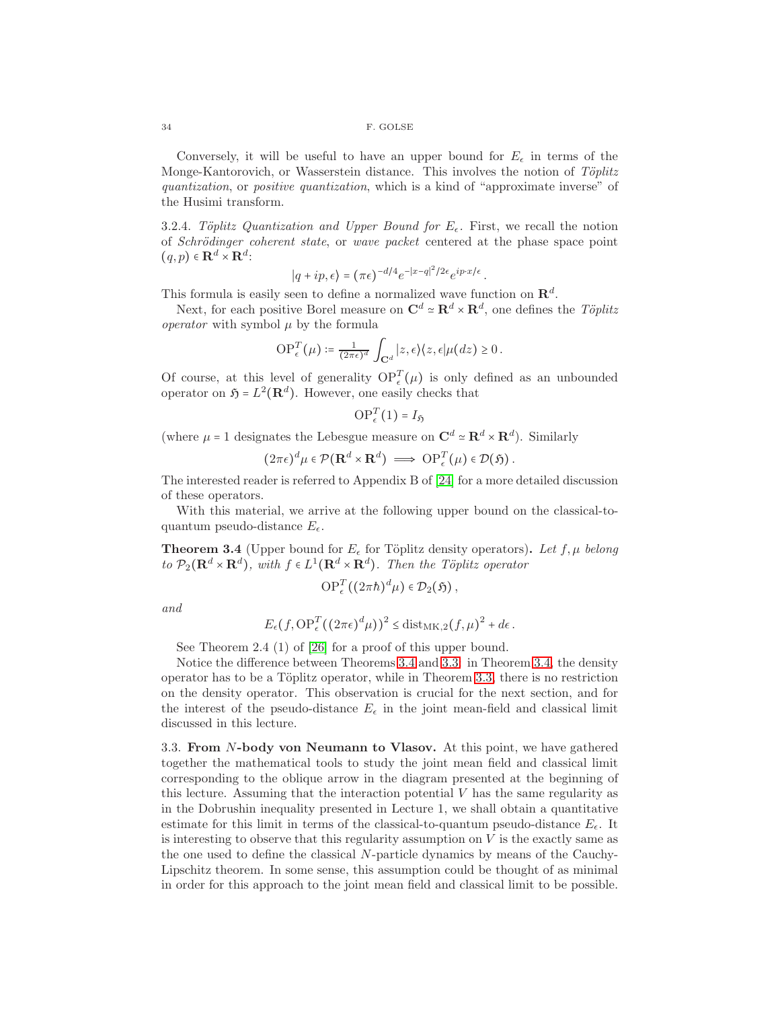Conversely, it will be useful to have an upper bound for  $E_{\epsilon}$  in terms of the Monge-Kantorovich, or Wasserstein distance. This involves the notion of  $Töplitz$ quantization, or positive quantization, which is a kind of "approximate inverse" of the Husimi transform.

3.2.4. Töplitz Quantization and Upper Bound for  $E_{\epsilon}$ . First, we recall the notion of Schrödinger coherent state, or wave packet centered at the phase space point  $(q, p) \in \mathbf{R}^d \times \mathbf{R}^d$ :

$$
|q + ip, \epsilon\rangle = (\pi \epsilon)^{-d/4} e^{-|x-q|^2/2\epsilon} e^{ip \cdot x/\epsilon}.
$$

This formula is easily seen to define a normalized wave function on  $\mathbb{R}^d$ .

Next, for each positive Borel measure on  $\mathbf{C}^d \simeq \mathbf{R}^d \times \mathbf{R}^d$ , one defines the Töplitz *operator* with symbol  $\mu$  by the formula

$$
\mathrm{OP}_{\epsilon}^T(\mu) \coloneqq \frac{1}{(2\pi\epsilon)^d} \int_{\mathbf{C}^d} |z,\epsilon\rangle\langle z,\epsilon|\mu(dz) \geq 0.
$$

Of course, at this level of generality  $OP_{\epsilon}^{T}(\mu)$  is only defined as an unbounded operator on  $\mathfrak{H} = L^2(\mathbf{R}^d)$ . However, one easily checks that

$$
\mathrm{OP}_{\epsilon}^{T}(1)=I_{\mathfrak{H}}
$$

(where  $\mu = 1$  designates the Lebesgue measure on  $\mathbf{C}^d \simeq \mathbf{R}^d \times \mathbf{R}^d$ ). Similarly

$$
(2\pi\epsilon)^d \mu \in \mathcal{P}(\mathbf{R}^d \times \mathbf{R}^d) \implies \mathrm{OP}_{\epsilon}^T(\mu) \in \mathcal{D}(\mathfrak{H}).
$$

The interested reader is referred to Appendix B of [\[24\]](#page-44-25) for a more detailed discussion of these operators.

With this material, we arrive at the following upper bound on the classical-toquantum pseudo-distance  $E_{\epsilon}$ .

<span id="page-33-0"></span>**Theorem 3.4** (Upper bound for  $E_{\epsilon}$  for Töplitz density operators). Let  $f, \mu$  belong to  $P_2(\mathbf{R}^d \times \mathbf{R}^d)$ , with  $f \in L^1(\mathbf{R}^d \times \mathbf{R}^d)$ . Then the Töplitz operator

$$
\operatorname{OP}_{\epsilon}^T((2\pi\hbar)^d\mu)\in\mathcal{D}_2(\mathfrak{H}),
$$

and

$$
E_{\epsilon}(f, \mathrm{OP}_{\epsilon}^T((2\pi\epsilon)^d\mu))^2 \leq \mathrm{dist}_{\mathrm{MK},2}(f,\mu)^2 + d\epsilon.
$$

See Theorem 2.4 (1) of [\[26\]](#page-44-22) for a proof of this upper bound.

Notice the difference between Theorems [3.4](#page-33-0) and [3.3:](#page-32-0) in Theorem [3.4,](#page-33-0) the density operator has to be a Töplitz operator, while in Theorem [3.3,](#page-32-0) there is no restriction on the density operator. This observation is crucial for the next section, and for the interest of the pseudo-distance  $E_{\epsilon}$  in the joint mean-field and classical limit discussed in this lecture.

3.3. From N-body von Neumann to Vlasov. At this point, we have gathered together the mathematical tools to study the joint mean field and classical limit corresponding to the oblique arrow in the diagram presented at the beginning of this lecture. Assuming that the interaction potential V has the same regularity as in the Dobrushin inequality presented in Lecture 1, we shall obtain a quantitative estimate for this limit in terms of the classical-to-quantum pseudo-distance  $E_{\epsilon}$ . It is interesting to observe that this regularity assumption on  $V$  is the exactly same as the one used to define the classical N-particle dynamics by means of the Cauchy-Lipschitz theorem. In some sense, this assumption could be thought of as minimal in order for this approach to the joint mean field and classical limit to be possible.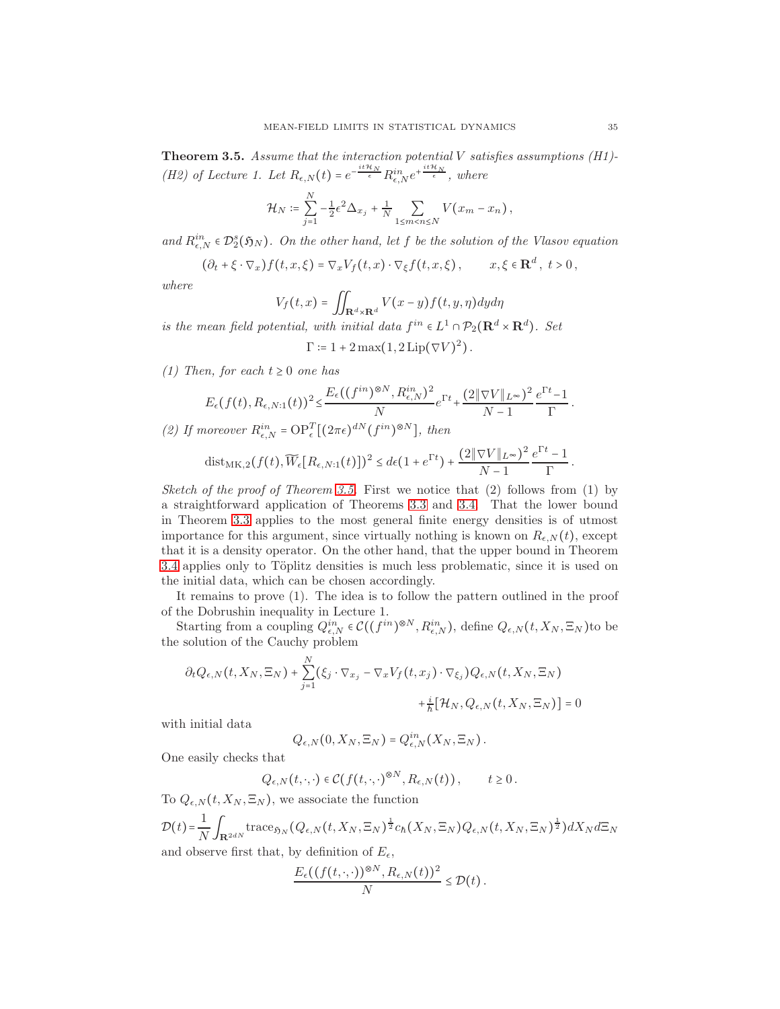<span id="page-34-0"></span>**Theorem 3.5.** Assume that the interaction potential  $V$  satisfies assumptions (H1)-(H2) of Lecture 1. Let  $R_{\epsilon,N}(t) = e^{-\frac{it\mathcal{H}_N}{\epsilon}} R_{\epsilon,N}^{in} e^{+\frac{it\mathcal{H}_N}{\epsilon}},$  where

$$
\mathcal{H}_N \coloneqq \sum_{j=1}^N -\frac{1}{2} \epsilon^2 \Delta_{x_j} + \frac{1}{N} \sum_{1 \leq m < n \leq N} V(x_m - x_n),
$$

and  $R_{\epsilon,N}^{in} \in \mathcal{D}_2^s(\mathfrak{H}_N)$ . On the other hand, let f be the solution of the Vlasov equation

$$
(\partial_t + \xi \cdot \nabla_x) f(t, x, \xi) = \nabla_x V_f(t, x) \cdot \nabla_{\xi} f(t, x, \xi), \qquad x, \xi \in \mathbf{R}^d, \ t > 0,
$$

where

$$
V_f(t,x) = \iint_{\mathbf{R}^d \times \mathbf{R}^d} V(x-y) f(t,y,\eta) dy d\eta
$$

is the mean field potential, with initial data  $f^{in} \in L^1 \cap \mathcal{P}_2(\mathbf{R}^d \times \mathbf{R}^d)$ . Set

$$
\Gamma \coloneqq 1 + 2 \max(1, 2 \operatorname{Lip}(\nabla V)^2).
$$

(1) Then, for each  $t \geq 0$  one has

$$
E_{\epsilon}(f(t), R_{\epsilon, N:1}(t))^2 \leq \frac{E_{\epsilon}((f^{in})^{\otimes N}, R_{\epsilon, N}^{in})^2}{N} e^{\Gamma t} + \frac{(2 \|\nabla V\|_{L^{\infty}})^2}{N-1} \frac{e^{\Gamma t} - 1}{\Gamma}.
$$

(2) If moreover  $R_{\epsilon,N}^{in} = \text{OP}_{\epsilon}^T [(2\pi\epsilon)^{dN} (f^{in})^{\otimes N}]$ , then

dist<sub>MK,2</sub>
$$
(f(t), \widetilde{W}_{\epsilon}[R_{\epsilon,N:1}(t)])^2 \leq d\epsilon (1 + e^{\Gamma t}) + \frac{(2\|\nabla V\|_{L^{\infty}})^2}{N-1} \frac{e^{\Gamma t} - 1}{\Gamma}
$$
.

Sketch of the proof of Theorem [3.5.](#page-34-0) First we notice that  $(2)$  follows from  $(1)$  by a straightforward application of Theorems [3.3](#page-32-0) and [3.4.](#page-33-0) That the lower bound in Theorem [3.3](#page-32-0) applies to the most general finite energy densities is of utmost importance for this argument, since virtually nothing is known on  $R_{\epsilon,N}(t)$ , except that it is a density operator. On the other hand, that the upper bound in Theorem [3.4](#page-33-0) applies only to Töplitz densities is much less problematic, since it is used on the initial data, which can be chosen accordingly.

It remains to prove (1). The idea is to follow the pattern outlined in the proof of the Dobrushin inequality in Lecture 1.

Starting from a coupling  $Q_{\epsilon,N}^{in} \in \mathcal{C}((f^{in})^{\otimes N}, R_{\epsilon,N}^{in})$ , define  $Q_{\epsilon,N}(t, X_N, \Xi_N)$ to be the solution of the Cauchy problem

$$
\partial_t Q_{\epsilon,N}(t, X_N, \Xi_N) + \sum_{j=1}^N (\xi_j \cdot \nabla_{x_j} - \nabla_x V_f(t, x_j) \cdot \nabla_{\xi_j}) Q_{\epsilon,N}(t, X_N, \Xi_N) + \frac{i}{\hbar} [\mathcal{H}_N, Q_{\epsilon,N}(t, X_N, \Xi_N)] = 0
$$

with initial data

$$
Q_{\epsilon,N}(0,X_N,\Xi_N)=Q_{\epsilon,N}^{in}(X_N,\Xi_N).
$$

One easily checks that

$$
Q_{\epsilon,N}(t,\cdot,\cdot)\in \mathcal{C}(f(t,\cdot,\cdot)^{\otimes N},R_{\epsilon,N}(t)), \qquad t\geq 0.
$$

To  $Q_{\epsilon,N}(t, X_N, \Xi_N)$ , we associate the function

$$
\mathcal{D}(t) = \frac{1}{N} \int_{\mathbf{R}^{2dN}} \text{trace}_{\mathfrak{H}_N} (Q_{\epsilon,N}(t, X_N, \Xi_N)^{\frac{1}{2}} c_h(X_N, \Xi_N) Q_{\epsilon,N}(t, X_N, \Xi_N)^{\frac{1}{2}}) dX_N d\Sigma_N
$$
 and observe first that, by definition of  $E_{\epsilon}$ ,

$$
\frac{E_{\epsilon}((f(t,\cdot,\cdot))^{\otimes N},R_{\epsilon,N}(t))^2}{N}\leq \mathcal{D}(t).
$$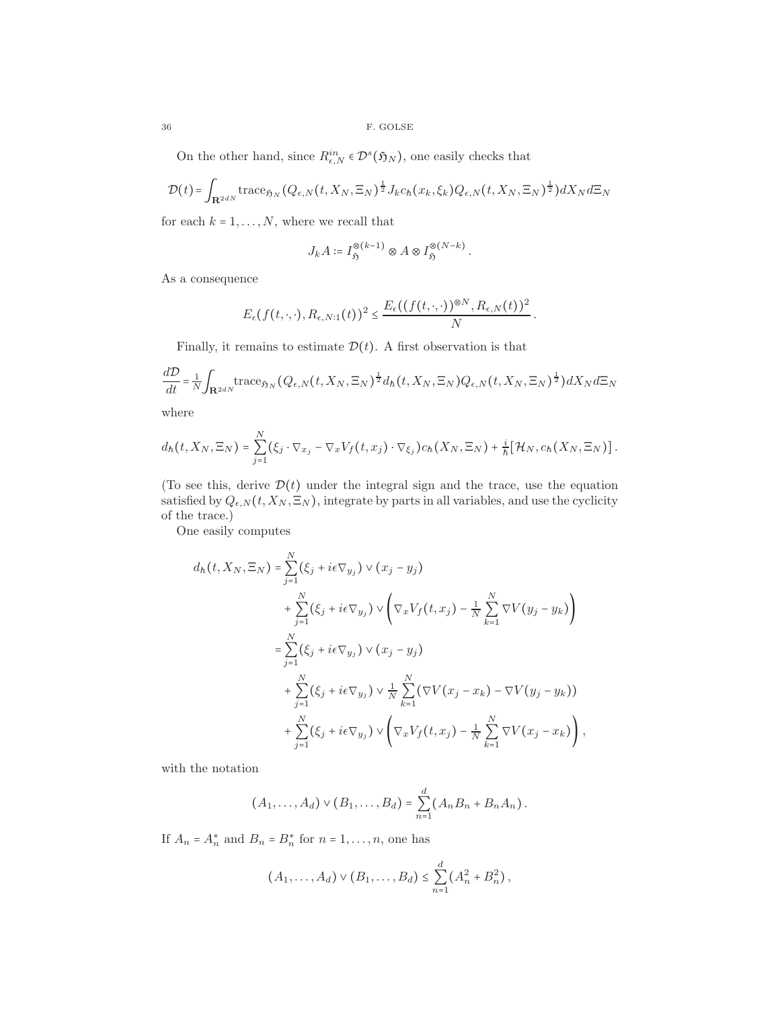On the other hand, since  $R_{\epsilon,N}^{in} \in \mathcal{D}^s(\mathfrak{H}_N)$ , one easily checks that

$$
\mathcal{D}(t) = \int_{\mathbf{R}^{2dN}} \text{trace}_{\mathfrak{H}_N} (Q_{\epsilon,N}(t, X_N, \Xi_N)^{\frac{1}{2}} J_k c_h(x_k, \xi_k) Q_{\epsilon,N}(t, X_N, \Xi_N)^{\frac{1}{2}}) dX_N d\Xi_N
$$

for each  $k = 1, \ldots, N$ , where we recall that

$$
J_k A \coloneqq I_{\mathfrak{H}}^{\otimes (k-1)} \otimes A \otimes I_{\mathfrak{H}}^{\otimes (N-k)}.
$$

As a consequence

$$
E_{\epsilon}(f(t,\cdot,\cdot),R_{\epsilon,N:1}(t))^2 \leq \frac{E_{\epsilon}((f(t,\cdot,\cdot))^{\otimes N},R_{\epsilon,N}(t))^2}{N}
$$

.

Finally, it remains to estimate  $\mathcal{D}(t)$ . A first observation is that

$$
\frac{d\mathcal{D}}{dt} = \frac{1}{N} \int_{\mathbf{R}^{2dN}} \operatorname{trace}_{\mathfrak{H}_N} (Q_{\epsilon,N}(t, X_N, \Xi_N)^{\frac{1}{2}} d_h(t, X_N, \Xi_N) Q_{\epsilon,N}(t, X_N, \Xi_N)^{\frac{1}{2}}) dX_N d\Sigma_N
$$

where

$$
d_h(t, X_N, \Xi_N) = \sum_{j=1}^N (\xi_j \cdot \nabla_{x_j} - \nabla_x V_f(t, x_j) \cdot \nabla_{\xi_j}) c_h(X_N, \Xi_N) + \frac{i}{\hbar} [\mathcal{H}_N, c_h(X_N, \Xi_N)].
$$

(To see this, derive  $\mathcal{D}(t)$  under the integral sign and the trace, use the equation satisfied by  $Q_{\epsilon,N}(t, X_N, \Xi_N)$ , integrate by parts in all variables, and use the cyclicity of the trace.)

One easily computes

$$
d_h(t, X_N, \Xi_N) = \sum_{j=1}^N (\xi_j + i\epsilon \nabla_{y_j}) \vee (x_j - y_j)
$$
  
+ 
$$
\sum_{j=1}^N (\xi_j + i\epsilon \nabla_{y_j}) \vee (\nabla_x V_f(t, x_j) - \frac{1}{N} \sum_{k=1}^N \nabla V(y_j - y_k))
$$
  
= 
$$
\sum_{j=1}^N (\xi_j + i\epsilon \nabla_{y_j}) \vee (x_j - y_j)
$$
  
+ 
$$
\sum_{j=1}^N (\xi_j + i\epsilon \nabla_{y_j}) \vee \frac{1}{N} \sum_{k=1}^N (\nabla V(x_j - x_k) - \nabla V(y_j - y_k))
$$
  
+ 
$$
\sum_{j=1}^N (\xi_j + i\epsilon \nabla_{y_j}) \vee (\nabla_x V_f(t, x_j) - \frac{1}{N} \sum_{k=1}^N \nabla V(x_j - x_k)),
$$

with the notation

$$
(A_1,..., A_d) \vee (B_1,..., B_d) = \sum_{n=1}^d (A_n B_n + B_n A_n).
$$

If  $A_n = A_n^*$  and  $B_n = B_n^*$  for  $n = 1, ..., n$ , one has

$$
(A_1,\ldots,A_d)\vee (B_1,\ldots,B_d)\leq \sum_{n=1}^d (A_n^2+B_n^2),
$$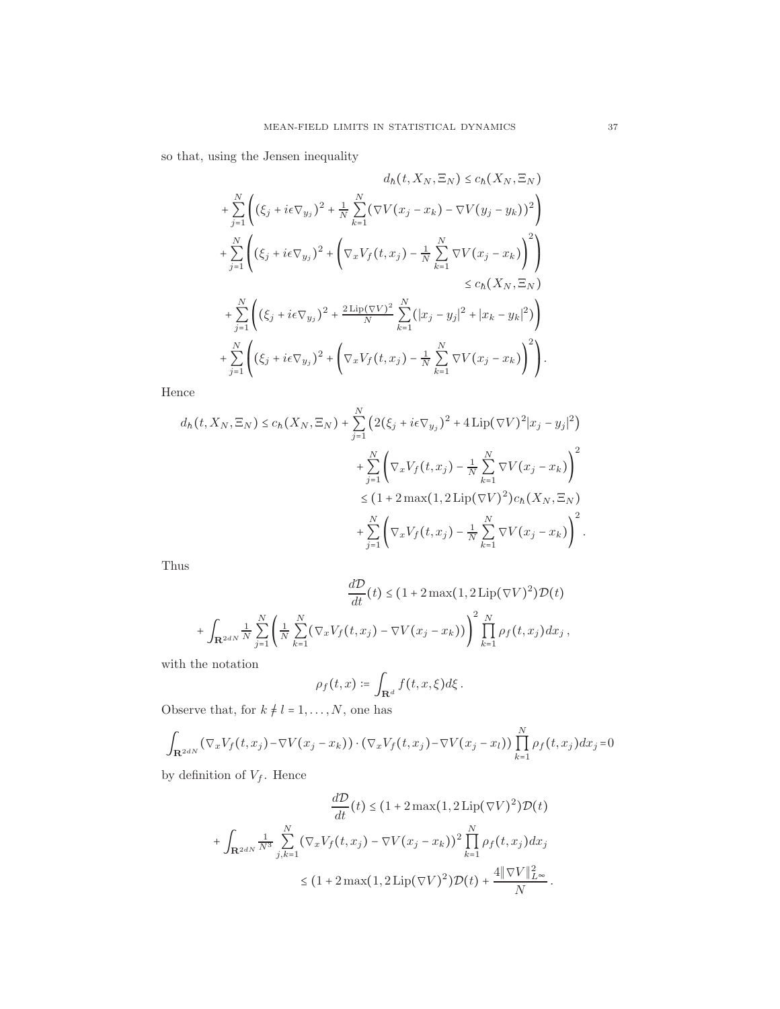so that, using the Jensen inequality

$$
d_h(t, X_N, \Xi_N) \le c_h(X_N, \Xi_N)
$$
  
+  $\sum_{j=1}^N \left( (\xi_j + i\epsilon \nabla_{y_j})^2 + \frac{1}{N} \sum_{k=1}^N (\nabla V(x_j - x_k) - \nabla V(y_j - y_k))^2 \right)$   
+  $\sum_{j=1}^N \left( (\xi_j + i\epsilon \nabla_{y_j})^2 + \left( \nabla_x V_f(t, x_j) - \frac{1}{N} \sum_{k=1}^N \nabla V(x_j - x_k) \right)^2 \right)$   
 $\le c_h(X_N, \Xi_N)$   
+  $\sum_{j=1}^N \left( (\xi_j + i\epsilon \nabla_{y_j})^2 + \frac{2 \operatorname{Lip}(\nabla V)^2}{N} \sum_{k=1}^N (|x_j - y_j|^2 + |x_k - y_k|^2) \right)$   
+  $\sum_{j=1}^N \left( (\xi_j + i\epsilon \nabla_{y_j})^2 + \left( \nabla_x V_f(t, x_j) - \frac{1}{N} \sum_{k=1}^N \nabla V(x_j - x_k) \right)^2 \right).$ 

Hence

$$
d_h(t, X_N, \Xi_N) \le c_h(X_N, \Xi_N) + \sum_{j=1}^N \left( 2(\xi_j + i\epsilon \nabla_{y_j})^2 + 4 \operatorname{Lip}(\nabla V)^2 |x_j - y_j|^2 \right) + \sum_{j=1}^N \left( \nabla_x V_f(t, x_j) - \frac{1}{N} \sum_{k=1}^N \nabla V(x_j - x_k) \right)^2 \le (1 + 2 \max(1, 2 \operatorname{Lip}(\nabla V)^2) c_h(X_N, \Xi_N) + \sum_{j=1}^N \left( \nabla_x V_f(t, x_j) - \frac{1}{N} \sum_{k=1}^N \nabla V(x_j - x_k) \right)^2.
$$

Thus

$$
\frac{d\mathcal{D}}{dt}(t) \le (1 + 2 \max(1, 2 \operatorname{Lip}(\nabla V)^2) \mathcal{D}(t)
$$

$$
+ \int_{\mathbf{R}^{2dN}} \frac{1}{N} \sum_{j=1}^N \left( \frac{1}{N} \sum_{k=1}^N (\nabla_x V_f(t, x_j) - \nabla V(x_j - x_k)) \right)^2 \prod_{k=1}^N \rho_f(t, x_j) dx_j,
$$

with the notation

$$
\rho_f(t,x) \coloneqq \int_{\mathbf{R}^d} f(t,x,\xi) d\xi.
$$

Observe that, for  $k \neq l = 1, \ldots, N,$  one has

$$
\int_{\mathbf{R}^{2dN}} (\nabla_x V_f(t, x_j) - \nabla V(x_j - x_k)) \cdot (\nabla_x V_f(t, x_j) - \nabla V(x_j - x_l)) \prod_{k=1}^N \rho_f(t, x_j) dx_j = 0
$$

by definition of  $V_f$ . Hence

$$
\frac{d\mathcal{D}}{dt}(t) \le (1 + 2 \max(1, 2 \operatorname{Lip}(\nabla V)^2) \mathcal{D}(t)
$$

$$
+ \int_{\mathbf{R}^{2dN}} \frac{1}{N^3} \sum_{j,k=1}^N (\nabla_x V_f(t, x_j) - \nabla V(x_j - x_k))^2 \prod_{k=1}^N \rho_f(t, x_j) dx_j
$$

$$
\le (1 + 2 \max(1, 2 \operatorname{Lip}(\nabla V)^2) \mathcal{D}(t) + \frac{4 \|\nabla V\|_{L^\infty}^2}{N}.
$$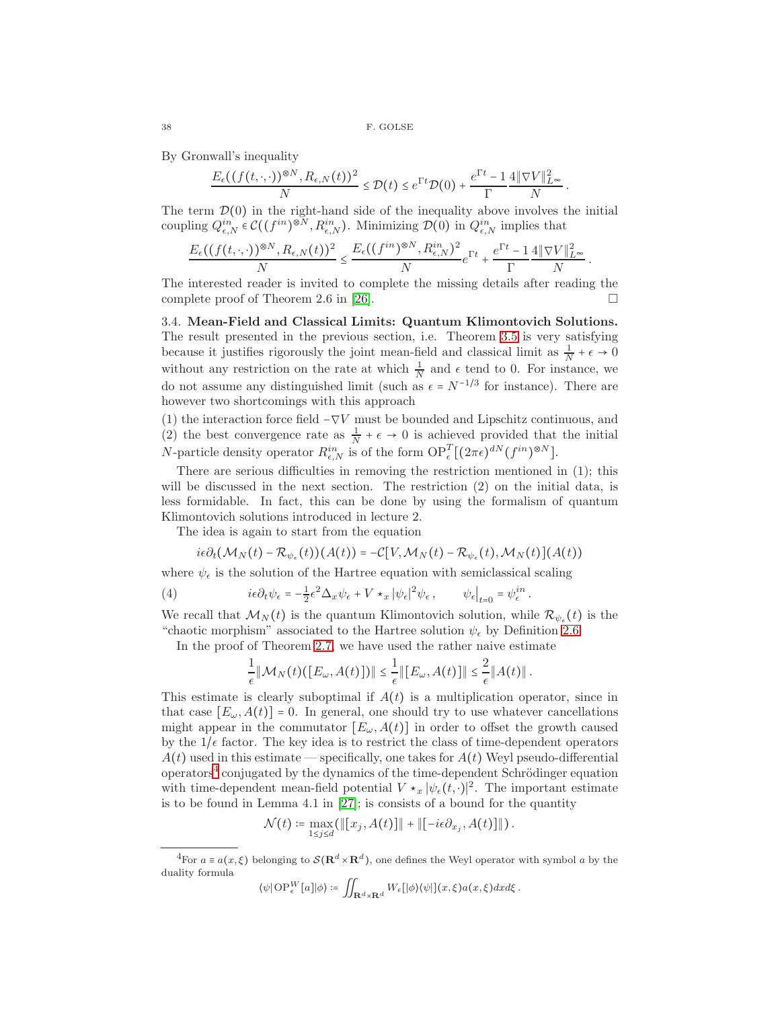By Gronwall's inequality

$$
\frac{E_{\epsilon}((f(t,\cdot,\cdot))^{\otimes N},R_{\epsilon,N}(t))^2}{N} \le \mathcal{D}(t) \le e^{\Gamma t} \mathcal{D}(0) + \frac{e^{\Gamma t} - 1}{\Gamma} \frac{4\|\nabla V\|_{L^{\infty}}^2}{N}
$$

.

The term  $\mathcal{D}(0)$  in the right-hand side of the inequality above involves the initial coupling  $Q_{\epsilon,N}^{in} \in \mathcal{C}((f^{in})^{\otimes N}, R_{\epsilon,N}^{in})$ . Minimizing  $\mathcal{D}(0)$  in  $Q_{\epsilon,N}^{in}$  implies that

$$
\frac{E_\epsilon((f(t,\cdot,\cdot))^{\otimes N},R_{\epsilon,N}(t))^2}{N}\leq \frac{E_\epsilon((f^{in})^{\otimes N},R_{\epsilon,N}^{in})^2}{N}e^{\Gamma t}+\frac{e^{\Gamma t}-1}{\Gamma}\frac{4\|\nabla V\|_{L^\infty}^2}{N}\,.
$$

The interested reader is invited to complete the missing details after reading the complete proof of Theorem 2.6 in [\[26\]](#page-44-22).

3.4. Mean-Field and Classical Limits: Quantum Klimontovich Solutions. The result presented in the previous section, i.e. Theorem [3.5](#page-34-0) is very satisfying because it justifies rigorously the joint mean-field and classical limit as  $\frac{1}{N} + \epsilon \to 0$ without any restriction on the rate at which  $\frac{1}{N}$  and  $\epsilon$  tend to 0. For instance, we do not assume any distinguished limit (such as  $\epsilon = N^{-1/3}$  for instance). There are however two shortcomings with this approach

(1) the interaction force field  $-\nabla V$  must be bounded and Lipschitz continuous, and (2) the best convergence rate as  $\frac{1}{N} + \epsilon \to 0$  is achieved provided that the initial N-particle density operator  $R_{\epsilon,N}^{in}$  is of the form  $\text{OP}_{\epsilon}^{T}[(2\pi\epsilon)^{dN}(f^{in})^{\otimes N}]$ .

There are serious difficulties in removing the restriction mentioned in (1); this will be discussed in the next section. The restriction (2) on the initial data, is less formidable. In fact, this can be done by using the formalism of quantum Klimontovich solutions introduced in lecture 2.

The idea is again to start from the equation

$$
i\epsilon \partial_t (\mathcal{M}_N(t) - \mathcal{R}_{\psi_{\epsilon}}(t)) (A(t)) = -\mathcal{C}[V, \mathcal{M}_N(t) - \mathcal{R}_{\psi_{\epsilon}}(t), \mathcal{M}_N(t)] (A(t))
$$

where  $\psi_{\epsilon}$  is the solution of the Hartree equation with semiclassical scaling

(4) 
$$
i\epsilon \partial_t \psi_{\epsilon} = -\frac{1}{2} \epsilon^2 \Delta_x \psi_{\epsilon} + V \star_x |\psi_{\epsilon}|^2 \psi_{\epsilon} , \qquad \psi_{\epsilon} |_{t=0} = \psi_{\epsilon}^{in} .
$$

We recall that  $\mathcal{M}_N(t)$  is the quantum Klimontovich solution, while  $\mathcal{R}_{\psi_{\epsilon}}(t)$  is the "chaotic morphism" associated to the Hartree solution  $\psi_{\epsilon}$  by Definition [2.6.](#page-18-0)

In the proof of Theorem [2.7,](#page-19-0) we have used the rather naive estimate

$$
\frac{1}{\epsilon} \|\mathcal{M}_N(t)([E_\omega,A(t)])\| \leq \frac{1}{\epsilon} \|[E_\omega,A(t)]\| \leq \frac{2}{\epsilon} \|A(t)\|.
$$

This estimate is clearly suboptimal if  $A(t)$  is a multiplication operator, since in that case  $[E_{\omega}, A(t)] = 0$ . In general, one should try to use whatever cancellations might appear in the commutator  $[E_{\omega}, A(t)]$  in order to offset the growth caused by the  $1/\epsilon$  factor. The key idea is to restrict the class of time-dependent operators  $A(t)$  used in this estimate — specifically, one takes for  $A(t)$  Weyl pseudo-differential  $\omega$  operators<sup>[4](#page-37-0)</sup> conjugated by the dynamics of the time-dependent Schrödinger equation with time-dependent mean-field potential  $V \star_x |\psi_\epsilon(t, \cdot)|^2$ . The important estimate is to be found in Lemma 4.1 in  $[27]$ ; is consists of a bound for the quantity

$$
\mathcal{N}(t) \coloneqq \max_{1 \leq j \leq d} (\|[x_j, A(t)]\| + \|[-i\epsilon \partial_{x_j}, A(t)]\|).
$$

$$
\langle \psi | \operatorname{OP}_{\epsilon}^W[a] | \phi \rangle \coloneqq \iint_{\mathbf{R}^d \times \mathbf{R}^d} W_{\epsilon} [|\phi\rangle \langle \psi|](x,\xi) a(x,\xi) dx d\xi.
$$

<span id="page-37-0"></span><sup>&</sup>lt;sup>4</sup>For  $a \equiv a(x,\xi)$  belonging to  $\mathcal{S}(\mathbf{R}^d \times \mathbf{R}^d)$ , one defines the Weyl operator with symbol a by the duality formula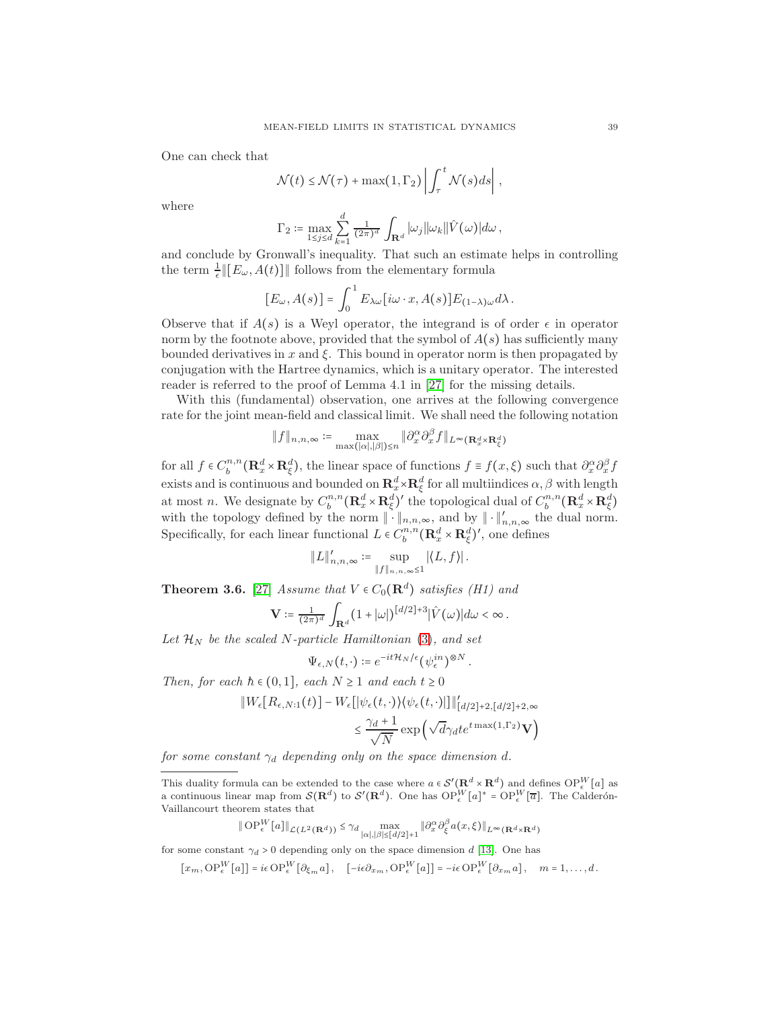One can check that

$$
\mathcal{N}(t) \leq \mathcal{N}(\tau) + \max(1, \Gamma_2) \left| \int_{\tau}^{t} \mathcal{N}(s) ds \right|,
$$

where

$$
\Gamma_2 \coloneqq \max_{1 \leq j \leq d} \sum_{k=1}^d \frac{1}{(2\pi)^d} \int_{\mathbf{R}^d} |\omega_j| |\omega_k| |\hat{V}(\omega)| d\omega,
$$

and conclude by Gronwall's inequality. That such an estimate helps in controlling the term  $\frac{1}{\epsilon}$   $[[E_{\omega}, A(t)]]$  follows from the elementary formula

$$
[E_{\omega}, A(s)] = \int_0^1 E_{\lambda \omega} [i\omega \cdot x, A(s)] E_{(1-\lambda)\omega} d\lambda.
$$

Observe that if  $A(s)$  is a Weyl operator, the integrand is of order  $\epsilon$  in operator norm by the footnote above, provided that the symbol of  $A(s)$  has sufficiently many bounded derivatives in  $x$  and  $\xi$ . This bound in operator norm is then propagated by conjugation with the Hartree dynamics, which is a unitary operator. The interested reader is referred to the proof of Lemma 4.1 in [\[27\]](#page-44-7) for the missing details.

With this (fundamental) observation, one arrives at the following convergence rate for the joint mean-field and classical limit. We shall need the following notation

$$
\|f\|_{n,n,\infty}\coloneqq\max_{\max(|\alpha|,|\beta|)\leq n}\|\partial_x^\alpha\partial_x^\beta f\|_{L^\infty(\mathbf{R}^d_x\times\mathbf{R}^d_\xi)}
$$

for all  $f \in C_h^{n,n}$  $b^{n,n}(\mathbf{R}_x^d \times \mathbf{R}_{\xi}^d)$ , the linear space of functions  $f \equiv f(x,\xi)$  such that  $\partial_x^{\alpha} \partial_x^{\beta} f$ exists and is continuous and bounded on  $\mathbf{R}_x^d \times \mathbf{R}_\xi^d$  for all multiindices  $\alpha, \beta$  with length at most *n*. We designate by  $C_b^{n,n}(\mathbf{R}_x^d \times \mathbf{R}_{\xi}^d)'$  the topological dual of  $C_b^{n,n}(\mathbf{R}_x^d \times \mathbf{R}_{\xi}^d)$ with the topology defined by the norm  $\|\cdot\|_{n,n,\infty}$ , and by  $\|\cdot\|'_{n,n,\infty}$  the dual norm. Specifically, for each linear functional  $L \in C_b^{n,n}(\mathbf{R}^d_x \times \mathbf{R}^d_\xi)'$ , one defines

$$
\|L\|'_{n,n,\infty}\coloneqq \sup_{\|f\|_{n,n,\infty}\leq 1}\left|\left\langle L,f\right\rangle\right|.
$$

**Theorem 3.6.** [\[27\]](#page-44-7) Assume that  $V \in C_0(\mathbf{R}^d)$  satisfies (H1) and

$$
\mathbf{V} \coloneqq \frac{1}{(2\pi)^d} \int_{\mathbf{R}^d} (1 + |\omega|)^{\left[d/2\right] + 3} |\hat{V}(\omega)| d\omega < \infty.
$$

Let  $\mathcal{H}_N$  be the scaled N-particle Hamiltonian [\(3\)](#page-29-1), and set

$$
\Psi_{\epsilon,N}(t,\cdot)\coloneqq e^{-it\mathcal{H}_N/\epsilon}(\psi^{in}_\epsilon)^{\otimes N}.
$$

Then, for each  $h \in (0,1]$ , each  $N \ge 1$  and each  $t \ge 0$ 

$$
||W_{\epsilon}[R_{\epsilon,N:1}(t)] - W_{\epsilon}[|\psi_{\epsilon}(t,\cdot)\rangle\langle\psi_{\epsilon}(t,\cdot)||||'_{[d/2]+2,[d/2]+2,\infty}
$$
  

$$
\leq \frac{\gamma_d + 1}{\sqrt{N}} \exp\left(\sqrt{d}\gamma_d t e^{t \max(1,\Gamma_2)}\mathbf{V}\right)
$$

for some constant  $\gamma_d$  depending only on the space dimension d.

$$
\|\operatorname{OP}_{\epsilon}^{W}[a]\|_{\mathcal{L}(L^{2}(\mathbf{R}^{d}))} \leq \gamma_{d} \max_{|\alpha|, |\beta| \leq [d/2]+1} \|\partial_{x}^{\alpha}\partial_{\xi}^{\beta}a(x,\xi)\|_{L^{\infty}(\mathbf{R}^{d} \times \mathbf{R}^{d})}
$$

for some constant  $\gamma_d > 0$  depending only on the space dimension d [\[13\]](#page-44-26). One has

$$
[x_m, \mathrm{OP}_{\epsilon}^W[a]] = i\epsilon \mathrm{OP}_{\epsilon}^W[\partial_{\xi_m}a], \quad [-i\epsilon \partial_{x_m}, \mathrm{OP}_{\epsilon}^W[a]] = -i\epsilon \mathrm{OP}_{\epsilon}^W[\partial_{x_m}a], \quad m = 1, \ldots, d.
$$

This duality formula can be extended to the case where  $a \in \mathcal{S}'(\mathbf{R}^d \times \mathbf{R}^d)$  and defines  $\text{OP}_\epsilon^W[a]$  as a continuous linear map from  $\mathcal{S}(\mathbf{R}^d)$  to  $\mathcal{S}'(\mathbf{R}^d)$ . One has  $\mathrm{OP}_{\epsilon}^W[a]^* = \mathrm{OP}_{\epsilon}^W[\overline{a}]$ . The Calderón-Vaillancourt theorem states that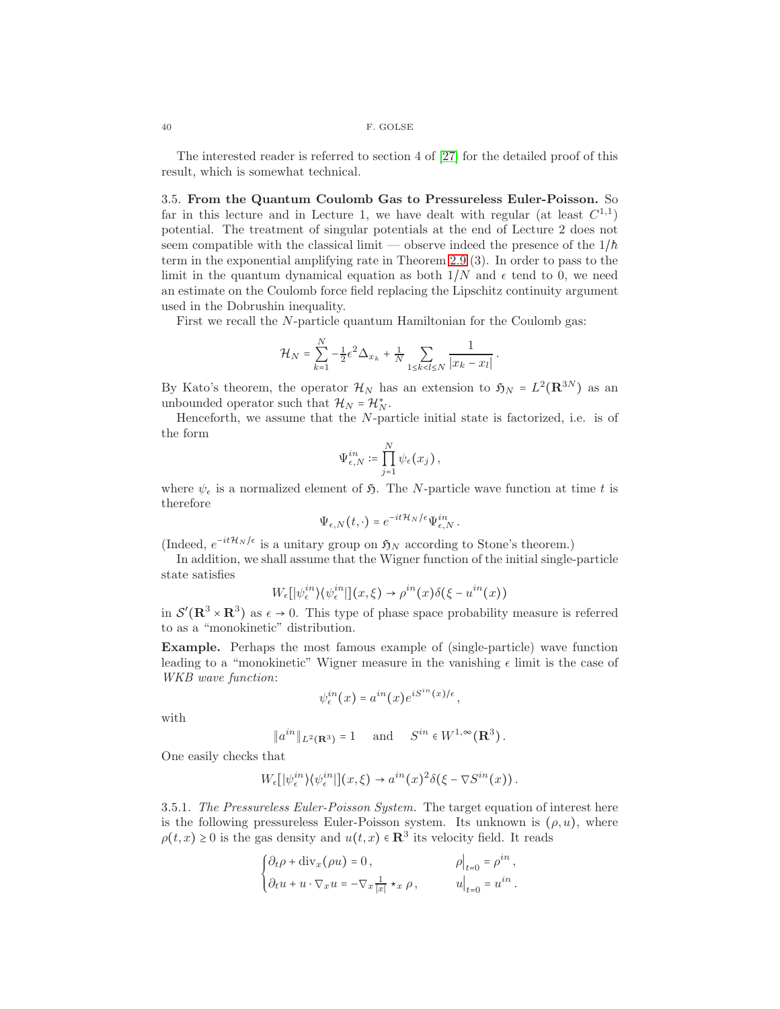The interested reader is referred to section 4 of [\[27\]](#page-44-7) for the detailed proof of this result, which is somewhat technical.

3.5. From the Quantum Coulomb Gas to Pressureless Euler-Poisson. So far in this lecture and in Lecture 1, we have dealt with regular (at least  $C^{1,1}$ ) potential. The treatment of singular potentials at the end of Lecture 2 does not seem compatible with the classical limit — observe indeed the presence of the  $1/h$ term in the exponential amplifying rate in Theorem [2.9](#page-23-0) (3). In order to pass to the limit in the quantum dynamical equation as both  $1/N$  and  $\epsilon$  tend to 0, we need an estimate on the Coulomb force field replacing the Lipschitz continuity argument used in the Dobrushin inequality.

First we recall the N-particle quantum Hamiltonian for the Coulomb gas:

$$
\mathcal{H}_N = \sum_{k=1}^N -\frac{1}{2} \epsilon^2 \Delta_{x_k} + \frac{1}{N} \sum_{1 \le k < l \le N} \frac{1}{|x_k - x_l|} \, .
$$

By Kato's theorem, the operator  $\mathcal{H}_N$  has an extension to  $\mathfrak{H}_N = L^2(\mathbf{R}^{3N})$  as an unbounded operator such that  $\mathcal{H}_N = \mathcal{H}_N^*$ .

Henceforth, we assume that the N-particle initial state is factorized, i.e. is of the form

$$
\Psi_{\epsilon,N}^{in} \coloneqq \prod_{j=1}^N \psi_\epsilon(x_j)\,,
$$

where  $\psi_{\epsilon}$  is a normalized element of  $\mathfrak{H}$ . The N-particle wave function at time t is therefore

$$
\Psi_{\epsilon,N}(t,\cdot)=e^{-it\mathcal{H}_N/\epsilon}\Psi^{in}_{\epsilon,N}.
$$

(Indeed,  $e^{-it\mathcal{H}_N/\epsilon}$  is a unitary group on  $\mathfrak{H}_N$  according to Stone's theorem.)

In addition, we shall assume that the Wigner function of the initial single-particle state satisfies

$$
W_{\epsilon}[\psi_{\epsilon}^{in}\rangle\langle\psi_{\epsilon}^{in}|](x,\xi) \to \rho^{in}(x)\delta(\xi - u^{in}(x))
$$

in  $\mathcal{S}'(\mathbf{R}^3 \times \mathbf{R}^3)$  as  $\epsilon \to 0$ . This type of phase space probability measure is referred to as a "monokinetic" distribution.

Example. Perhaps the most famous example of (single-particle) wave function leading to a "monokinetic" Wigner measure in the vanishing  $\epsilon$  limit is the case of WKB wave function:

$$
\psi^{in}_{\epsilon}(x) = a^{in}(x)e^{iS^{in}(x)/\epsilon},
$$

with

$$
\|a^{in}\|_{L^2(\mathbf{R}^3)} = 1 \quad \text{and} \quad S^{in} \in W^{1,\infty}(\mathbf{R}^3).
$$

One easily checks that

$$
W_{\epsilon} [|\psi_{\epsilon}^{in}\rangle \langle \psi_{\epsilon}^{in}|](x,\xi) \to a^{in}(x)^2 \delta(\xi - \nabla S^{in}(x)).
$$

3.5.1. The Pressureless Euler-Poisson System. The target equation of interest here is the following pressureless Euler-Poisson system. Its unknown is  $(\rho, u)$ , where  $\rho(t,x) \geq 0$  is the gas density and  $u(t,x) \in \mathbb{R}^3$  its velocity field. It reads

$$
\begin{cases} \partial_t \rho + \text{div}_x(\rho u) = 0, & \rho \big|_{t=0} = \rho^{in}, \\ \partial_t u + u \cdot \nabla_x u = -\nabla_x \frac{1}{|x|} \star_x \rho, & u \big|_{t=0} = u^{in}. \end{cases}
$$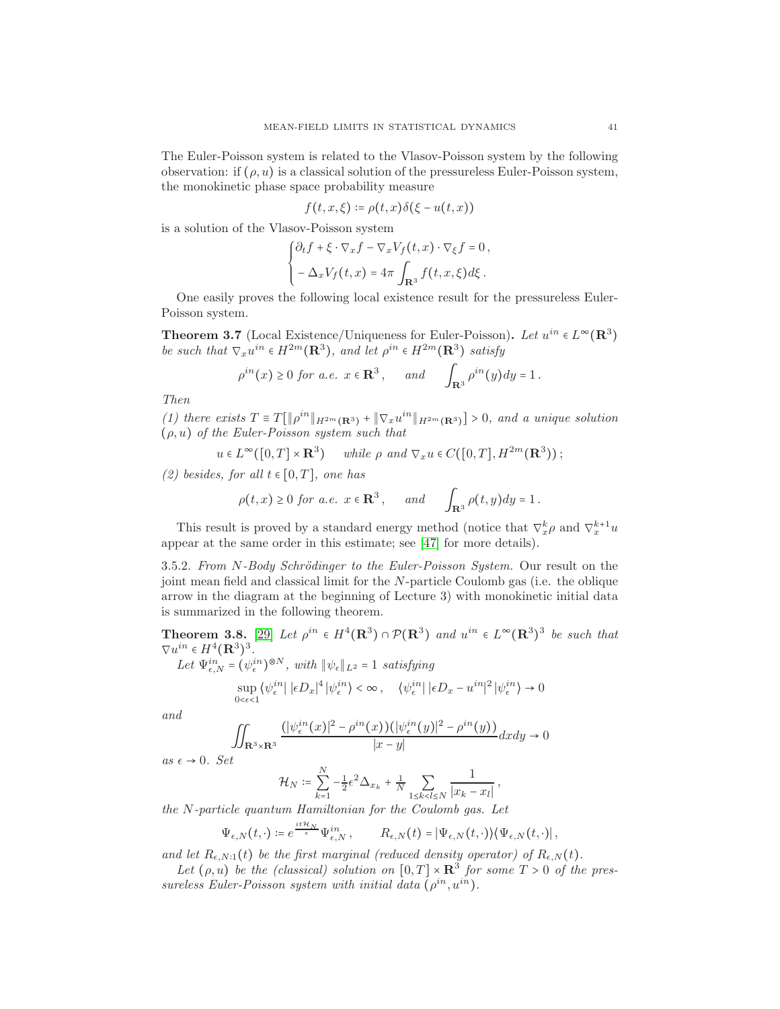The Euler-Poisson system is related to the Vlasov-Poisson system by the following observation: if  $(\rho, u)$  is a classical solution of the pressureless Euler-Poisson system, the monokinetic phase space probability measure

$$
f(t, x, \xi) \coloneqq \rho(t, x) \delta(\xi - u(t, x))
$$

is a solution of the Vlasov-Poisson system

$$
\begin{cases} \partial_t f + \xi \cdot \nabla_x f - \nabla_x V_f(t, x) \cdot \nabla_{\xi} f = 0, \\ -\Delta_x V_f(t, x) = 4\pi \int_{\mathbf{R}^3} f(t, x, \xi) d\xi. \end{cases}
$$

One easily proves the following local existence result for the pressureless Euler-Poisson system.

**Theorem 3.7** (Local Existence/Uniqueness for Euler-Poisson). Let  $u^{in} \in L^{\infty}(\mathbb{R}^3)$ be such that  $\nabla_x u^{in} \in H^{2m}(\mathbf{R}^3)$ , and let  $\rho^{in} \in H^{2m}(\mathbf{R}^3)$  satisfy

$$
\rho^{in}(x) \ge 0 \text{ for a.e. } x \in \mathbf{R}^3, \quad \text{and} \quad \int_{\mathbf{R}^3} \rho^{in}(y) dy = 1.
$$

Then

(1) there exists  $T \equiv T[\|\rho^{in}\|_{H^{2m}(\mathbf{R}^3)} + \|\nabla_x u^{in}\|_{H^{2m}(\mathbf{R}^3)}] > 0$ , and a unique solution  $(\rho, u)$  of the Euler-Poisson system such that

$$
u \in L^{\infty}([0, T] \times \mathbf{R}^{3})
$$
 while  $\rho$  and  $\nabla_x u \in C([0, T], H^{2m}(\mathbf{R}^{3}))$ ;

(2) besides, for all  $t \in [0, T]$ , one has

$$
\rho(t,x) \ge 0
$$
 for a.e.  $x \in \mathbb{R}^3$ , and  $\int_{\mathbb{R}^3} \rho(t,y) dy = 1$ .

This result is proved by a standard energy method (notice that  $\nabla_x^k \rho$  and  $\nabla_x^{k+1} u$ appear at the same order in this estimate; see [\[47\]](#page-45-16) for more details).

3.5.2. From N-Body Schrödinger to the Euler-Poisson System. Our result on the joint mean field and classical limit for the N-particle Coulomb gas (i.e. the oblique arrow in the diagram at the beginning of Lecture 3) with monokinetic initial data is summarized in the following theorem.

**Theorem 3.8.** [\[29\]](#page-44-27) Let  $\rho^{in} \in H^4(\mathbf{R}^3) \cap \mathcal{P}(\mathbf{R}^3)$  and  $u^{in} \in L^{\infty}(\mathbf{R}^3)^3$  be such that  $\nabla u^{in} \in H^4(\mathbf{R}^3)^3.$ 

Let  $\Psi_{\epsilon,N}^{in} = (\psi_{\epsilon}^{in})^{\otimes N}$ , with  $\|\psi_{\epsilon}\|_{L^2} = 1$  satisfying

$$
\sup_{0<\epsilon<1}\langle\psi^{in}_\epsilon\,|\,|\epsilon D_x|^4\,|\psi^{in}_\epsilon\rangle<\infty\,,\quad \langle\psi^{in}_\epsilon\,|\,|\epsilon D_x-u^{in}|^2\,|\psi^{in}_\epsilon\rangle\rightarrow 0
$$

 $\overline{0}$ 

and

$$
\iint_{\mathbf{R}^3 \times \mathbf{R}^3} \frac{(|\psi_{\epsilon}^{in}(x)|^2 - \rho^{in}(x)) (|\psi_{\epsilon}^{in}(y)|^2 - \rho^{in}(y))}{|x - y|} dxdy \to
$$

as  $\epsilon \to 0$ . Set

$$
\mathcal{H}_N := \sum_{k=1}^N -\frac{1}{2} \epsilon^2 \Delta_{x_k} + \frac{1}{N} \sum_{1 \le k < l \le N} \frac{1}{|x_k - x_l|},
$$

the N-particle quantum Hamiltonian for the Coulomb gas. Let

$$
\Psi_{\epsilon,N}(t,\cdot) \coloneqq e^{\frac{it\mathcal{H}_N}{\epsilon}} \Psi_{\epsilon,N}^{in}, \qquad R_{\epsilon,N}(t) = |\Psi_{\epsilon,N}(t,\cdot)\rangle \langle \Psi_{\epsilon,N}(t,\cdot)|,
$$

and let  $R_{\epsilon,N:1}(t)$  be the first marginal (reduced density operator) of  $R_{\epsilon,N}(t)$ .

Let  $(\rho, u)$  be the (classical) solution on  $[0, T] \times \mathbb{R}^3$  for some  $T > 0$  of the pressureless Euler-Poisson system with initial data  $(\rho^{in}, u^{in})$ .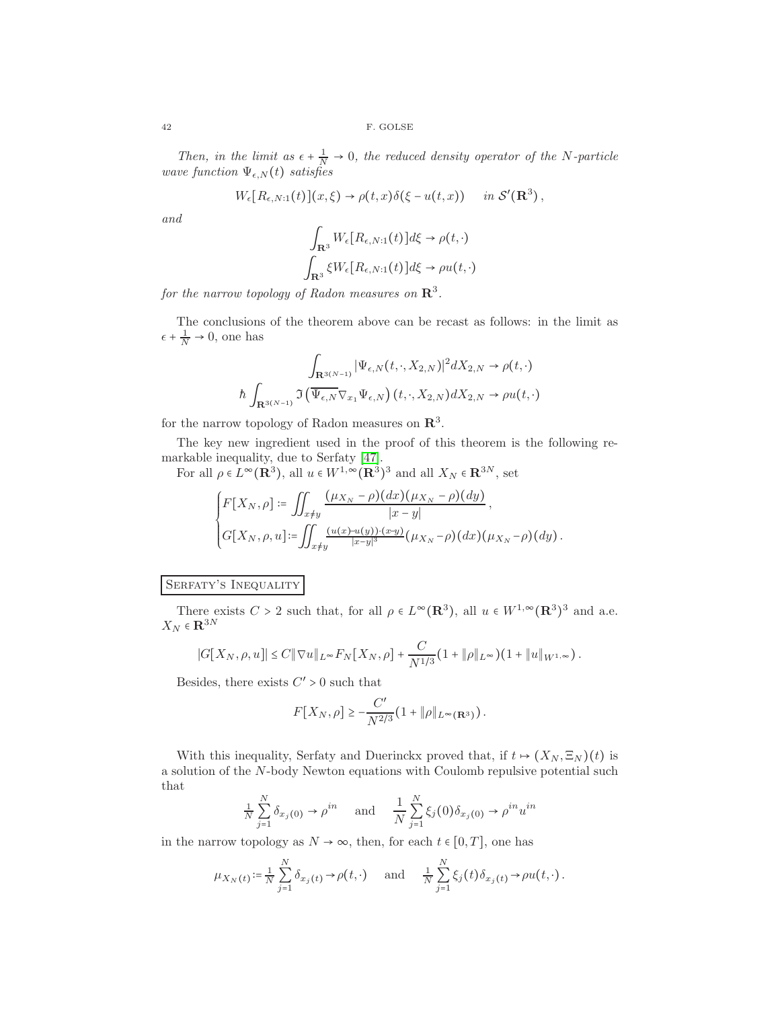Then, in the limit as  $\epsilon + \frac{1}{N} \to 0$ , the reduced density operator of the N-particle wave function  $\Psi_{\epsilon,N}(t)$  satisfies

$$
W_{\epsilon}[R_{\epsilon,N:1}(t)](x,\xi) \to \rho(t,x)\delta(\xi - u(t,x)) \quad \text{in } \mathcal{S}'(\mathbf{R}^3),
$$

and

$$
\int_{\mathbf{R}^3} W_{\epsilon}[R_{\epsilon,N:1}(t)]d\xi \to \rho(t,\cdot)
$$

$$
\int_{\mathbf{R}^3} \xi W_{\epsilon}[R_{\epsilon,N:1}(t)]d\xi \to \rho u(t,\cdot)
$$

for the narrow topology of Radon measures on  $\mathbf{R}^3$ .

The conclusions of the theorem above can be recast as follows: in the limit as  $\epsilon + \frac{1}{N} \to 0$ , one has

$$
\int_{\mathbf{R}^{3(N-1)}} |\Psi_{\epsilon,N}(t,\cdot,X_{2,N})|^2 dX_{2,N} \to \rho(t,\cdot)
$$
  

$$
\hbar \int_{\mathbf{R}^{3(N-1)}} \Im\left(\overline{\Psi_{\epsilon,N}} \nabla_{x_1} \Psi_{\epsilon,N}\right)(t,\cdot,X_{2,N}) dX_{2,N} \to \rho u(t,\cdot)
$$

for the narrow topology of Radon measures on  $\mathbb{R}^3$ .

The key new ingredient used in the proof of this theorem is the following remarkable inequality, due to Serfaty [\[47\]](#page-45-16).

For all  $\rho \in L^{\infty}(\mathbf{R}^3)$ , all  $u \in W^{1,\infty}(\mathbf{R}^3)^3$  and all  $X_N \in \mathbf{R}^{3N}$ , set

$$
\begin{cases}\nF[X_N, \rho] := \iint_{x \neq y} \frac{(\mu_{X_N} - \rho)(dx)(\mu_{X_N} - \rho)(dy)}{|x - y|}, \\
G[X_N, \rho, u] := \iint_{x \neq y} \frac{(u(x) - u(y)) \cdot (x - y)}{|x - y|^3} (\mu_{X_N} - \rho)(dx)(\mu_{X_N} - \rho)(dy).\n\end{cases}
$$

# SERFATY'S INEQUALITY

There exists  $C > 2$  such that, for all  $\rho \in L^{\infty}(\mathbf{R}^{3})$ , all  $u \in W^{1,\infty}(\mathbf{R}^{3})^{3}$  and a.e.  $X_N \in \mathbf{R}^{3N}$ 

$$
|G[X_N, \rho, u]| \leq C ||\nabla u||_{L^{\infty}} F_N[X_N, \rho] + \frac{C}{N^{1/3}} (1 + ||\rho||_{L^{\infty}}) (1 + ||u||_{W^{1,\infty}}).
$$

Besides, there exists  $C' > 0$  such that

$$
F[X_N, \rho] \ge -\frac{C'}{N^{2/3}} (1 + \|\rho\|_{L^{\infty}(\mathbf{R}^3)}).
$$

With this inequality, Serfaty and Duerinckx proved that, if  $t \mapsto (X_N, \Xi_N)(t)$  is a solution of the N-body Newton equations with Coulomb repulsive potential such that

$$
\frac{1}{N} \sum_{j=1}^{N} \delta_{x_j(0)} \to \rho^{in} \quad \text{and} \quad \frac{1}{N} \sum_{j=1}^{N} \xi_j(0) \delta_{x_j(0)} \to \rho^{in} u^{in}
$$

in the narrow topology as  $N \to \infty$ , then, for each  $t \in [0, T]$ , one has

$$
\mu_{X_N(t)} \coloneqq \frac{1}{N} \sum_{j=1}^N \delta_{x_j(t)} \to \rho(t, \cdot) \quad \text{and} \quad \frac{1}{N} \sum_{j=1}^N \xi_j(t) \delta_{x_j(t)} \to \rho u(t, \cdot).
$$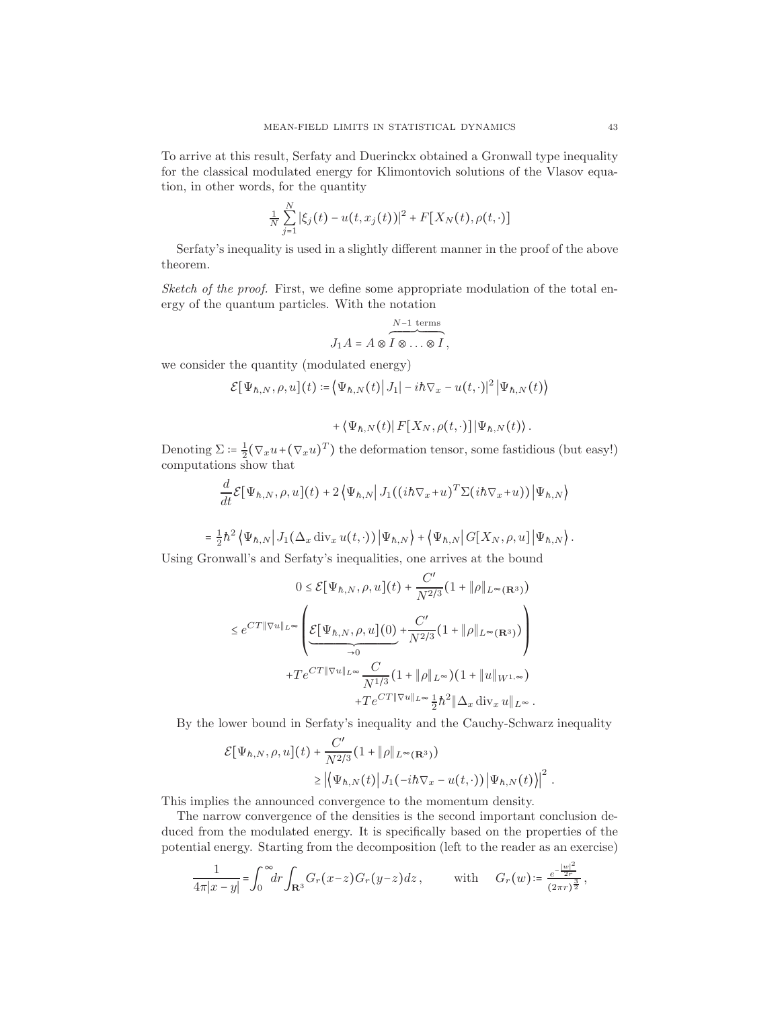To arrive at this result, Serfaty and Duerinckx obtained a Gronwall type inequality for the classical modulated energy for Klimontovich solutions of the Vlasov equation, in other words, for the quantity

$$
\frac{1}{N}\sum_{j=1}^{N}|\xi_j(t)-u(t,x_j(t))|^2 + F[X_N(t),\rho(t,\cdot)]
$$

Serfaty's inequality is used in a slightly different manner in the proof of the above theorem.

Sketch of the proof. First, we define some appropriate modulation of the total energy of the quantum particles. With the notation

$$
J_1 A = A \otimes I \otimes \cdots \otimes I,
$$

we consider the quantity (modulated energy)

$$
\mathcal{E}[\Psi_{h,N},\rho,u](t) \coloneqq \langle \Psi_{h,N}(t) | J_1| - i\hbar \nabla_x - u(t,\cdot)|^2 |\Psi_{h,N}(t)\rangle
$$

$$
+\left\langle \Psi_{\hbar,N}(t)\right|F[X_N,\rho(t,\cdot)]\left|\Psi_{\hbar,N}(t)\right\rangle.
$$

Denoting  $\Sigma = \frac{1}{2} (\nabla_x u + (\nabla_x u)^T)$  the deformation tensor, some fastidious (but easy!) computations show that

$$
\frac{d}{dt}\mathcal{E}[\Psi_{h,N},\rho,u](t)+2\left\langle\Psi_{h,N}\right|J_1((ih\nabla_x+u)^T\Sigma(ih\nabla_x+u))|\Psi_{h,N}\rangle
$$

$$
= \frac{1}{2}\hbar^2 \left\langle \Psi_{h,N} \right| J_1(\Delta_x \operatorname{div}_x u(t,\cdot)) \left| \Psi_{h,N} \right\rangle + \left\langle \Psi_{h,N} \right| G[X_N, \rho, u] \left| \Psi_{h,N} \right\rangle.
$$

Using Gronwall's and Serfaty's inequalities, one arrives at the bound

$$
0 \leq \mathcal{E}[\Psi_{\hbar,N},\rho,u](t) + \frac{C'}{N^{2/3}}(1+\|\rho\|_{L^{\infty}(\mathbf{R}^3)})
$$

$$
\leq e^{CT\|\nabla u\|_{L^{\infty}}} \left( \underbrace{\mathcal{E}[\Psi_{\hbar,N},\rho,u](0)}_{\to 0} + \frac{C'}{N^{2/3}}(1+\|\rho\|_{L^{\infty}(\mathbf{R}^3)}) \right)
$$

$$
+Te^{CT\|\nabla u\|_{L^{\infty}}} \frac{C}{N^{1/3}}(1+\|\rho\|_{L^{\infty}})(1+\|u\|_{W^{1,\infty}})
$$

$$
+Te^{CT\|\nabla u\|_{L^{\infty}}} \frac{1}{2}\hbar^2 \|\Delta_x \operatorname{div}_x u\|_{L^{\infty}}.
$$

By the lower bound in Serfaty's inequality and the Cauchy-Schwarz inequality

$$
\mathcal{E}[\Psi_{\hbar,N}, \rho, u](t) + \frac{C'}{N^{2/3}} (1 + \|\rho\|_{L^{\infty}(\mathbf{R}^3)})
$$
  
\n
$$
\geq \left| \left\langle \Psi_{\hbar,N}(t) \right| J_1(-i\hbar \nabla_x - u(t, \cdot)) \left| \Psi_{\hbar,N}(t) \right\rangle \right|^2.
$$

This implies the announced convergence to the momentum density.

The narrow convergence of the densities is the second important conclusion deduced from the modulated energy. It is specifically based on the properties of the potential energy. Starting from the decomposition (left to the reader as an exercise)

$$
\frac{1}{4\pi|x-y|} = \int_0^\infty dr \int_{\mathbf{R}^3} G_r(x-z)G_r(y-z)dz, \quad \text{with} \quad G_r(w) = \frac{e^{-\frac{|w|^2}{2r}}}{(2\pi r)^{\frac{3}{2}}},
$$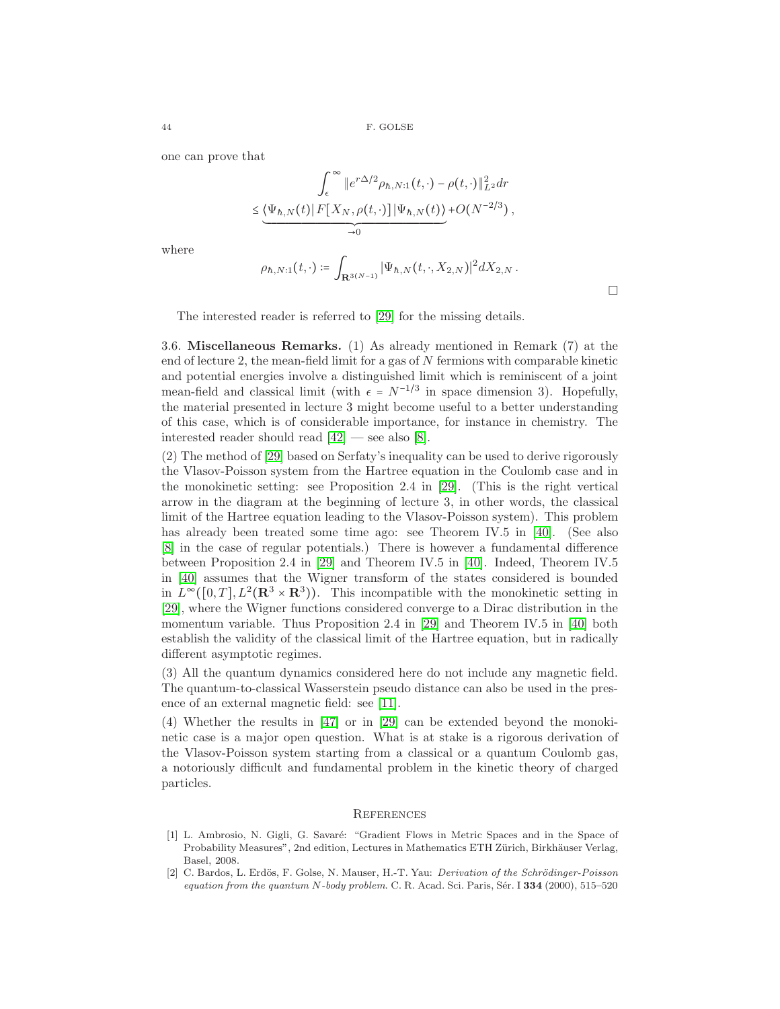one can prove that

$$
\int_{\epsilon}^{\infty} \|e^{r\Delta/2} \rho_{h,N:1}(t,\cdot) - \rho(t,\cdot)\|_{L^2}^2 dr
$$
  

$$
\leq \underbrace{\langle \Psi_{h,N}(t) | F[X_N, \rho(t,\cdot)] | \Psi_{h,N}(t) \rangle}_{\to 0} + O(N^{-2/3}),
$$

where

$$
\rho_{\hbar,N:1}(t,\cdot)\coloneqq \int_{\mathbf{R}^{3(N-1)}} |\Psi_{\hbar,N}(t,\cdot,X_{2,N})|^2 dX_{2,N} \,.
$$

 $\Box$ 

The interested reader is referred to [\[29\]](#page-44-27) for the missing details.

3.6. Miscellaneous Remarks. (1) As already mentioned in Remark (7) at the end of lecture 2, the mean-field limit for a gas of  $N$  fermions with comparable kinetic and potential energies involve a distinguished limit which is reminiscent of a joint mean-field and classical limit (with  $\epsilon = N^{-1/3}$  in space dimension 3). Hopefully, the material presented in lecture 3 might become useful to a better understanding of this case, which is of considerable importance, for instance in chemistry. The interested reader should read  $[42]$  — see also  $[8]$ .

(2) The method of [\[29\]](#page-44-27) based on Serfaty's inequality can be used to derive rigorously the Vlasov-Poisson system from the Hartree equation in the Coulomb case and in the monokinetic setting: see Proposition 2.4 in [\[29\]](#page-44-27). (This is the right vertical arrow in the diagram at the beginning of lecture 3, in other words, the classical limit of the Hartree equation leading to the Vlasov-Poisson system). This problem has already been treated some time ago: see Theorem IV.5 in [\[40\]](#page-45-15). (See also [\[8\]](#page-44-28) in the case of regular potentials.) There is however a fundamental difference between Proposition 2.4 in [\[29\]](#page-44-27) and Theorem IV.5 in [\[40\]](#page-45-15). Indeed, Theorem IV.5 in [\[40\]](#page-45-15) assumes that the Wigner transform of the states considered is bounded in  $L^{\infty}([0,T], L^2(\mathbf{R}^3 \times \mathbf{R}^3))$ . This incompatible with the monokinetic setting in [\[29\]](#page-44-27), where the Wigner functions considered converge to a Dirac distribution in the momentum variable. Thus Proposition 2.4 in [\[29\]](#page-44-27) and Theorem IV.5 in [\[40\]](#page-45-15) both establish the validity of the classical limit of the Hartree equation, but in radically different asymptotic regimes.

(3) All the quantum dynamics considered here do not include any magnetic field. The quantum-to-classical Wasserstein pseudo distance can also be used in the presence of an external magnetic field: see [\[11\]](#page-44-29).

(4) Whether the results in [\[47\]](#page-45-16) or in [\[29\]](#page-44-27) can be extended beyond the monokinetic case is a major open question. What is at stake is a rigorous derivation of the Vlasov-Poisson system starting from a classical or a quantum Coulomb gas, a notoriously difficult and fundamental problem in the kinetic theory of charged particles.

#### **REFERENCES**

- <span id="page-43-0"></span>[1] L. Ambrosio, N. Gigli, G. Savaré: "Gradient Flows in Metric Spaces and in the Space of Probability Measures", 2nd edition, Lectures in Mathematics ETH Zürich, Birkhäuser Verlag, Basel, 2008.
- <span id="page-43-1"></span>[2] C. Bardos, L. Erdös, F. Golse, N. Mauser, H.-T. Yau: *Derivation of the Schrödinger-Poisson* equation from the quantum  $N$ -body problem. C. R. Acad. Sci. Paris, Sér. I  $334$  (2000), 515–520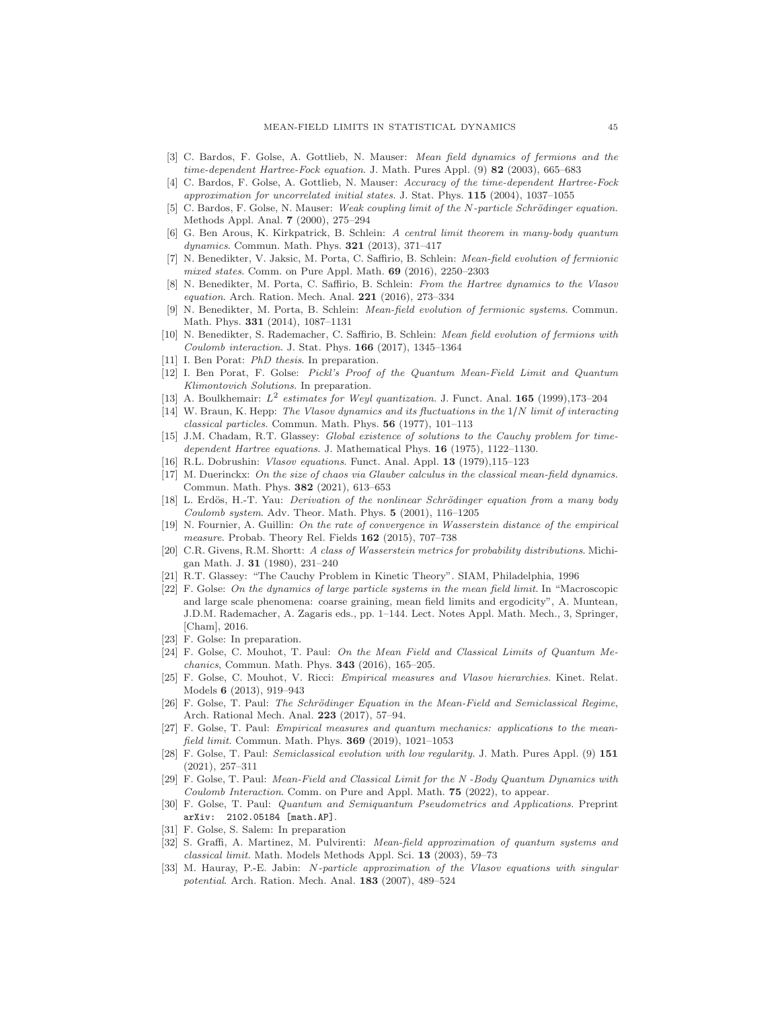- <span id="page-44-16"></span>[3] C. Bardos, F. Golse, A. Gottlieb, N. Mauser: Mean field dynamics of fermions and the time-dependent Hartree-Fock equation. J. Math. Pures Appl. (9) 82 (2003), 665–683
- <span id="page-44-17"></span>[4] C. Bardos, F. Golse, A. Gottlieb, N. Mauser: Accuracy of the time-dependent Hartree-Fock approximation for uncorrelated initial states. J. Stat. Phys.  $115$  (2004), 1037-1055
- <span id="page-44-10"></span>C. Bardos, F. Golse, N. Mauser: Weak coupling limit of the N-particle Schrödinger equation. Methods Appl. Anal. 7 (2000), 275–294
- <span id="page-44-14"></span>[6] G. Ben Arous, K. Kirkpatrick, B. Schlein: A central limit theorem in many-body quantum dynamics. Commun. Math. Phys. 321 (2013), 371–417
- <span id="page-44-20"></span>[7] N. Benedikter, V. Jaksic, M. Porta, C. Saffirio, B. Schlein: Mean-field evolution of fermionic mixed states. Comm. on Pure Appl. Math. 69 (2016), 2250–2303
- <span id="page-44-28"></span>[8] N. Benedikter, M. Porta, C. Saffirio, B. Schlein: From the Hartree dynamics to the Vlasov equation. Arch. Ration. Mech. Anal. 221 (2016), 273–334
- <span id="page-44-18"></span>[9] N. Benedikter, M. Porta, B. Schlein: Mean-field evolution of fermionic systems. Commun. Math. Phys. 331 (2014), 1087–1131
- <span id="page-44-19"></span>[10] N. Benedikter, S. Rademacher, C. Saffirio, B. Schlein: Mean field evolution of fermions with Coulomb interaction. J. Stat. Phys. 166 (2017), 1345–1364
- <span id="page-44-29"></span><span id="page-44-9"></span>[11] I. Ben Porat: PhD thesis. In preparation.
- [12] I. Ben Porat, F. Golse: Pickl's Proof of the Quantum Mean-Field Limit and Quantum Klimontovich Solutions. In preparation.
- <span id="page-44-26"></span><span id="page-44-4"></span>[13] A. Boulkhemair:  $L^2$  estimates for Weyl quantization. J. Funct. Anal. 165 (1999),173-204
- [14] W. Braun, K. Hepp: The Vlasov dynamics and its fluctuations in the 1/N limit of interacting  $classical\ particles.$  Commun. Math. Phys.  $56$  (1977), 101–113
- <span id="page-44-1"></span>[15] J.M. Chadam, R.T. Glassey: Global existence of solutions to the Cauchy problem for timedependent Hartree equations. J. Mathematical Phys. 16 (1975), 1122-1130.
- <span id="page-44-11"></span><span id="page-44-2"></span>[16] R.L. Dobrushin: Vlasov equations. Funct. Anal. Appl. 13 (1979),115–123
- [17] M. Duerinckx: On the size of chaos via Glauber calculus in the classical mean-field dynamics. Commun. Math. Phys. 382 (2021), 613–653
- <span id="page-44-12"></span>[18] L. Erdös, H.-T. Yau: *Derivation of the nonlinear Schrödinger equation from a many body* Coulomb system. Adv. Theor. Math. Phys. 5 (2001), 116–1205
- <span id="page-44-5"></span>[19] N. Fournier, A. Guillin: On the rate of convergence in Wasserstein distance of the empirical measure. Probab. Theory Rel. Fields  $162$  (2015), 707-738
- <span id="page-44-24"></span>[20] C.R. Givens, R.M. Shortt: A class of Wasserstein metrics for probability distributions. Michigan Math. J. 31 (1980), 231–240
- <span id="page-44-3"></span><span id="page-44-0"></span>[21] R.T. Glassey: "The Cauchy Problem in Kinetic Theory". SIAM, Philadelphia, 1996
- [22] F. Golse: On the dynamics of large particle systems in the mean field limit. In "Macroscopic and large scale phenomena: coarse graining, mean field limits and ergodicity", A. Muntean, J.D.M. Rademacher, A. Zagaris eds., pp. 1–144. Lect. Notes Appl. Math. Mech., 3, Springer, [Cham], 2016.
- <span id="page-44-25"></span><span id="page-44-13"></span>[23] F. Golse: In preparation.
- [24] F. Golse, C. Mouhot, T. Paul: On the Mean Field and Classical Limits of Quantum Mechanics, Commun. Math. Phys. 343 (2016), 165–205.
- <span id="page-44-8"></span>[25] F. Golse, C. Mouhot, V. Ricci: Empirical measures and Vlasov hierarchies. Kinet. Relat. Models 6 (2013), 919–943
- <span id="page-44-22"></span>[26] F. Golse, T. Paul: The Schrödinger Equation in the Mean-Field and Semiclassical Regime, Arch. Rational Mech. Anal. 223 (2017), 57–94.
- <span id="page-44-7"></span>[27] F. Golse, T. Paul: Empirical measures and quantum mechanics: applications to the meanfield limit. Commun. Math. Phys. 369 (2019), 1021–1053
- <span id="page-44-23"></span>[28] F. Golse, T. Paul: Semiclassical evolution with low regularity. J. Math. Pures Appl. (9) 151 (2021), 257–311
- <span id="page-44-27"></span>[29] F. Golse, T. Paul: Mean-Field and Classical Limit for the N -Body Quantum Dynamics with Coulomb Interaction. Comm. on Pure and Appl. Math. 75 (2022), to appear.
- [30] F. Golse, T. Paul: Quantum and Semiquantum Pseudometrics and Applications. Preprint arXiv: 2102.05184 [math.AP].
- <span id="page-44-21"></span><span id="page-44-15"></span>[31] F. Golse, S. Salem: In preparation
- [32] S. Graffi, A. Martinez, M. Pulvirenti: Mean-field approximation of quantum systems and classical limit. Math. Models Methods Appl. Sci. 13 (2003), 59–73
- <span id="page-44-6"></span>[33] M. Hauray, P.-E. Jabin: N-particle approximation of the Vlasov equations with singular potential. Arch. Ration. Mech. Anal. 183 (2007), 489–524